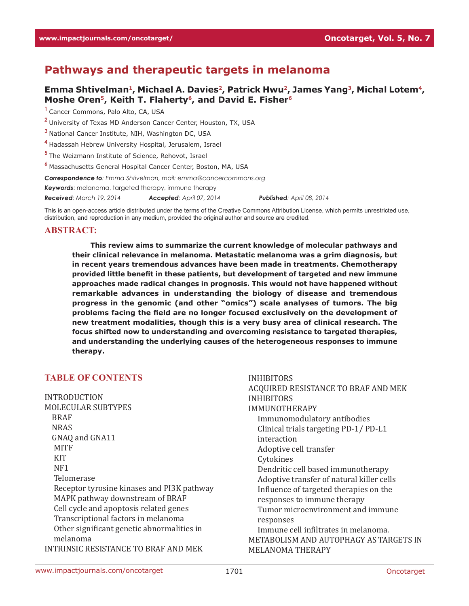# **Pathways and therapeutic targets in melanoma**

# Emma Shtivelman<sup>1</sup>, Michael A. Davies<sup>2</sup>, Patrick Hwu<sup>2</sup>, James Yang<sup>3</sup>, Michal Lotem<sup>4</sup>, Moshe Oren<sup>5</sup>, Keith T. Flaherty<sup>6</sup>, and David E. Fisher<sup>6</sup>

**<sup>1</sup>**Cancer Commons, Palo Alto, CA, USA

**<sup>2</sup>**University of Texas MD Anderson Cancer Center, Houston, TX, USA

**<sup>3</sup>**National Cancer Institute, NIH, Washington DC, USA

**<sup>4</sup>**Hadassah Hebrew University Hospital, Jerusalem, Israel

**<sup>5</sup>**The Weizmann Institute of Science, Rehovot, Israel

**<sup>6</sup>**Massachusetts General Hospital Cancer Center, Boston, MA, USA

*Correspondence to: Emma Shtivelman, mail: emma@cancercommons.org*

*Keywords*: melanoma, targeted therapy, immune therapy

*Received: March 19, 2014 Accepted: April 07, 2014 Published: April 08, 2014*

This is an open-access article distributed under the terms of the Creative Commons Attribution License, which permits unrestricted use, distribution, and reproduction in any medium, provided the original author and source are credited.

#### **ABSTRACT:**

**This review aims to summarize the current knowledge of molecular pathways and their clinical relevance in melanoma. Metastatic melanoma was a grim diagnosis, but in recent years tremendous advances have been made in treatments. Chemotherapy provided little benefit in these patients, but development of targeted and new immune approaches made radical changes in prognosis. This would not have happened without remarkable advances in understanding the biology of disease and tremendous progress in the genomic (and other "omics") scale analyses of tumors. The big problems facing the field are no longer focused exclusively on the development of new treatment modalities, though this is a very busy area of clinical research. The focus shifted now to understanding and overcoming resistance to targeted therapies, and understanding the underlying causes of the heterogeneous responses to immune therapy.**

INHIBITORS

#### **TABLE OF CONTENTS**

|                                            | ACOUIRED RESISTANCE TO BRAF AND MEK       |
|--------------------------------------------|-------------------------------------------|
| <b>INTRODUCTION</b>                        | <b>INHIBITORS</b>                         |
| <b>MOLECULAR SUBTYPES</b>                  | <b>IMMUNOTHERAPY</b>                      |
| <b>BRAF</b>                                | Immunomodulatory antibodies               |
| <b>NRAS</b>                                | Clinical trials targeting PD-1/PD-L1      |
| GNAQ and GNA11                             | interaction                               |
| <b>MITF</b>                                | Adoptive cell transfer                    |
| <b>KIT</b>                                 | Cytokines                                 |
| NF <sub>1</sub>                            | Dendritic cell based immunotherapy        |
| Telomerase                                 | Adoptive transfer of natural killer cells |
| Receptor tyrosine kinases and PI3K pathway | Influence of targeted therapies on the    |
| MAPK pathway downstream of BRAF            | responses to immune therapy               |
| Cell cycle and apoptosis related genes     | Tumor microenvironment and immune         |
| Transcriptional factors in melanoma        | responses                                 |
| Other significant genetic abnormalities in | Immune cell infiltrates in melanoma.      |
| melanoma                                   | METABOLISM AND AUTOPHAGY AS TARGETS IN    |
| INTRINSIC RESISTANCE TO BRAF AND MEK       | <b>MELANOMA THERAPY</b>                   |
|                                            |                                           |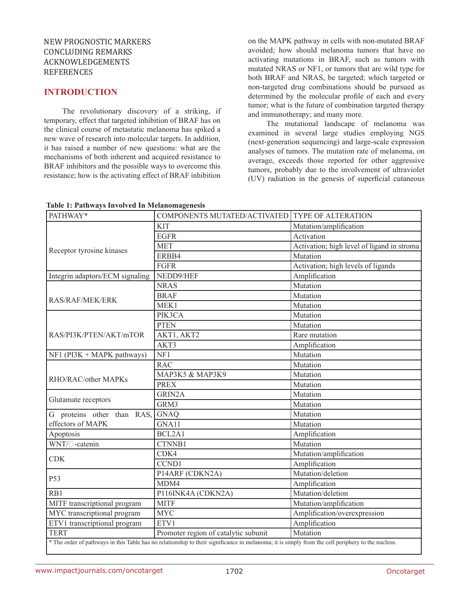### NEW PROGNOSTIC MARKERS CONCLUDING REMARKS ACKNOWLEDGEMENTS **REFERENCES**

# **INTRODUCTION**

The revolutionary discovery of a striking, if temporary, effect that targeted inhibition of BRAF has on the clinical course of metastatic melanoma has spiked a new wave of research into molecular targets. In addition, it has raised a number of new questions: what are the mechanisms of both inherent and acquired resistance to BRAF inhibitors and the possible ways to overcome this resistance; how is the activating effect of BRAF inhibition on the MAPK pathway in cells with non-mutated BRAF avoided; how should melanoma tumors that have no activating mutations in BRAF, such as tumors with mutated NRAS or NF1, or tumors that are wild type for both BRAF and NRAS, be targeted; which targeted or non-targeted drug combinations should be pursued as determined by the molecular profile of each and every tumor; what is the future of combination targeted therapy and immunotherapy; and many more.

The mutational landscape of melanoma was examined in several large studies employing NGS (next-generation sequencing) and large-scale expression analyses of tumors. The mutation rate of melanoma, on average, exceeds those reported for other aggressive tumors, probably due to the involvement of ultraviolet (UV) radiation in the genesis of superficial cutaneous

| Receptor tyrosine kinases<br>Integrin adaptors/ECM signaling<br><b>RAS/RAF/MEK/ERK</b> | <b>KIT</b><br><b>EGFR</b><br><b>MET</b><br>ERBB4<br>FGFR<br>NEDD9/HEF<br><b>NRAS</b> | Mutation/amplification<br>Activation<br>Activation; high level of ligand in stroma<br>Mutation<br>Activation; high levels of ligands |
|----------------------------------------------------------------------------------------|--------------------------------------------------------------------------------------|--------------------------------------------------------------------------------------------------------------------------------------|
|                                                                                        |                                                                                      |                                                                                                                                      |
|                                                                                        |                                                                                      |                                                                                                                                      |
|                                                                                        |                                                                                      |                                                                                                                                      |
|                                                                                        |                                                                                      |                                                                                                                                      |
|                                                                                        |                                                                                      |                                                                                                                                      |
|                                                                                        |                                                                                      | Amplification                                                                                                                        |
|                                                                                        |                                                                                      | Mutation                                                                                                                             |
|                                                                                        | <b>BRAF</b>                                                                          | Mutation                                                                                                                             |
|                                                                                        | MEK1                                                                                 | Mutation                                                                                                                             |
|                                                                                        | PIK3CA                                                                               | Mutation                                                                                                                             |
|                                                                                        | <b>PTEN</b>                                                                          | Mutation                                                                                                                             |
| RAS/PI3K/PTEN/AKT/mTOR                                                                 | AKT1, AKT2                                                                           | Rare mutation                                                                                                                        |
|                                                                                        | AKT3                                                                                 | Amplification                                                                                                                        |
| $NF1$ (PI3K + MAPK pathways)                                                           | NF1                                                                                  | Mutation                                                                                                                             |
|                                                                                        | <b>RAC</b>                                                                           | Mutation                                                                                                                             |
| RHO/RAC/other MAPKs                                                                    | MAP3K5 & MAP3K9                                                                      | Mutation                                                                                                                             |
|                                                                                        | <b>PREX</b>                                                                          | Mutation                                                                                                                             |
| Glutamate receptors                                                                    | GRIN2A                                                                               | Mutation                                                                                                                             |
|                                                                                        | GRM3                                                                                 | Mutation                                                                                                                             |
| G proteins other than RAS,                                                             | <b>GNAQ</b>                                                                          | Mutation                                                                                                                             |
| effectors of MAPK                                                                      | GNA11                                                                                | Mutation                                                                                                                             |
| Apoptosis                                                                              | BCL2A1                                                                               | Amplification                                                                                                                        |
| WNT/ <sup>[1</sup> -catenin]                                                           | CTNNB1                                                                               | Mutation                                                                                                                             |
| <b>CDK</b>                                                                             | CDK4                                                                                 | Mutation/amplification                                                                                                               |
|                                                                                        | CCND1                                                                                | Amplification                                                                                                                        |
| P <sub>53</sub>                                                                        | P14ARF (CDKN2A)                                                                      | Mutation/deletion                                                                                                                    |
|                                                                                        | MDM4                                                                                 | Amplification                                                                                                                        |
| RB1                                                                                    | P116INK4A (CDKN2A)                                                                   | Mutation/deletion                                                                                                                    |
| MITF transcriptional program                                                           | <b>MITF</b>                                                                          | Mutation/amplification                                                                                                               |
| MYC transcriptional program                                                            | <b>MYC</b>                                                                           | Amplification/overexpression                                                                                                         |
| ETV1 transcriptional program                                                           | ETV1                                                                                 | Amplification                                                                                                                        |
| <b>TERT</b>                                                                            | Promoter region of catalytic subunit                                                 | Mutation                                                                                                                             |

**Table 1: Pathways Involved In Melanomagenesis**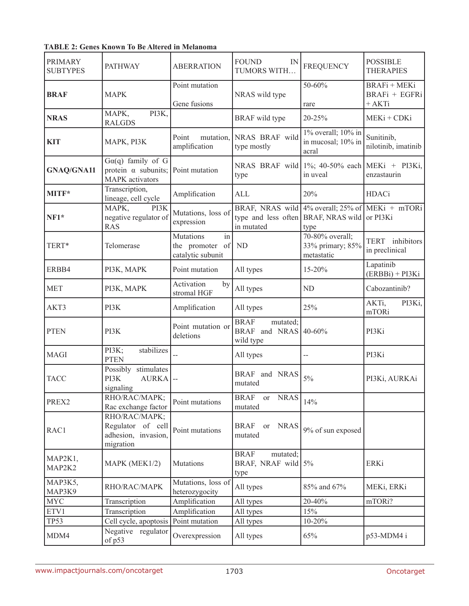| <b>PRIMARY</b><br><b>SUBTYPES</b> | <b>PATHWAY</b>                                                         | <b>ABERRATION</b>                                       | <b>FOUND</b><br>IN<br>TUMORS WITH                                                                                | <b>FREQUENCY</b>                                  | <b>POSSIBLE</b><br><b>THERAPIES</b>              |
|-----------------------------------|------------------------------------------------------------------------|---------------------------------------------------------|------------------------------------------------------------------------------------------------------------------|---------------------------------------------------|--------------------------------------------------|
| <b>BRAF</b>                       | <b>MAPK</b>                                                            | Point mutation<br>Gene fusions                          | NRAS wild type                                                                                                   | 50-60%<br>rare                                    | <b>BRAFi</b> + MEKi<br>BRAFi + EGFRi<br>$+ AKTi$ |
| <b>NRAS</b>                       | PI3K,<br>MAPK,<br><b>RALGDS</b>                                        |                                                         | <b>BRAF</b> wild type                                                                                            | 20-25%                                            | MEKi + CDKi                                      |
| <b>KIT</b>                        | MAPK, PI3K                                                             | Point<br>mutation,<br>amplification                     | NRAS BRAF wild<br>type mostly                                                                                    | 1% overall; 10% in<br>in mucosal; 10% in<br>acral | Sunitinib,<br>nilotinib, imatinib                |
| GNAQ/GNA11                        | $Ga(q)$ family of G<br>protein $\alpha$ subunits;<br>MAPK activators   | Point mutation                                          | NRAS BRAF wild $1\%$ ; 40-50% each MEKi + PI3Ki,<br>type                                                         | in uveal                                          | enzastaurin                                      |
| MITF*                             | Transcription,<br>lineage, cell cycle                                  | Amplification                                           | <b>ALL</b>                                                                                                       | 20%                                               | <b>HDACi</b>                                     |
| $NF1*$                            | MAPK,<br>PI3K<br>negative regulator of<br><b>RAS</b>                   | Mutations, loss of<br>expression                        | BRAF, NRAS wild $4\%$ overall; 25% of MEKi + mTORi<br>type and less often BRAF, NRAS wild or PI3Ki<br>in mutated | type                                              |                                                  |
| TERT*                             | Telomerase                                                             | Mutations<br>in<br>the promoter of<br>catalytic subunit | <b>ND</b>                                                                                                        | 70-80% overall;<br>33% primary; 85%<br>metastatic | TERT<br>inhibitors<br>in preclinical             |
| ERBB4                             | PI3K, MAPK                                                             | Point mutation                                          | All types                                                                                                        | $15 - 20%$                                        | Lapatinib<br>$(ERBBi) + PI3Ki$                   |
| <b>MET</b>                        | PI3K, MAPK                                                             | Activation<br>by<br>stromal HGF                         | All types                                                                                                        | <b>ND</b>                                         | Cabozantinib?                                    |
| AKT3                              | PI3K                                                                   | Amplification                                           | All types                                                                                                        | 25%                                               | AKTi,<br>PI3Ki,<br>mTORi                         |
| <b>PTEN</b>                       | PI3K                                                                   | Point mutation or<br>deletions                          | <b>BRAF</b><br>mutated;<br>BRAF and NRAS 40-60%<br>wild type                                                     |                                                   | PI3Ki                                            |
| <b>MAGI</b>                       | PI3K;<br>stabilizes<br><b>PTEN</b>                                     |                                                         | All types                                                                                                        | --                                                | PI3Ki                                            |
| <b>TACC</b>                       | Possibly stimulates<br>PI3K<br>AURKA-<br>signaling                     |                                                         | <b>BRAF</b><br>and NRAS<br>mutated                                                                               | 5%                                                | PI3Ki, AURKAi                                    |
| PREX2                             | RHO/RAC/MAPK;<br>Rac exchange factor                                   | Point mutations                                         | <b>NRAS</b><br><b>BRAF</b><br><b>or</b><br>mutated                                                               | 14%                                               |                                                  |
| RAC1                              | RHO/RAC/MAPK;<br>Regulator of cell<br>adhesion, invasion,<br>migration | Point mutations                                         | <b>NRAS</b><br><b>BRAF</b><br><b>or</b><br>mutated                                                               | 9% of sun exposed                                 |                                                  |
| MAP2K1,<br>MAP2K2                 | MAPK (MEK1/2)                                                          | Mutations                                               | <b>BRAF</b><br>mutated;<br>BRAF, NRAF wild 5%<br>type                                                            |                                                   | ERKi                                             |
| MAP3K5,<br>MAP3K9                 | RHO/RAC/MAPK                                                           | Mutations, loss of<br>heterozygocity                    | All types                                                                                                        | 85% and 67%                                       | MEKi, ERKi                                       |
| ${\rm MYC}$                       | Transcription                                                          | Amplification                                           | All types                                                                                                        | 20-40%                                            | mTORi?                                           |
| ETV1                              | Transcription                                                          | Amplification                                           | All types                                                                                                        | 15%                                               |                                                  |
| <b>TP53</b>                       | Cell cycle, apoptosis                                                  | Point mutation                                          | All types                                                                                                        | $10 - 20%$                                        |                                                  |
| MDM4                              | Negative<br>regulator<br>of p53                                        | Overexpression                                          | All types                                                                                                        | 65%                                               | p53-MDM4 i                                       |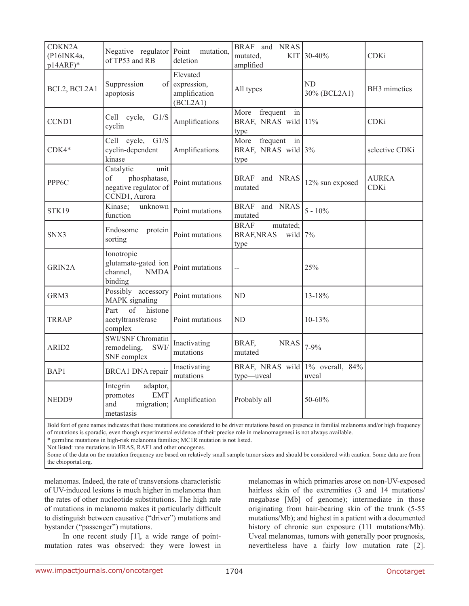| CDKN2A<br>(P16INK4a,<br>$p14ARF$ * | Negative regulator Point<br>of TP53 and RB                                        | mutation,<br>deletion                                   | BRAF and NRAS<br>mutated,<br>amplified                       | KIT 30-40%         | CDKi                     |
|------------------------------------|-----------------------------------------------------------------------------------|---------------------------------------------------------|--------------------------------------------------------------|--------------------|--------------------------|
| BCL2, BCL2A1                       | Suppression<br>apoptosis                                                          | Elevated<br>of expression,<br>amplification<br>(BCL2A1) | All types                                                    | ND<br>30% (BCL2A1) | BH <sub>3</sub> mimetics |
| CCND1                              | G1/S<br>Cell cycle,<br>cyclin                                                     | Amplifications                                          | More frequent<br>in<br>BRAF, NRAS wild 11%<br>type           |                    | CDKi                     |
| CDK4*                              | Cell cycle,<br>G1/S<br>cyclin-dependent<br>kinase                                 | Amplifications                                          | frequent<br>More<br>in<br>BRAF, NRAS wild 3%<br>type         |                    | selective CDKi           |
| PPP6C                              | Catalytic<br>unit<br>phosphatase,<br>of<br>negative regulator of<br>CCND1, Aurora | Point mutations                                         | BRAF and NRAS<br>mutated                                     | 12% sun exposed    | <b>AURKA</b><br>CDKi     |
| STK19                              | unknown<br>Kinase;<br>function                                                    | Point mutations                                         | and NRAS<br><b>BRAF</b><br>mutated                           | $5 - 10\%$         |                          |
| SNX3                               | Endosome<br>protein<br>sorting                                                    | Point mutations                                         | <b>BRAF</b><br>mutated;<br><b>BRAF, NRAS</b><br>wild<br>type | 7%                 |                          |
| GRIN2A                             | Ionotropic<br>glutamate-gated ion<br>channel.<br><b>NMDA</b><br>binding           | Point mutations                                         | $\overline{a}$                                               | 25%                |                          |
| GRM3                               | Possibly accessory<br>MAPK signaling                                              | Point mutations                                         | <b>ND</b>                                                    | 13-18%             |                          |
| <b>TRRAP</b>                       | of<br>histone<br>Part<br>acetyltransferase<br>complex                             | Point mutations                                         | <b>ND</b>                                                    | $10 - 13%$         |                          |
| ARID2                              | <b>SWI/SNF Chromatin</b><br>remodeling,<br>SWI/<br>SNF complex                    | Inactivating<br>mutations                               | <b>NRAS</b><br>BRAF,<br>mutated                              | $7 - 9\%$          |                          |
| BAP1                               | <b>BRCA1</b> DNA repair                                                           | Inactivating<br>mutations                               | BRAF, NRAS wild 1% overall, 84%<br>type-uveal                | uveal              |                          |
| NEDD9                              | Integrin<br>adaptor,<br><b>EMT</b><br>promotes<br>migration;<br>and<br>metastasis | Amplification                                           | Probably all                                                 | 50-60%             |                          |

Bold font of gene names indicates that these mutations are considered to be driver mutations based on presence in familial melanoma and/or high frequency of mutations is sporadic, even though experimental evidence of their precise role in melanomagenesi is not always available.

\* germline mutations in high-risk melanoma families; MC1R mutation is not listed.

Not listed: rare mutations in HRAS, RAF1 and other oncogenes.

Some of the data on the mutation frequency are based on relatively small sample tumor sizes and should be considered with caution. Some data are from the cbioportal.org.

melanomas. Indeed, the rate of transversions characteristic of UV-induced lesions is much higher in melanoma than the rates of other nucleotide substitutions. The high rate of mutations in melanoma makes it particularly difficult to distinguish between causative ("driver") mutations and bystander ("passenger") mutations.

In one recent study [1], a wide range of pointmutation rates was observed: they were lowest in melanomas in which primaries arose on non-UV-exposed hairless skin of the extremities (3 and 14 mutations/ megabase [Mb] of genome); intermediate in those originating from hair-bearing skin of the trunk (5-55 mutations/Mb); and highest in a patient with a documented history of chronic sun exposure (111 mutations/Mb). Uveal melanomas, tumors with generally poor prognosis, nevertheless have a fairly low mutation rate [2].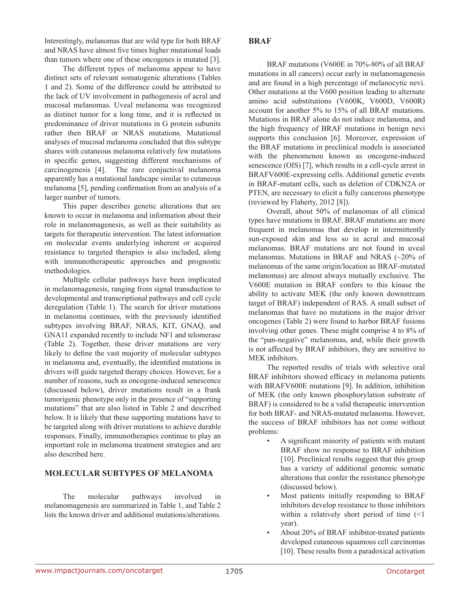Interestingly, melanomas that are wild type for both BRAF and NRAS have almost five times higher mutational loads than tumors where one of these oncogenes is mutated [3].

The different types of melanoma appear to have distinct sets of relevant somatogenic alterations (Tables 1 and 2). Some of the difference could be attributed to the lack of UV involvement in pathogenesis of acral and mucosal melanomas. Uveal melanoma was recognized as distinct tumor for a long time, and it is reflected in predominance of driver mutations in G protein subunits rather then BRAF or NRAS mutations. Mutational analyses of mucosal melanoma concluded that this subtype shares with cutaneous melanoma relatively few mutations in specific genes, suggesting different mechanisms of carcinogenesis [4]. The rare conjuctival melanoma apparently has a mutational landscape similar to cutaneous melanoma [5], pending confirmation from an analysis of a larger number of tumors.

This paper describes genetic alterations that are known to occur in melanoma and information about their role in melanomagenesis, as well as their suitability as targets for therapeutic intervention. The latest information on molecular events underlying inherent or acquired resistance to targeted therapies is also included, along with immunotherapeutic approaches and prognostic methodologies.

Multiple cellular pathways have been implicated in melanomagenesis, ranging from signal transduction to developmental and transcriptional pathways and cell cycle deregulation (Table 1). The search for driver mutations in melanoma continues, with the previously identified subtypes involving BRAF, NRAS, KIT, GNAQ, and GNA11 expanded recently to include NF1 and telomerase (Table 2). Together, these driver mutations are very likely to define the vast majority of molecular subtypes in melanoma and, eventually, the identified mutations in drivers will guide targeted therapy choices. However, for a number of reasons, such as oncogene-induced senescence (discussed below), driver mutations result in a frank tumorigenic phenotype only in the presence of "supporting mutations" that are also listed in Table 2 and described below. It is likely that these supporting mutations have to be targeted along with driver mutations to achieve durable responses. Finally, immunotherapies continue to play an important role in melanoma treatment strategies and are also described here.

# **MOLECULAR SUBTYPES OF MELANOMA**

The molecular pathways involved in melanomagenesis are summarized in Table 1, and Table 2 lists the known driver and additional mutations/alterations.

### **BRAF**

BRAF mutations (V600E in 70%-80% of all BRAF mutations in all cancers) occur early in melanomagenesis and are found in a high percentage of melanocytic nevi. Other mutations at the V600 position leading to alternate amino acid substitutions (V600K, V600D, V600R) account for another 5% to 15% of all BRAF mutations. Mutations in BRAF alone do not induce melanoma, and the high frequency of BRAF mutations in benign nevi supports this conclusion [6]. Moreover, expression of the BRAF mutations in preclinical models is associated with the phenomenon known as oncogene-induced senescence (OIS) [7], which results in a cell-cycle arrest in BRAFV600E-expressing cells. Additional genetic events in BRAF-mutant cells, such as deletion of CDKN2A or PTEN, are necessary to elicit a fully cancerous phenotype (reviewed by Flaherty, 2012 [8]).

Overall, about 50% of melanomas of all clinical types have mutations in BRAF. BRAF mutations are more frequent in melanomas that develop in intermittently sun-exposed skin and less so in acral and mucosal melanomas. BRAF mutations are not found in uveal melanomas. Mutations in BRAF and NRAS (~20% of melanomas of the same origin/location as BRAF-mutated melanomas) are almost always mutually exclusive. The V600E mutation in BRAF confers to this kinase the ability to activate MEK (the only known downstream target of BRAF) independent of RAS. A small subset of melanomas that have no mutations in the major driver oncogenes (Table 2) were found to harbor BRAF fusions involving other genes. These might comprise 4 to 8% of the "pan-negative" melanomas, and, while their growth is not affected by BRAF inhibitors, they are sensitive to MEK inhibitors.

The reported results of trials with selective oral BRAF inhibitors showed efficacy in melanoma patients with BRAFV600E mutations [9]. In addition, inhibition of MEK (the only known phosphorylation substrate of BRAF) is considered to be a valid therapeutic intervention for both BRAF- and NRAS-mutated melanoma. However, the success of BRAF inhibitors has not come without problems:

- A significant minority of patients with mutant BRAF show no response to BRAF inhibition [10]. Preclinical results suggest that this group has a variety of additional genomic somatic alterations that confer the resistance phenotype (discussed below).
- Most patients initially responding to BRAF inhibitors develop resistance to those inhibitors within a relatively short period of time (<1 year).
- About 20% of BRAF inhibitor-treated patients developed cutaneous squamous cell carcinomas [10]. These results from a paradoxical activation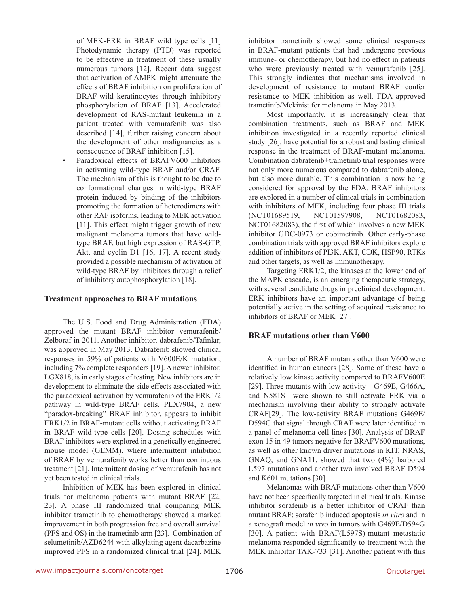of MEK-ERK in BRAF wild type cells [11] Photodynamic therapy (PTD) was reported to be effective in treatment of these usually numerous tumors [12]. Recent data suggest that activation of AMPK might attenuate the effects of BRAF inhibition on proliferation of BRAF-wild keratinocytes through inhibitory phosphorylation of BRAF [13]. Accelerated development of RAS-mutant leukemia in a patient treated with vemurafenib was also described [14], further raising concern about the development of other malignancies as a consequence of BRAF inhibition [15].

• Paradoxical effects of BRAFV600 inhibitors in activating wild-type BRAF and/or CRAF. The mechanism of this is thought to be due to conformational changes in wild-type BRAF protein induced by binding of the inhibitors promoting the formation of heterodimers with other RAF isoforms, leading to MEK activation [11]. This effect might trigger growth of new malignant melanoma tumors that have wildtype BRAF, but high expression of RAS-GTP, Akt, and cyclin D1 [16, 17]. A recent study provided a possible mechanism of activation of wild-type BRAF by inhibitors through a relief of inhibitory autophosphorylation [18].

#### **Treatment approaches to BRAF mutations**

The U.S. Food and Drug Administration (FDA) approved the mutant BRAF inhibitor vemurafenib/ Zelboraf in 2011. Another inhibitor, dabrafenib/Tafinlar, was approved in May 2013. Dabrafenib showed clinical responses in 59% of patients with V600E/K mutation, including 7% complete responders [19]. A newer inhibitor, LGX818, is in early stages of testing. New inhibitors are in development to eliminate the side effects associated with the paradoxical activation by vemurafenib of the ERK1/2 pathway in wild-type BRAF cells. PLX7904, a new "paradox-breaking" BRAF inhibitor, appears to inhibit ERK1/2 in BRAF-mutant cells without activating BRAF in BRAF wild-type cells [20]. Dosing schedules with BRAF inhibitors were explored in a genetically engineered mouse model (GEMM), where intermittent inhibition of BRAF by vemurafenib works better than continuous treatment [21]. Intermittent dosing of vemurafenib has not yet been tested in clinical trials.

Inhibition of MEK has been explored in clinical trials for melanoma patients with mutant BRAF [22, 23]. A phase III randomized trial comparing MEK inhibitor trametinib to chemotherapy showed a marked improvement in both progression free and overall survival (PFS and OS) in the trametinib arm [23]. Combination of selumetinib/AZD6244 with alkylating agent dacarbazine improved PFS in a randomized clinical trial [24]. MEK

inhibitor trametinib showed some clinical responses in BRAF-mutant patients that had undergone previous immune- or chemotherapy, but had no effect in patients who were previously treated with vemurafenib [25]. This strongly indicates that mechanisms involved in development of resistance to mutant BRAF confer resistance to MEK inhibition as well. FDA approved trametinib/Mekinist for melanoma in May 2013.

Most importantly, it is increasingly clear that combination treatments, such as BRAF and MEK inhibition investigated in a recently reported clinical study [26], have potential for a robust and lasting clinical response in the treatment of BRAF-mutant melanoma. Combination dabrafenib+trametinib trial responses were not only more numerous compared to dabrafenib alone, but also more durable. This combination is now being considered for approval by the FDA. BRAF inhibitors are explored in a number of clinical trials in combination with inhibitors of MEK, including four phase III trials (NCT01689519, NCT01597908, NCT01682083, NCT01682083), the first of which involves a new MEK inhibitor GDC-0973 or cobimetinib. Other early-phase combination trials with approved BRAF inhibitors explore addition of inhibitors of PI3K, AKT, CDK, HSP90, RTKs and other targets, as well as immunotherapy.

Targeting ERK1/2, the kinases at the lower end of the MAPK cascade, is an emerging therapeutic strategy, with several candidate drugs in preclinical development. ERK inhibitors have an important advantage of being potentially active in the setting of acquired resistance to inhibitors of BRAF or MEK [27].

#### **BRAF mutations other than V600**

A number of BRAF mutants other than V600 were identified in human cancers [28]. Some of these have a relatively low kinase activity compared to BRAFV600E [29]. Three mutants with low activity—G469E, G466A, and N581S—were shown to still activate ERK via a mechanism involving their ability to strongly activate CRAF[29]. The low-activity BRAF mutations G469E/ D594G that signal through CRAF were later identified in a panel of melanoma cell lines [30]. Analysis of BRAF exon 15 in 49 tumors negative for BRAFV600 mutations, as well as other known driver mutations in KIT, NRAS, GNAQ, and GNA11, showed that two (4%) harbored L597 mutations and another two involved BRAF D594 and K601 mutations [30].

Melanomas with BRAF mutations other than V600 have not been specifically targeted in clinical trials. Kinase inhibitor sorafenib is a better inhibitor of CRAF than mutant BRAF; sorafenib induced apoptosis *in vitro* and in a xenograft model *in vivo* in tumors with G469E/D594G [30]. A patient with BRAF(L597S)-mutant metastatic melanoma responded significantly to treatment with the MEK inhibitor TAK-733 [31]. Another patient with this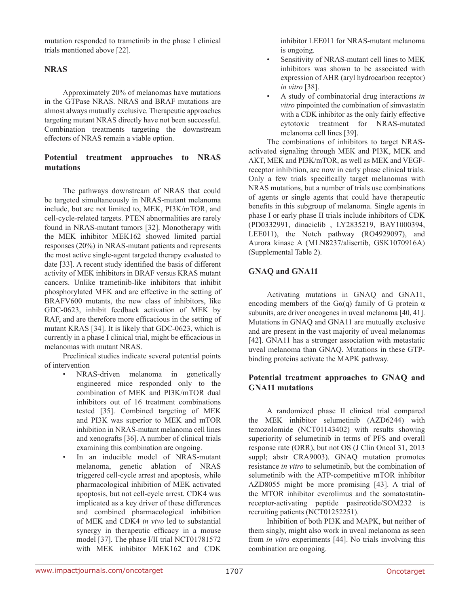mutation responded to trametinib in the phase I clinical trials mentioned above [22].

# **NRAS**

Approximately 20% of melanomas have mutations in the GTPase NRAS. NRAS and BRAF mutations are almost always mutually exclusive. Therapeutic approaches targeting mutant NRAS directly have not been successful. Combination treatments targeting the downstream effectors of NRAS remain a viable option.

### **Potential treatment approaches to NRAS mutations**

The pathways downstream of NRAS that could be targeted simultaneously in NRAS-mutant melanoma include, but are not limited to, MEK, PI3K/mTOR, and cell-cycle-related targets. PTEN abnormalities are rarely found in NRAS-mutant tumors [32]. Monotherapy with the MEK inhibitor MEK162 showed limited partial responses (20%) in NRAS-mutant patients and represents the most active single-agent targeted therapy evaluated to date [33]. A recent study identified the basis of different activity of MEK inhibitors in BRAF versus KRAS mutant cancers. Unlike trametinib-like inhibitors that inhibit phosphorylated MEK and are effective in the setting of BRAFV600 mutants, the new class of inhibitors, like GDC-0623, inhibit feedback activation of MEK by RAF, and are therefore more efficacious in the setting of mutant KRAS [34]. It is likely that GDC-0623, which is currently in a phase I clinical trial, might be efficacious in melanomas with mutant NRAS.

Preclinical studies indicate several potential points of intervention

- NRAS-driven melanoma in genetically engineered mice responded only to the combination of MEK and PI3K/mTOR dual inhibitors out of 16 treatment combinations tested [35]. Combined targeting of MEK and PI3K was superior to MEK and mTOR inhibition in NRAS-mutant melanoma cell lines and xenografts [36]. A number of clinical trials examining this combination are ongoing.
- In an inducible model of NRAS-mutant melanoma, genetic ablation of NRAS triggered cell-cycle arrest and apoptosis, while pharmacological inhibition of MEK activated apoptosis, but not cell-cycle arrest. CDK4 was implicated as a key driver of these differences and combined pharmacological inhibition of MEK and CDK4 *in vivo* led to substantial synergy in therapeutic efficacy in a mouse model [37]. The phase I/II trial NCT01781572 with MEK inhibitor MEK162 and CDK

inhibitor LEE011 for NRAS-mutant melanoma is ongoing.

- Sensitivity of NRAS-mutant cell lines to MEK inhibitors was shown to be associated with expression of AHR (aryl hydrocarbon receptor) *in vitro* [38].
- A study of combinatorial drug interactions *in vitro* pinpointed the combination of simvastatin with a CDK inhibitor as the only fairly effective cytotoxic treatment for NRAS-mutated melanoma cell lines [39].

The combinations of inhibitors to target NRASactivated signaling through MEK and PI3K, MEK and AKT, MEK and PI3K/mTOR, as well as MEK and VEGFreceptor inhibition, are now in early phase clinical trials. Only a few trials specifically target melanomas with NRAS mutations, but a number of trials use combinations of agents or single agents that could have therapeutic benefits in this subgroup of melanoma. Single agents in phase I or early phase II trials include inhibitors of CDK (PD0332991, dinaciclib , LY2835219, BAY1000394, LEE011), the Notch pathway (RO4929097), and Aurora kinase A (MLN8237/alisertib, GSK1070916A) (Supplemental Table 2).

# **GNAQ and GNA11**

Activating mutations in GNAQ and GNA11, encoding members of the G $\alpha$ (q) family of G protein  $\alpha$ subunits, are driver oncogenes in uveal melanoma [40, 41]. Mutations in GNAQ and GNA11 are mutually exclusive and are present in the vast majority of uveal melanomas [42]. GNA11 has a stronger association with metastatic uveal melanoma than GNAQ. Mutations in these GTPbinding proteins activate the MAPK pathway.

### **Potential treatment approaches to GNAQ and GNA11 mutations**

A randomized phase II clinical trial compared the MEK inhibitor selumetinib (AZD6244) with temozolomide (NCT01143402) with results showing superiority of selumetinib in terms of PFS and overall response rate (ORR), but not OS (J Clin Oncol 31, 2013 suppl; abstr CRA9003). GNAQ mutation promotes resistance *in vitro* to selumetinib, but the combination of selumetinib with the ATP-competitive mTOR inhibitor AZD8055 might be more promising [43]. A trial of the MTOR inhibitor everolimus and the somatostatinreceptor-activating peptide pasireotide/SOM232 is recruiting patients (NCT01252251).

Inhibition of both PI3K and MAPK, but neither of them singly, might also work in uveal melanoma as seen from *in vitro* experiments [44]. No trials involving this combination are ongoing.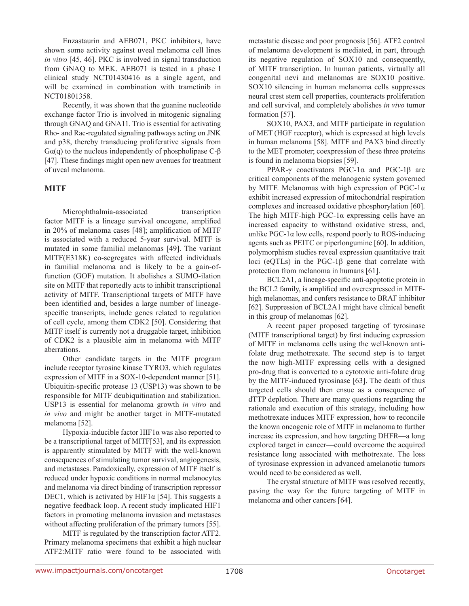Enzastaurin and AEB071, PKC inhibitors, have shown some activity against uveal melanoma cell lines *in vitro* [45, 46]. PKC is involved in signal transduction from GNAQ to MEK. AEB071 is tested in a phase I clinical study NCT01430416 as a single agent, and will be examined in combination with trametinib in NCT01801358.

Recently, it was shown that the guanine nucleotide exchange factor Trio is involved in mitogenic signaling through GNAQ and GNA11. Trio is essential for activating Rho- and Rac-regulated signaling pathways acting on JNK and p38, thereby transducing proliferative signals from  $Ga(q)$  to the nucleus independently of phospholipase C- $\beta$ [47]. These findings might open new avenues for treatment of uveal melanoma.

#### **MITF**

Microphthalmia-associated transcription factor MITF is a lineage survival oncogene, amplified in 20% of melanoma cases [48]; amplification of MITF is associated with a reduced 5-year survival. MITF is mutated in some familial melanomas [49]. The variant MITF(E318K) co-segregates with affected individuals in familial melanoma and is likely to be a gain-offunction (GOF) mutation. It abolishes a SUMO-ilation site on MITF that reportedly acts to inhibit transcriptional activity of MITF. Transcriptional targets of MITF have been identified and, besides a large number of lineagespecific transcripts, include genes related to regulation of cell cycle, among them CDK2 [50]. Considering that MITF itself is currently not a druggable target, inhibition of CDK2 is a plausible aim in melanoma with MITF aberrations.

Other candidate targets in the MITF program include receptor tyrosine kinase TYRO3, which regulates expression of MITF in a SOX-10-dependent manner [51]. Ubiquitin-specific protease 13 (USP13) was shown to be responsible for MITF deubiquitination and stabilization. USP13 is essential for melanoma growth *in vitro* and *in vivo* and might be another target in MITF-mutated melanoma [52].

Hypoxia-inducible factor HIF1 $\alpha$  was also reported to be a transcriptional target of MITF[53], and its expression is apparently stimulated by MITF with the well-known consequences of stimulating tumor survival, angiogenesis, and metastases. Paradoxically, expression of MITF itself is reduced under hypoxic conditions in normal melanocytes and melanoma via direct binding of transcription repressor DEC1, which is activated by HIF1 $\alpha$  [54]. This suggests a negative feedback loop. A recent study implicated HIF1 factors in promoting melanoma invasion and metastases without affecting proliferation of the primary tumors [55].

MITF is regulated by the transcription factor ATF2. Primary melanoma specimens that exhibit a high nuclear ATF2:MITF ratio were found to be associated with metastatic disease and poor prognosis [56]. ATF2 control of melanoma development is mediated, in part, through its negative regulation of SOX10 and consequently, of MITF transcription. In human patients, virtually all congenital nevi and melanomas are SOX10 positive. SOX10 silencing in human melanoma cells suppresses neural crest stem cell properties, counteracts proliferation and cell survival, and completely abolishes *in vivo* tumor formation [57].

SOX10, PAX3, and MITF participate in regulation of MET (HGF receptor), which is expressed at high levels in human melanoma [58]. MITF and PAX3 bind directly to the MET promoter; coexpression of these three proteins is found in melanoma biopsies [59].

PPAR-γ coactivators PGC-1α and PGC-1β are critical components of the melanogenic system governed by MITF. Melanomas with high expression of PGC-1α exhibit increased expression of mitochondrial respiration complexes and increased oxidative phosphorylation [60]. The high MITF-high PGC-1 $\alpha$  expressing cells have an increased capacity to withstand oxidative stress, and, unlike PGC-1 $\alpha$  low cells, respond poorly to ROS-inducing agents such as PEITC or piperlongumine [60]. In addition, polymorphism studies reveal expression quantitative trait loci (eQTLs) in the PGC-1β gene that correlate with protection from melanoma in humans [61].

BCL2A1, a lineage-specific anti-apoptotic protein in the BCL2 family, is amplified and overexpressed in MITFhigh melanomas, and confers resistance to BRAF inhibitor [62]. Suppression of BCL2A1 might have clinical benefit in this group of melanomas [62].

A recent paper proposed targeting of tyrosinase (MITF transcriptional target) by first inducing expression of MITF in melanoma cells using the well-known antifolate drug methotrexate. The second step is to target the now high-MITF expressing cells with a designed pro-drug that is converted to a cytotoxic anti-folate drug by the MITF-induced tyrosinase [63]. The death of thus targeted cells should then ensue as a consequence of dTTP depletion. There are many questions regarding the rationale and execution of this strategy, including how methotrexate induces MITF expression, how to reconcile the known oncogenic role of MITF in melanoma to further increase its expression, and how targeting DHFR—a long explored target in cancer—could overcome the acquired resistance long associated with methotrexate. The loss of tyrosinase expression in advanced amelanotic tumors would need to be considered as well.

The crystal structure of MITF was resolved recently, paving the way for the future targeting of MITF in melanoma and other cancers [64].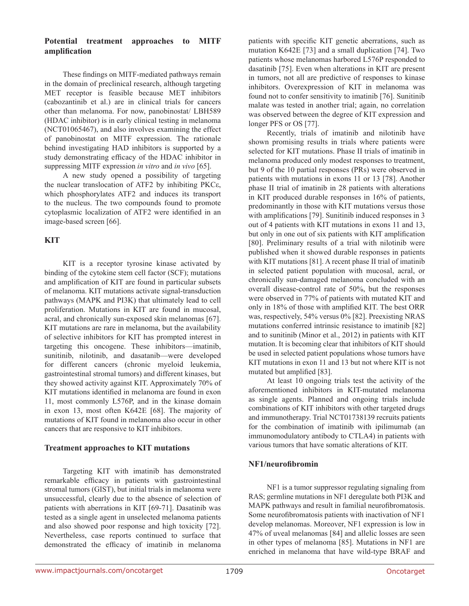### **Potential treatment approaches to MITF amplification**

These findings on MITF-mediated pathways remain in the domain of preclinical research, although targeting MET receptor is feasible because MET inhibitors (cabozantinib et al.) are in clinical trials for cancers other than melanoma. For now, panobinostat/ LBH589 (HDAC inhibitor) is in early clinical testing in melanoma (NCT01065467), and also involves examining the effect of panobinostat on MITF expression. The rationale behind investigating HAD inhibitors is supported by a study demonstrating efficacy of the HDAC inhibitor in suppressing MITF expression *in vitro* and *in vivo* [65].

A new study opened a possibility of targeting the nuclear translocation of ATF2 by inhibiting PKCε, which phosphorylates ATF2 and induces its transport to the nucleus. The two compounds found to promote cytoplasmic localization of ATF2 were identified in an image-based screen [66].

# **KIT**

KIT is a receptor tyrosine kinase activated by binding of the cytokine stem cell factor (SCF); mutations and amplification of KIT are found in particular subsets of melanoma. KIT mutations activate signal-transduction pathways (MAPK and PI3K) that ultimately lead to cell proliferation. Mutations in KIT are found in mucosal, acral, and chronically sun-exposed skin melanomas [67]. KIT mutations are rare in melanoma, but the availability of selective inhibitors for KIT has prompted interest in targeting this oncogene. These inhibitors—imatinib, sunitinib, nilotinib, and dasatanib—were developed for different cancers (chronic myeloid leukemia, gastrointestinal stromal tumors) and different kinases, but they showed activity against KIT. Approximately 70% of KIT mutations identified in melanoma are found in exon 11, most commonly L576P, and in the kinase domain in exon 13, most often K642E [68]. The majority of mutations of KIT found in melanoma also occur in other cancers that are responsive to KIT inhibitors.

#### **Treatment approaches to KIT mutations**

Targeting KIT with imatinib has demonstrated remarkable efficacy in patients with gastrointestinal stromal tumors (GIST), but initial trials in melanoma were unsuccessful, clearly due to the absence of selection of patients with aberrations in KIT [69-71]. Dasatinib was tested as a single agent in unselected melanoma patients and also showed poor response and high toxicity [72]. Nevertheless, case reports continued to surface that demonstrated the efficacy of imatinib in melanoma patients with specific KIT genetic aberrations, such as mutation K642E [73] and a small duplication [74]. Two patients whose melanomas harbored L576P responded to dasatinib [75]. Even when alterations in KIT are present in tumors, not all are predictive of responses to kinase inhibitors. Overexpression of KIT in melanoma was found not to confer sensitivity to imatinib [76]. Sunitinib malate was tested in another trial; again, no correlation was observed between the degree of KIT expression and longer PFS or OS [77].

Recently, trials of imatinib and nilotinib have shown promising results in trials where patients were selected for KIT mutations. Phase II trials of imatinib in melanoma produced only modest responses to treatment, but 9 of the 10 partial responses (PRs) were observed in patients with mutations in exons 11 or 13 [78]. Another phase II trial of imatinib in 28 patients with alterations in KIT produced durable responses in 16% of patients, predominantly in those with KIT mutations versus those with amplifications [79]. Sunitinib induced responses in 3 out of 4 patients with KIT mutations in exons 11 and 13, but only in one out of six patients with KIT amplification [80]. Preliminary results of a trial with nilotinib were published when it showed durable responses in patients with KIT mutations [81]. A recent phase II trial of imatinib in selected patient population with mucosal, acral, or chronically sun-damaged melanoma concluded with an overall disease-control rate of 50%, but the responses were observed in 77% of patients with mutated KIT and only in 18% of those with amplified KIT. The best ORR was, respectively, 54% versus 0% [82]. Preexisting NRAS mutations conferred intrinsic resistance to imatinib [82] and to sunitinib (Minor et al., 2012) in patients with KIT mutation. It is becoming clear that inhibitors of KIT should be used in selected patient populations whose tumors have KIT mutations in exon 11 and 13 but not where KIT is not mutated but amplified [83].

At least 10 ongoing trials test the activity of the aforementioned inhibitors in KIT-mutated melanoma as single agents. Planned and ongoing trials include combinations of KIT inhibitors with other targeted drugs and immunotherapy. Trial NCT01738139 recruits patients for the combination of imatinib with ipilimumab (an immunomodulatory antibody to CTLA4) in patients with various tumors that have somatic alterations of KIT.

# **NF1/neurofibromin**

NF1 is a tumor suppressor regulating signaling from RAS; germline mutations in NF1 deregulate both PI3K and MAPK pathways and result in familial neurofibromatosis. Some neurofibromatosis patients with inactivation of NF1 develop melanomas. Moreover, NF1 expression is low in 47% of uveal melanomas [84] and allelic losses are seen in other types of melanoma [85]. Mutations in NF1 are enriched in melanoma that have wild-type BRAF and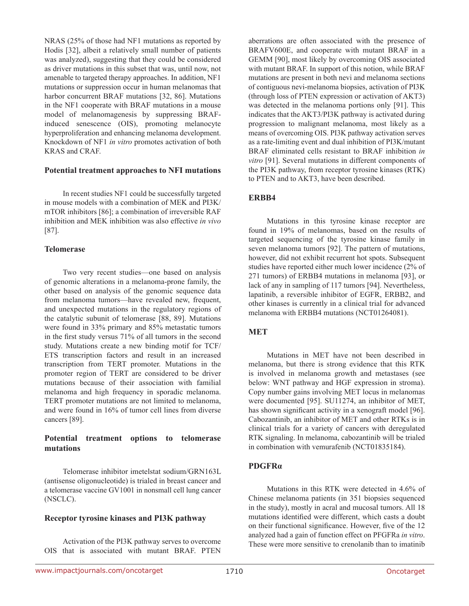NRAS (25% of those had NF1 mutations as reported by Hodis [32], albeit a relatively small number of patients was analyzed), suggesting that they could be considered as driver mutations in this subset that was, until now, not amenable to targeted therapy approaches. In addition, NF1 mutations or suppression occur in human melanomas that harbor concurrent BRAF mutations [32, 86]. Mutations in the NF1 cooperate with BRAF mutations in a mouse model of melanomagenesis by suppressing BRAFinduced senescence (OIS), promoting melanocyte hyperproliferation and enhancing melanoma development. Knockdown of NF1 *in vitro* promotes activation of both KRAS and CRAF.

#### **Potential treatment approaches to NFI mutations**

In recent studies NF1 could be successfully targeted in mouse models with a combination of MEK and PI3K/ mTOR inhibitors [86]; a combination of irreversible RAF inhibition and MEK inhibition was also effective *in vivo* [87].

#### **Telomerase**

Two very recent studies—one based on analysis of genomic alterations in a melanoma-prone family, the other based on analysis of the genomic sequence data from melanoma tumors—have revealed new, frequent, and unexpected mutations in the regulatory regions of the catalytic subunit of telomerase [88, 89]. Mutations were found in 33% primary and 85% metastatic tumors in the first study versus 71% of all tumors in the second study. Mutations create a new binding motif for TCF/ ETS transcription factors and result in an increased transcription from TERT promoter. Mutations in the promoter region of TERT are considered to be driver mutations because of their association with familial melanoma and high frequency in sporadic melanoma. TERT promoter mutations are not limited to melanoma, and were found in 16% of tumor cell lines from diverse cancers [89].

#### **Potential treatment options to telomerase mutations**

Telomerase inhibitor imetelstat sodium/GRN163L (antisense oligonucleotide) is trialed in breast cancer and a telomerase vaccine GV1001 in nonsmall cell lung cancer (NSCLC).

#### **Receptor tyrosine kinases and PI3K pathway**

Activation of the PI3K pathway serves to overcome OIS that is associated with mutant BRAF. PTEN aberrations are often associated with the presence of BRAFV600E, and cooperate with mutant BRAF in a GEMM [90], most likely by overcoming OIS associated with mutant BRAF. In support of this notion, while BRAF mutations are present in both nevi and melanoma sections of contiguous nevi-melanoma biopsies, activation of PI3K (through loss of PTEN expression or activation of AKT3) was detected in the melanoma portions only [91]. This indicates that the AKT3/PI3K pathway is activated during progression to malignant melanoma, most likely as a means of overcoming OIS. PI3K pathway activation serves as a rate-limiting event and dual inhibition of PI3K/mutant BRAF eliminated cells resistant to BRAF inhibition *in vitro* [91]. Several mutations in different components of the PI3K pathway, from receptor tyrosine kinases (RTK) to PTEN and to AKT3, have been described.

### **ERBB4**

Mutations in this tyrosine kinase receptor are found in 19% of melanomas, based on the results of targeted sequencing of the tyrosine kinase family in seven melanoma tumors [92]. The pattern of mutations, however, did not exhibit recurrent hot spots. Subsequent studies have reported either much lower incidence (2% of 271 tumors) of ERBB4 mutations in melanoma [93], or lack of any in sampling of 117 tumors [94]. Nevertheless, lapatinib, a reversible inhibitor of EGFR, ERBB2, and other kinases is currently in a clinical trial for advanced melanoma with ERBB4 mutations (NCT01264081).

#### **MET**

Mutations in MET have not been described in melanoma, but there is strong evidence that this RTK is involved in melanoma growth and metastases (see below: WNT pathway and HGF expression in stroma). Copy number gains involving MET locus in melanomas were documented [95]. SU11274, an inhibitor of MET, has shown significant activity in a xenograft model [96]. Cabozantinib, an inhibitor of MET and other RTKs is in clinical trials for a variety of cancers with deregulated RTK signaling. In melanoma, cabozantinib will be trialed in combination with vemurafenib (NCT01835184).

#### **PDGFRα**

Mutations in this RTK were detected in 4.6% of Chinese melanoma patients (in 351 biopsies sequenced in the study), mostly in acral and mucosal tumors. All 18 mutations identified were different, which casts a doubt on their functional significance. However, five of the 12 analyzed had a gain of function effect on PFGFRa *in vitro*. These were more sensitive to crenolanib than to imatinib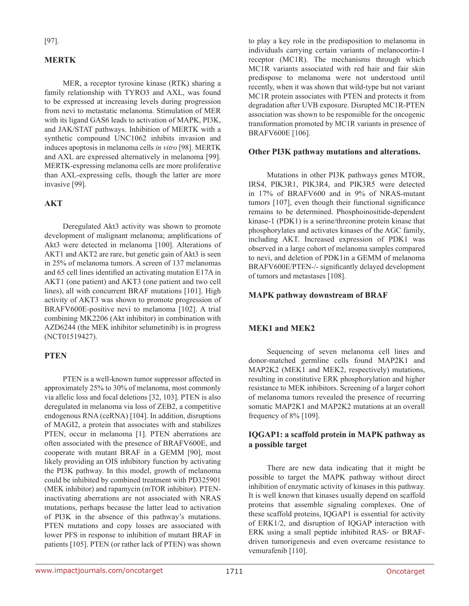## **MERTK**

MER, a receptor tyrosine kinase (RTK) sharing a family relationship with TYRO3 and AXL, was found to be expressed at increasing levels during progression from nevi to metastatic melanoma. Stimulation of MER with its ligand GAS6 leads to activation of MAPK, PI3K, and JAK/STAT pathways. Inhibition of MERTK with a synthetic compound UNC1062 inhibits invasion and induces apoptosis in melanoma cells *in vitro* [98]. MERTK and AXL are expressed alternatively in melanoma [99]. MERTK-expressing melanoma cells are more proliferative than AXL-expressing cells, though the latter are more invasive [99].

# **AKT**

Deregulated Akt3 activity was shown to promote development of malignant melanoma; amplifications of Akt3 were detected in melanoma [100]. Alterations of AKT1 and AKT2 are rare, but genetic gain of Akt3 is seen in 25% of melanoma tumors. A screen of 137 melanomas and 65 cell lines identified an activating mutation E17A in AKT1 (one patient) and AKT3 (one patient and two cell lines), all with concurrent BRAF mutations [101]. High activity of AKT3 was shown to promote progression of BRAFV600E-positive nevi to melanoma [102]. A trial combining MK2206 (Akt inhibitor) in combination with AZD6244 (the MEK inhibitor selumetinib) is in progress (NCT01519427).

# **PTEN**

PTEN is a well-known tumor suppressor affected in approximately 25% to 30% of melanoma, most commonly via allelic loss and focal deletions [32, 103]. PTEN is also deregulated in melanoma via loss of ZEB2, a competitive endogenous RNA (ceRNA) [104]. In addition, disruptions of MAGI2, a protein that associates with and stabilizes PTEN, occur in melanoma [1]. PTEN aberrations are often associated with the presence of BRAFV600E, and cooperate with mutant BRAF in a GEMM [90], most likely providing an OIS inhibitory function by activating the PI3K pathway. In this model, growth of melanoma could be inhibited by combined treatment with PD325901 (MEK inhibitor) and rapamycin (mTOR inhibitor). PTENinactivating aberrations are not associated with NRAS mutations, perhaps because the latter lead to activation of PI3K in the absence of this pathway's mutations. PTEN mutations and copy losses are associated with lower PFS in response to inhibition of mutant BRAF in patients [105]. PTEN (or rather lack of PTEN) was shown to play a key role in the predisposition to melanoma in individuals carrying certain variants of melanocortin-1 receptor (MC1R). The mechanisms through which MC1R variants associated with red hair and fair skin predispose to melanoma were not understood until recently, when it was shown that wild-type but not variant MC1R protein associates with PTEN and protects it from degradation after UVB exposure. Disrupted MC1R-PTEN association was shown to be responsible for the oncogenic transformation promoted by MC1R variants in presence of BRAFV600E [106].

# **Other PI3K pathway mutations and alterations.**

Mutations in other PI3K pathways genes MTOR, IRS4, PIK3R1, PIK3R4, and PIK3R5 were detected in 17% of BRAFV600 and in 9% of NRAS-mutant tumors [107], even though their functional significance remains to be determined. Phosphoinositide-dependent kinase-1 (PDK1) is a serine/threonine protein kinase that phosphorylates and activates kinases of the AGC family, including AKT. Increased expression of PDK1 was observed in a large cohort of melanoma samples compared to nevi, and deletion of PDK1in a GEMM of melanoma BRAFV600E/PTEN-/- significantly delayed development of tumors and metastases [108].

# **MAPK pathway downstream of BRAF**

# **MEK1 and MEK2**

Sequencing of seven melanoma cell lines and donor-matched germline cells found MAP2K1 and MAP2K2 (MEK1 and MEK2, respectively) mutations, resulting in constitutive ERK phosphorylation and higher resistance to MEK inhibitors. Screening of a larger cohort of melanoma tumors revealed the presence of recurring somatic MAP2K1 and MAP2K2 mutations at an overall frequency of 8% [109].

# **IQGAP1: a scaffold protein in MAPK pathway as a possible target**

There are new data indicating that it might be possible to target the MAPK pathway without direct inhibition of enzymatic activity of kinases in this pathway. It is well known that kinases usually depend on scaffold proteins that assemble signaling complexes. One of these scaffold proteins, IQGAP1 is essential for activity of ERK1/2, and disruption of IQGAP interaction with ERK using a small peptide inhibited RAS- or BRAFdriven tumorigenesis and even overcame resistance to vemurafenib [110].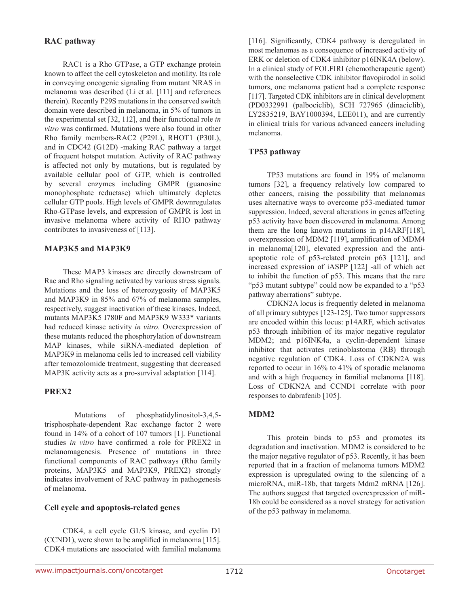## **RAC pathway**

RAC1 is a Rho GTPase, a GTP exchange protein known to affect the cell cytoskeleton and motility. Its role in conveying oncogenic signaling from mutant NRAS in melanoma was described (Li et al. [111] and references therein). Recently P29S mutations in the conserved switch domain were described in melanoma, in 5% of tumors in the experimental set [32, 112], and their functional role *in vitro* was confirmed. Mutations were also found in other Rho family members-RAC2 (P29L), RHOT1 (P30L), and in CDC42 (G12D) -making RAC pathway a target of frequent hotspot mutation. Activity of RAC pathway is affected not only by mutations, but is regulated by available cellular pool of GTP, which is controlled by several enzymes including GMPR (guanosine monophosphate reductase) which ultimately depletes cellular GTP pools. High levels of GMPR downregulates Rho-GTPase levels, and expression of GMPR is lost in invasive melanoma where activity of RHO pathway contributes to invasiveness of [113].

### **MAP3K5 and MAP3K9**

These MAP3 kinases are directly downstream of Rac and Rho signaling activated by various stress signals. Mutations and the loss of heterozygosity of MAP3K5 and MAP3K9 in 85% and 67% of melanoma samples, respectively, suggest inactivation of these kinases. Indeed, mutants MAP3K5 I780F and MAP3K9 W333\* variants had reduced kinase activity *in vitro*. Overexpression of these mutants reduced the phosphorylation of downstream MAP kinases, while siRNA-mediated depletion of MAP3K9 in melanoma cells led to increased cell viability after temozolomide treatment, suggesting that decreased MAP3K activity acts as a pro-survival adaptation [114].

#### **PREX2**

 Mutations of phosphatidylinositol-3,4,5 trisphosphate-dependent Rac exchange factor 2 were found in 14% of a cohort of 107 tumors [1]. Functional studies *in vitro* have confirmed a role for PREX2 in melanomagenesis. Presence of mutations in three functional components of RAC pathways (Rho family proteins, MAP3K5 and MAP3K9, PREX2) strongly indicates involvement of RAC pathway in pathogenesis of melanoma.

#### **Cell cycle and apoptosis-related genes**

CDK4, a cell cycle G1/S kinase, and cyclin D1 (CCND1), were shown to be amplified in melanoma [115]. CDK4 mutations are associated with familial melanoma [116]. Significantly, CDK4 pathway is deregulated in most melanomas as a consequence of increased activity of ERK or deletion of CDK4 inhibitor p16INK4A (below). In a clinical study of FOLFIRI (chemotherapeutic agent) with the nonselective CDK inhibitor flavopirodol in solid tumors, one melanoma patient had a complete response [117]. Targeted CDK inhibitors are in clinical development (PD0332991 (palbociclib), SCH 727965 (dinaciclib), LY2835219, BAY1000394, LEE011), and are currently in clinical trials for various advanced cancers including melanoma.

### **TP53 pathway**

TP53 mutations are found in 19% of melanoma tumors [32], a frequency relatively low compared to other cancers, raising the possibility that melanomas uses alternative ways to overcome p53-mediated tumor suppression. Indeed, several alterations in genes affecting p53 activity have been discovered in melanoma. Among them are the long known mutations in p14ARF[118], overexpression of MDM2 [119], amplification of MDM4 in melanoma[120], elevated expression and the antiapoptotic role of p53-related protein p63 [121], and increased expression of iASPP [122] -all of which act to inhibit the function of p53. This means that the rare "p53 mutant subtype" could now be expanded to a "p53 pathway aberrations" subtype.

CDKN2A locus is frequently deleted in melanoma of all primary subtypes [123-125]. Two tumor suppressors are encoded within this locus: p14ARF, which activates p53 through inhibition of its major negative regulator MDM2; and p16INK4a, a cyclin-dependent kinase inhibitor that activates retinoblastoma (RB) through negative regulation of CDK4. Loss of CDKN2A was reported to occur in 16% to 41% of sporadic melanoma and with a high frequency in familial melanoma [118]. Loss of CDKN2A and CCND1 correlate with poor responses to dabrafenib [105].

#### **MDM2**

This protein binds to p53 and promotes its degradation and inactivation. MDM2 is considered to be the major negative regulator of p53. Recently, it has been reported that in a fraction of melanoma tumors MDM2 expression is upregulated owing to the silencing of a microRNA, miR-18b, that targets Mdm2 mRNA [126]. The authors suggest that targeted overexpression of miR-18b could be considered as a novel strategy for activation of the p53 pathway in melanoma.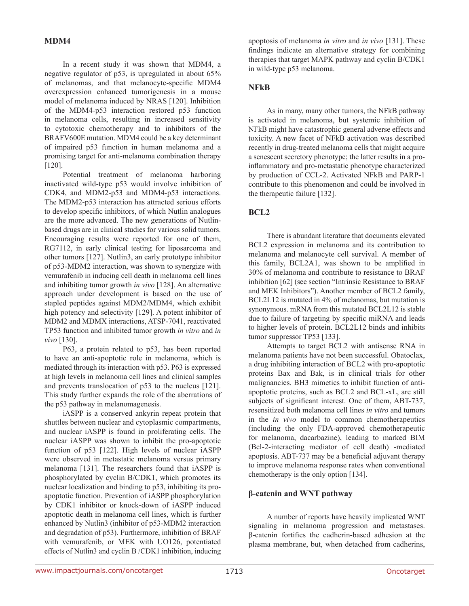In a recent study it was shown that MDM4, a negative regulator of p53, is upregulated in about 65% of melanomas, and that melanocyte-specific MDM4 overexpression enhanced tumorigenesis in a mouse model of melanoma induced by NRAS [120]. Inhibition of the MDM4-p53 interaction restored p53 function in melanoma cells, resulting in increased sensitivity to cytotoxic chemotherapy and to inhibitors of the BRAFV600E mutation. MDM4 could be a key determinant of impaired p53 function in human melanoma and a promising target for anti-melanoma combination therapy [120].

Potential treatment of melanoma harboring inactivated wild-type p53 would involve inhibition of CDK4, and MDM2-p53 and MDM4-p53 interactions. The MDM2-p53 interaction has attracted serious efforts to develop specific inhibitors, of which Nutlin analogues are the more advanced. The new generations of Nutlinbased drugs are in clinical studies for various solid tumors. Encouraging results were reported for one of them, RG7112, in early clinical testing for liposarcoma and other tumors [127]. Nutlin3, an early prototype inhibitor of p53-MDM2 interaction, was shown to synergize with vemurafenib in inducing cell death in melanoma cell lines and inhibiting tumor growth *in vivo* [128]. An alternative approach under development is based on the use of stapled peptides against MDM2/MDM4, which exhibit high potency and selectivity [129]. A potent inhibitor of MDM2 and MDMX interactions, ATSP-7041, reactivated TP53 function and inhibited tumor growth *in vitro* and *in vivo* [130].

P63, a protein related to p53, has been reported to have an anti-apoptotic role in melanoma, which is mediated through its interaction with p53. P63 is expressed at high levels in melanoma cell lines and clinical samples and prevents translocation of p53 to the nucleus [121]. This study further expands the role of the aberrations of the p53 pathway in melanomagenesis.

iASPP is a conserved ankyrin repeat protein that shuttles between nuclear and cytoplasmic compartments, and nuclear iASPP is found in proliferating cells. The nuclear iASPP was shown to inhibit the pro-apoptotic function of p53 [122]. High levels of nuclear iASPP were observed in metastatic melanoma versus primary melanoma [131]. The researchers found that iASPP is phosphorylated by cyclin B/CDK1, which promotes its nuclear localization and binding to p53, inhibiting its proapoptotic function. Prevention of iASPP phosphorylation by CDK1 inhibitor or knock-down of iASPP induced apoptotic death in melanoma cell lines, which is further enhanced by Nutlin3 (inhibitor of p53-MDM2 interaction and degradation of p53). Furthermore, inhibition of BRAF with vemurafenib, or MEK with UO126, potentiated effects of Nutlin3 and cyclin B /CDK1 inhibition, inducing apoptosis of melanoma *in vitro* and *in vivo* [131]. These findings indicate an alternative strategy for combining therapies that target MAPK pathway and cyclin B/CDK1 in wild-type p53 melanoma.

# **NFkB**

As in many, many other tumors, the NFkB pathway is activated in melanoma, but systemic inhibition of NFkB might have catastrophic general adverse effects and toxicity. A new facet of NFkB activation was described recently in drug-treated melanoma cells that might acquire a senescent secretory phenotype; the latter results in a proinflammatory and pro-metastatic phenotype characterized by production of CCL-2. Activated NFkB and PARP-1 contribute to this phenomenon and could be involved in the therapeutic failure [132].

# **BCL2**

There is abundant literature that documents elevated BCL2 expression in melanoma and its contribution to melanoma and melanocyte cell survival. A member of this family, BCL2A1, was shown to be amplified in 30% of melanoma and contribute to resistance to BRAF inhibition [62] (see section "Intrinsic Resistance to BRAF and MEK Inhibitors"). Another member of BCL2 family, BCL2L12 is mutated in 4% of melanomas, but mutation is synonymous. mRNA from this mutated BCL2L12 is stable due to failure of targeting by specific miRNA and leads to higher levels of protein. BCL2L12 binds and inhibits tumor suppressor TP53 [133].

Attempts to target BCL2 with antisense RNA in melanoma patients have not been successful. Obatoclax, a drug inhibiting interaction of BCL2 with pro-apoptotic proteins Bax and Bak, is in clinical trials for other malignancies. BH3 mimetics to inhibit function of antiapoptotic proteins, such as BCL2 and BCL-xL, are still subjects of significant interest. One of them, ABT-737, resensitized both melanoma cell lines *in vitro* and tumors in the *in vivo* model to common chemotherapeutics (including the only FDA-approved chemotherapeutic for melanoma, dacarbazine), leading to marked BIM (Bcl-2-interacting mediator of cell death) -mediated apoptosis. ABT-737 may be a beneficial adjuvant therapy to improve melanoma response rates when conventional chemotherapy is the only option [134].

#### **β-catenin and WNT pathway**

A number of reports have heavily implicated WNT signaling in melanoma progression and metastases. β-catenin fortifies the cadherin-based adhesion at the plasma membrane, but, when detached from cadherins,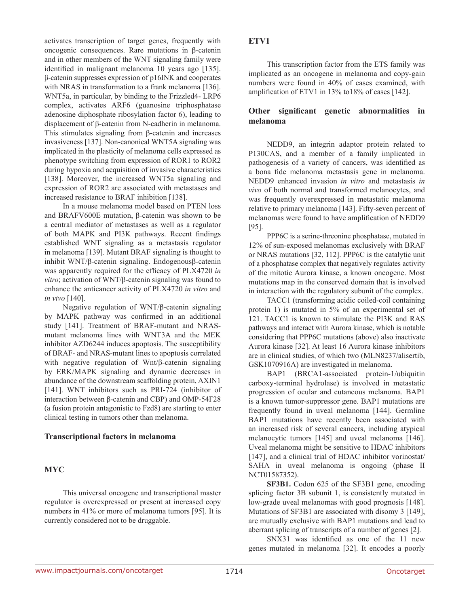activates transcription of target genes, frequently with oncogenic consequences. Rare mutations in β-catenin and in other members of the WNT signaling family were identified in malignant melanoma 10 years ago [135]. β-catenin suppresses expression of p16INK and cooperates with NRAS in transformation to a frank melanoma [136]. WNT5a, in particular, by binding to the Frizzled4- LRP6 complex, activates ARF6 (guanosine triphosphatase adenosine diphosphate ribosylation factor 6), leading to displacement of β-catenin from N-cadherin in melanoma. This stimulates signaling from β-catenin and increases invasiveness [137]. Non-canonical WNT5A signaling was implicated in the plasticity of melanoma cells expressed as phenotype switching from expression of ROR1 to ROR2 during hypoxia and acquisition of invasive characteristics [138]. Moreover, the increased WNT5a signaling and expression of ROR2 are associated with metastases and increased resistance to BRAF inhibition [138].

In a mouse melanoma model based on PTEN loss and BRAFV600E mutation, β-catenin was shown to be a central mediator of metastases as well as a regulator of both MAPK and PI3K pathways. Recent findings established WNT signaling as a metastasis regulator in melanoma [139]. Mutant BRAF signaling is thought to inhibit WNT/β-catenin signaling. Endogenousβ-catenin was apparently required for the efficacy of PLX4720 *in vitro*; activation of WNT/β-catenin signaling was found to enhance the anticancer activity of PLX4720 *in vitro* and *in vivo* [140].

Negative regulation of WNT/β-catenin signaling by MAPK pathway was confirmed in an additional study [141]. Treatment of BRAF-mutant and NRASmutant melanoma lines with WNT3A and the MEK inhibitor AZD6244 induces apoptosis. The susceptibility of BRAF- and NRAS-mutant lines to apoptosis correlated with negative regulation of Wnt/β-catenin signaling by ERK/MAPK signaling and dynamic decreases in abundance of the downstream scaffolding protein, AXIN1 [141]. WNT inhibitors such as PRI-724 (inhibitor of interaction between β-catenin and CBP) and OMP-54F28 (a fusion protein antagonistic to Fzd8) are starting to enter clinical testing in tumors other than melanoma.

#### **Transcriptional factors in melanoma**

#### **MYC**

This universal oncogene and transcriptional master regulator is overexpressed or present at increased copy numbers in 41% or more of melanoma tumors [95]. It is currently considered not to be druggable.

#### **ETV1**

This transcription factor from the ETS family was implicated as an oncogene in melanoma and copy-gain numbers were found in 40% of cases examined, with amplification of ETV1 in 13% to18% of cases [142].

### **Other significant genetic abnormalities in melanoma**

NEDD9, an integrin adaptor protein related to P130CAS, and a member of a family implicated in pathogenesis of a variety of cancers, was identified as a bona fide melanoma metastasis gene in melanoma. NEDD9 enhanced invasion *in vitro* and metastasis *in vivo* of both normal and transformed melanocytes, and was frequently overexpressed in metastatic melanoma relative to primary melanoma [143]. Fifty-seven percent of melanomas were found to have amplification of NEDD9 [95].

PPP6C is a serine-threonine phosphatase, mutated in 12% of sun-exposed melanomas exclusively with BRAF or NRAS mutations [32, 112]. PPP6C is the catalytic unit of a phosphatase complex that negatively regulates activity of the mitotic Aurora kinase, a known oncogene. Most mutations map in the conserved domain that is involved in interaction with the regulatory subunit of the complex.

TACC1 (transforming acidic coiled-coil containing protein 1) is mutated in 5% of an experimental set of 121. TACC1 is known to stimulate the PI3K and RAS pathways and interact with Aurora kinase, which is notable considering that PPP6C mutations (above) also inactivate Aurora kinase [32]. At least 16 Aurora kinase inhibitors are in clinical studies, of which two (MLN8237/alisertib, GSK1070916A) are investigated in melanoma.

BAP1 (BRCA1-associated protein-1/ubiquitin carboxy-terminal hydrolase) is involved in metastatic progression of ocular and cutaneous melanoma. BAP1 is a known tumor-suppressor gene. BAP1 mutations are frequently found in uveal melanoma [144]. Germline BAP1 mutations have recently been associated with an increased risk of several cancers, including atypical melanocytic tumors [145] and uveal melanoma [146]. Uveal melanoma might be sensitive to HDAC inhibitors [147], and a clinical trial of HDAC inhibitor vorinostat/ SAHA in uveal melanoma is ongoing (phase II NCT01587352).

**SF3B1.** Codon 625 of the SF3B1 gene, encoding splicing factor 3B subunit 1, is consistently mutated in low-grade uveal melanomas with good prognosis [148]. Mutations of SF3B1 are associated with disomy 3 [149], are mutually exclusive with BAP1 mutations and lead to aberrant splicing of transcripts of a number of genes [2].

SNX31 was identified as one of the 11 new genes mutated in melanoma [32]. It encodes a poorly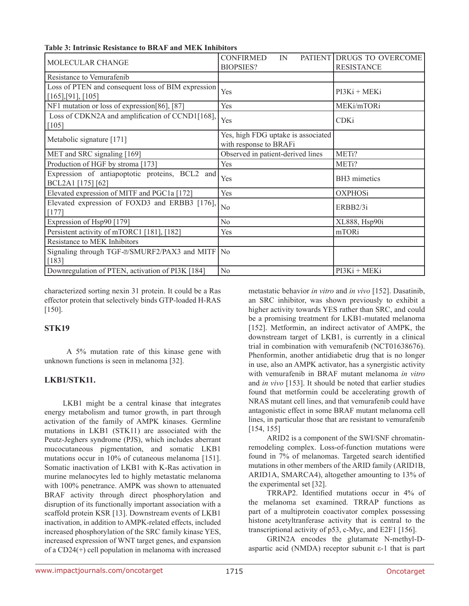| Table 3: Intrinsic Resistance to BRAF and MEK Inhibitors |  |  |  |
|----------------------------------------------------------|--|--|--|
|----------------------------------------------------------|--|--|--|

| MOLECULAR CHANGE                                                       | <b>CONFIRMED</b><br>IN<br><b>BIOPSIES?</b>                   | PATIENT DRUGS TO OVERCOME<br><b>RESISTANCE</b> |
|------------------------------------------------------------------------|--------------------------------------------------------------|------------------------------------------------|
| Resistance to Vemurafenib                                              |                                                              |                                                |
| Loss of PTEN and consequent loss of BIM expression<br>[165],[91],[105] | Yes                                                          | $PI3Ki + MEKi$                                 |
| NF1 mutation or loss of expression[86], [87]                           | <b>Yes</b>                                                   | MEKi/mTORi                                     |
| Loss of CDKN2A and amplification of CCND1[168],<br>[105]               | Yes                                                          | <b>CDKi</b>                                    |
| Metabolic signature [171]                                              | Yes, high FDG uptake is associated<br>with response to BRAFi |                                                |
| MET and SRC signaling [169]                                            | Observed in patient-derived lines                            | MET <sub>i</sub> ?                             |
| Production of HGF by stroma [173]                                      | <b>Yes</b>                                                   | METi?                                          |
| Expression of antiapoptotic proteins, BCL2 and<br>BCL2A1 [175] [62]    | Yes                                                          | BH <sub>3</sub> mimetics                       |
| Elevated expression of MITF and PGC1a [172]                            | Yes                                                          | <b>OXPHOSi</b>                                 |
| Elevated expression of FOXD3 and ERBB3 [176],<br>$[177]$               | No                                                           | ERBB2/3i                                       |
| Expression of Hsp90 [179]                                              | N <sub>o</sub>                                               | XL888, Hsp90i                                  |
| Persistent activity of mTORC1 [181], [182]                             | <b>Yes</b>                                                   | mTORi                                          |
| Resistance to MEK Inhibitors                                           |                                                              |                                                |
| Signaling through TGF-@/SMURF2/PAX3 and MITF   No<br>[183]             |                                                              |                                                |
| Downregulation of PTEN, activation of PI3K [184]                       | No                                                           | PI3Ki + MEKi                                   |

characterized sorting nexin 31 protein. It could be a Ras effector protein that selectively binds GTP-loaded H-RAS [150].

# **STK19**

 A 5% mutation rate of this kinase gene with unknown functions is seen in melanoma [32].

# **LKB1/STK11.**

LKB1 might be a central kinase that integrates energy metabolism and tumor growth, in part through activation of the family of AMPK kinases. Germline mutations in LKB1 (STK11) are associated with the Peutz-Jeghers syndrome (PJS), which includes aberrant mucocutaneous pigmentation, and somatic LKB1 mutations occur in 10% of cutaneous melanoma [151]. Somatic inactivation of LKB1 with K-Ras activation in murine melanocytes led to highly metastatic melanoma with 100% penetrance. AMPK was shown to attenuated BRAF activity through direct phosphorylation and disruption of its functionally important association with a scaffold protein KSR [13]. Downstream events of LKB1 inactivation, in addition to AMPK-related effects, included increased phosphorylation of the SRC family kinase YES, increased expression of WNT target genes, and expansion of a CD24(+) cell population in melanoma with increased metastatic behavior *in vitro* and *in vivo* [152]. Dasatinib, an SRC inhibitor, was shown previously to exhibit a higher activity towards YES rather than SRC, and could be a promising treatment for LKB1-mutated melanoma [152]. Metformin, an indirect activator of AMPK, the downstream target of LKB1, is currently in a clinical trial in combination with vemurafenib (NCT01638676). Phenformin, another antidiabetic drug that is no longer in use, also an AMPK activator, has a synergistic activity with vemurafenib in BRAF mutant melanoma *in vitro* and *in vivo* [153]. It should be noted that earlier studies found that metformin could be accelerating growth of NRAS mutant cell lines, and that vemurafenib could have antagonistic effect in some BRAF mutant melanoma cell lines, in particular those that are resistant to vemurafenib [154, 155]

ARID2 is a component of the SWI/SNF chromatinremodeling complex. Loss-of-function mutations were found in 7% of melanomas. Targeted search identified mutations in other members of the ARID family (ARID1B, ARID1A, SMARCA4), altogether amounting to 13% of the experimental set [32].

TRRAP2. Identified mutations occur in 4% of the melanoma set examined. TRRAP functions as part of a multiprotein coactivator complex possessing histone acetyltranferase activity that is central to the transcriptional activity of p53, c-Myc, and E2F1 [156].

GRIN2A encodes the glutamate N-methyl-Daspartic acid (NMDA) receptor subunit ε-1 that is part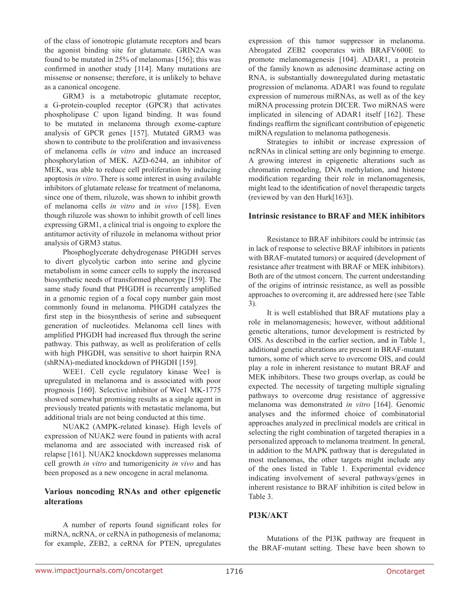of the class of ionotropic glutamate receptors and bears the agonist binding site for glutamate. GRIN2A was found to be mutated in 25% of melanomas [156]; this was confirmed in another study [114]. Many mutations are missense or nonsense; therefore, it is unlikely to behave as a canonical oncogene.

GRM3 is a metabotropic glutamate receptor, a G-protein-coupled receptor (GPCR) that activates phospholipase C upon ligand binding. It was found to be mutated in melanoma through exome-capture analysis of GPCR genes [157]. Mutated GRM3 was shown to contribute to the proliferation and invasiveness of melanoma cells *in vitro* and induce an increased phosphorylation of MEK. AZD-6244, an inhibitor of MEK, was able to reduce cell proliferation by inducing apoptosis *in vitro*. There is some interest in using available inhibitors of glutamate release for treatment of melanoma, since one of them, riluzole, was shown to inhibit growth of melanoma cells *in vitro* and *in vivo* [158]. Even though riluzole was shown to inhibit growth of cell lines expressing GRM1, a clinical trial is ongoing to explore the antitumor activity of riluzole in melanoma without prior analysis of GRM3 status.

Phosphoglycerate dehydrogenase PHGDH serves to divert glycolytic carbon into serine and glycine metabolism in some cancer cells to supply the increased biosynthetic needs of transformed phenotype [159]. The same study found that PHGDH is recurrently amplified in a genomic region of a focal copy number gain most commonly found in melanoma. PHGDH catalyzes the first step in the biosynthesis of serine and subsequent generation of nucleotides. Melanoma cell lines with amplified PHGDH had increased flux through the serine pathway. This pathway, as well as proliferation of cells with high PHGDH, was sensitive to short hairpin RNA (shRNA)-mediated knockdown of PHGDH [159].

WEE1. Cell cycle regulatory kinase Wee1 is upregulated in melanoma and is associated with poor prognosis [160]. Selective inhibitor of Wee1 MK-1775 showed somewhat promising results as a single agent in previously treated patients with metastatic melanoma, but additional trials are not being conducted at this time.

NUAK2 (AMPK-related kinase). High levels of expression of NUAK2 were found in patients with acral melanoma and are associated with increased risk of relapse [161]. NUAK2 knockdown suppresses melanoma cell growth *in vitro* and tumorigenicity *in vivo* and has been proposed as a new oncogene in acral melanoma.

#### **Various noncoding RNAs and other epigenetic alterations**

A number of reports found significant roles for miRNA, ncRNA, or ceRNA in pathogenesis of melanoma; for example, ZEB2, a ceRNA for PTEN, upregulates expression of this tumor suppressor in melanoma. Abrogated ZEB2 cooperates with BRAFV600E to promote melanomagenesis [104]. ADAR1, a protein of the family known as adenosine deaminase acting on RNA, is substantially downregulated during metastatic progression of melanoma. ADAR1 was found to regulate expression of numerous miRNAs, as well as of the key miRNA processing protein DICER. Two miRNAS were implicated in silencing of ADAR1 itself [162]. These findings reaffirm the significant contribution of epigenetic miRNA regulation to melanoma pathogenesis.

Strategies to inhibit or increase expression of ncRNAs in clinical setting are only beginning to emerge. A growing interest in epigenetic alterations such as chromatin remodeling, DNA methylation, and histone modification regarding their role in melanomagenesis, might lead to the identification of novel therapeutic targets (reviewed by van den Hurk[163]).

#### **Intrinsic resistance to BRAF and MEK inhibitors**

Resistance to BRAF inhibitors could be intrinsic (as in lack of response to selective BRAF inhibitors in patients with BRAF-mutated tumors) or acquired (development of resistance after treatment with BRAF or MEK inhibitors). Both are of the utmost concern. The current understanding of the origins of intrinsic resistance, as well as possible approaches to overcoming it, are addressed here (see Table 3).

It is well established that BRAF mutations play a role in melanomagenesis; however, without additional genetic alterations, tumor development is restricted by OIS. As described in the earlier section, and in Table 1, additional genetic alterations are present in BRAF-mutant tumors, some of which serve to overcome OIS, and could play a role in inherent resistance to mutant BRAF and MEK inhibitors. These two groups overlap, as could be expected. The necessity of targeting multiple signaling pathways to overcome drug resistance of aggressive melanoma was demonstrated *in vitro* [164]. Genomic analyses and the informed choice of combinatorial approaches analyzed in preclinical models are critical in selecting the right combination of targeted therapies in a personalized approach to melanoma treatment. In general, in addition to the MAPK pathway that is deregulated in most melanomas, the other targets might include any of the ones listed in Table 1. Experimental evidence indicating involvement of several pathways/genes in inherent resistance to BRAF inhibition is cited below in Table 3.

#### **PI3K/AKT**

Mutations of the PI3K pathway are frequent in the BRAF-mutant setting. These have been shown to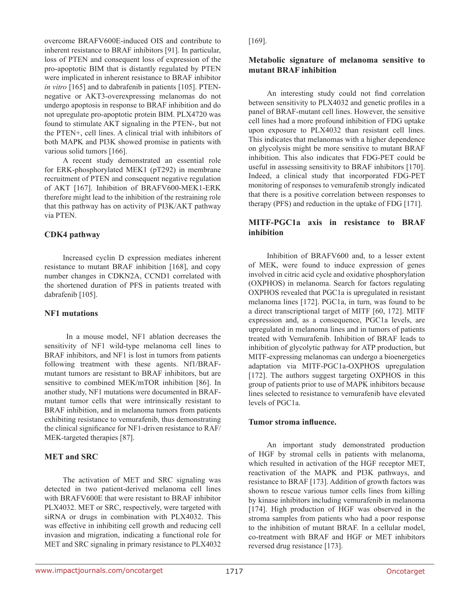overcome BRAFV600E-induced OIS and contribute to inherent resistance to BRAF inhibitors [91]. In particular, loss of PTEN and consequent loss of expression of the pro-apoptotic BIM that is distantly regulated by PTEN were implicated in inherent resistance to BRAF inhibitor *in vitro* [165] and to dabrafenib in patients [105]. PTENnegative or AKT3-overexpressing melanomas do not undergo apoptosis in response to BRAF inhibition and do not upregulate pro-apoptotic protein BIM. PLX4720 was found to stimulate AKT signaling in the PTEN-, but not the PTEN+, cell lines. A clinical trial with inhibitors of both MAPK and PI3K showed promise in patients with various solid tumors [166].

A recent study demonstrated an essential role for ERK-phosphorylated MEK1 (pT292) in membrane recruitment of PTEN and consequent negative regulation of AKT [167]. Inhibition of BRAFV600-MEK1-ERK therefore might lead to the inhibition of the restraining role that this pathway has on activity of PI3K/AKT pathway via PTEN.

#### **CDK4 pathway**

Increased cyclin D expression mediates inherent resistance to mutant BRAF inhibition [168], and copy number changes in CDKN2A, CCND1 correlated with the shortened duration of PFS in patients treated with dabrafenib [105].

#### **NF1 mutations**

 In a mouse model, NF1 ablation decreases the sensitivity of NF1 wild-type melanoma cell lines to BRAF inhibitors, and NF1 is lost in tumors from patients following treatment with these agents. Nf1/BRAFmutant tumors are resistant to BRAF inhibitors, but are sensitive to combined MEK/mTOR inhibition [86]. In another study, NF1 mutations were documented in BRAFmutant tumor cells that were intrinsically resistant to BRAF inhibition, and in melanoma tumors from patients exhibiting resistance to vemurafenib, thus demonstrating the clinical significance for NF1-driven resistance to RAF/ MEK-targeted therapies [87].

#### **MET and SRC**

The activation of MET and SRC signaling was detected in two patient-derived melanoma cell lines with BRAFV600E that were resistant to BRAF inhibitor PLX4032. MET or SRC, respectively, were targeted with siRNA or drugs in combination with PLX4032. This was effective in inhibiting cell growth and reducing cell invasion and migration, indicating a functional role for MET and SRC signaling in primary resistance to PLX4032 [169].

### **Metabolic signature of melanoma sensitive to mutant BRAF inhibition**

An interesting study could not find correlation between sensitivity to PLX4032 and genetic profiles in a panel of BRAF-mutant cell lines. However, the sensitive cell lines had a more profound inhibition of FDG uptake upon exposure to PLX4032 than resistant cell lines. This indicates that melanomas with a higher dependence on glycolysis might be more sensitive to mutant BRAF inhibition. This also indicates that FDG-PET could be useful in assessing sensitivity to BRAF inhibitors [170]. Indeed, a clinical study that incorporated FDG-PET monitoring of responses to vemurafenib strongly indicated that there is a positive correlation between responses to therapy (PFS) and reduction in the uptake of FDG [171].

### **MITF-PGC1a axis in resistance to BRAF inhibition**

Inhibition of BRAFV600 and, to a lesser extent of MEK, were found to induce expression of genes involved in citric acid cycle and oxidative phosphorylation (OXPHOS) in melanoma. Search for factors regulating OXPHOS revealed that PGC1a is upregulated in resistant melanoma lines [172]. PGC1a, in turn, was found to be a direct transcriptional target of MITF [60, 172]. MITF expression and, as a consequence, PGC1a levels, are upregulated in melanoma lines and in tumors of patients treated with Vemurafenib. Inhibition of BRAF leads to inhibition of glycolytic pathway for ATP production, but MITF-expressing melanomas can undergo a bioenergetics adaptation via MITF-PGC1a-OXPHOS upregulation [172]. The authors suggest targeting OXPHOS in this group of patients prior to use of MAPK inhibitors because lines selected to resistance to vemurafenib have elevated levels of PGC1a.

#### **Tumor stroma influence.**

An important study demonstrated production of HGF by stromal cells in patients with melanoma, which resulted in activation of the HGF receptor MET, reactivation of the MAPK and PI3K pathways, and resistance to BRAF [173]. Addition of growth factors was shown to rescue various tumor cells lines from killing by kinase inhibitors including vemurafenib in melanoma [174]. High production of HGF was observed in the stroma samples from patients who had a poor response to the inhibition of mutant BRAF. In a cellular model, co-treatment with BRAF and HGF or MET inhibitors reversed drug resistance [173].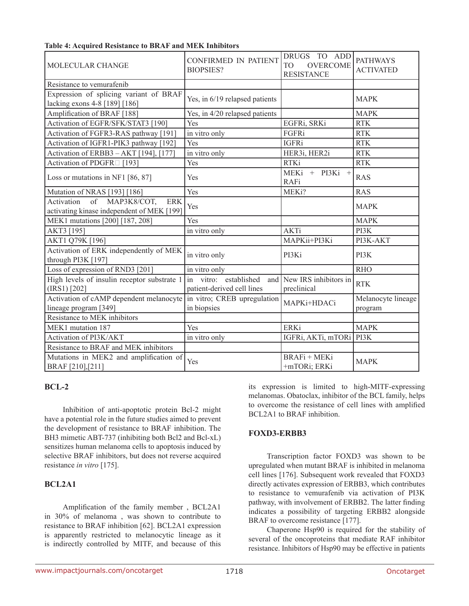|  | Table 4: Acquired Resistance to BRAF and MEK Inhibitors |  |  |
|--|---------------------------------------------------------|--|--|
|  |                                                         |  |  |

| MOLECULAR CHANGE                                                                            | <b>CONFIRMED IN PATIENT</b><br><b>BIOPSIES?</b>            | DRUGS TO ADD<br><b>TO</b><br><b>OVERCOME</b><br><b>RESISTANCE</b> | <b>PATHWAYS</b><br><b>ACTIVATED</b> |
|---------------------------------------------------------------------------------------------|------------------------------------------------------------|-------------------------------------------------------------------|-------------------------------------|
| Resistance to vemurafenib                                                                   |                                                            |                                                                   |                                     |
| Expression of splicing variant of BRAF<br>lacking exons 4-8 [189] [186]                     | Yes, in 6/19 relapsed patients                             |                                                                   | <b>MAPK</b>                         |
| Amplification of BRAF [188]                                                                 | Yes, in 4/20 relapsed patients                             |                                                                   | <b>MAPK</b>                         |
| Activation of EGFR/SFK/STAT3 [190]                                                          | Yes                                                        | EGFRi, SRKi                                                       | <b>RTK</b>                          |
| Activation of FGFR3-RAS pathway [191]                                                       | in vitro only                                              | FGFRi                                                             | <b>RTK</b>                          |
| Activation of IGFR1-PIK3 pathway [192]                                                      | Yes                                                        | <b>IGFRi</b>                                                      | <b>RTK</b>                          |
| Activation of ERBB3 - AKT [194], [177]                                                      | in vitro only                                              | HER3i, HER2i                                                      | <b>RTK</b>                          |
| Activation of PDGFR□ [193]                                                                  | Yes                                                        | <b>RTKi</b>                                                       | <b>RTK</b>                          |
| Loss or mutations in NF1 [86, 87]                                                           | Yes                                                        | MEKi + PI3Ki +<br>RAFi                                            | <b>RAS</b>                          |
| Mutation of NRAS [193] [186]                                                                | Yes                                                        | MEKi?                                                             | <b>RAS</b>                          |
| Activation<br>of<br>MAP3K8/COT,<br><b>ERK</b><br>activating kinase independent of MEK [199] | <b>Yes</b>                                                 |                                                                   | <b>MAPK</b>                         |
| MEK1 mutations [200] [187, 208]                                                             | Yes                                                        |                                                                   | <b>MAPK</b>                         |
| AKT3 [195]                                                                                  | in vitro only                                              | <b>AKTi</b>                                                       | PI3K                                |
| AKT1 Q79K [196]                                                                             |                                                            | MAPKii+PI3Ki                                                      | PI3K-AKT                            |
| Activation of ERK independently of MEK<br>through PI3K [197]                                | in vitro only                                              | PI3Ki                                                             | PI3K                                |
| Loss of expression of RND3 [201]                                                            | in vitro only                                              |                                                                   | <b>RHO</b>                          |
| High levels of insulin receptor substrate 1<br>(IRS1) [202]                                 | in vitro: established<br>and<br>patient-derived cell lines | New IRS inhibitors in<br>preclinical                              | <b>RTK</b>                          |
| Activation of cAMP dependent melanocyte<br>lineage program [349]                            | in vitro; CREB upregulation<br>in biopsies                 | MAPKi+HDACi                                                       | Melanocyte lineage<br>program       |
| Resistance to MEK inhibitors                                                                |                                                            |                                                                   |                                     |
| MEK1 mutation 187                                                                           | Yes                                                        | <b>ERKi</b>                                                       | <b>MAPK</b>                         |
| Activation of PI3K/AKT                                                                      | in vitro only                                              | IGFRi, AKTi, mTORi                                                | PI3K                                |
| Resistance to BRAF and MEK inhibitors                                                       |                                                            |                                                                   |                                     |
| Mutations in MEK2 and amplification of<br>BRAF [210], [211]                                 | Yes                                                        | <b>BRAFi</b> + MEKi<br>+mTORi; ERKi                               | <b>MAPK</b>                         |

#### **BCL-2**

Inhibition of anti-apoptotic protein Bcl-2 might have a potential role in the future studies aimed to prevent the development of resistance to BRAF inhibition. The BH3 mimetic ABT-737 (inhibiting both Bcl2 and Bcl-xL) sensitizes human melanoma cells to apoptosis induced by selective BRAF inhibitors, but does not reverse acquired resistance *in vitro* [175].

# **BCL2A1**

Amplification of the family member , BCL2A1 in 30% of melanoma , was shown to contribute to resistance to BRAF inhibition [62]. BCL2A1 expression is apparently restricted to melanocytic lineage as it is indirectly controlled by MITF, and because of this its expression is limited to high-MITF-expressing melanomas. Obatoclax, inhibitor of the BCL family, helps to overcome the resistance of cell lines with amplified BCL2A1 to BRAF inhibition.

# **FOXD3-ERBB3**

Transcription factor FOXD3 was shown to be upregulated when mutant BRAF is inhibited in melanoma cell lines [176]. Subsequent work revealed that FOXD3 directly activates expression of ERBB3, which contributes to resistance to vemurafenib via activation of PI3K pathway, with involvement of ERBB2. The latter finding indicates a possibility of targeting ERBB2 alongside BRAF to overcome resistance [177].

Chaperone Hsp90 is required for the stability of several of the oncoproteins that mediate RAF inhibitor resistance. Inhibitors of Hsp90 may be effective in patients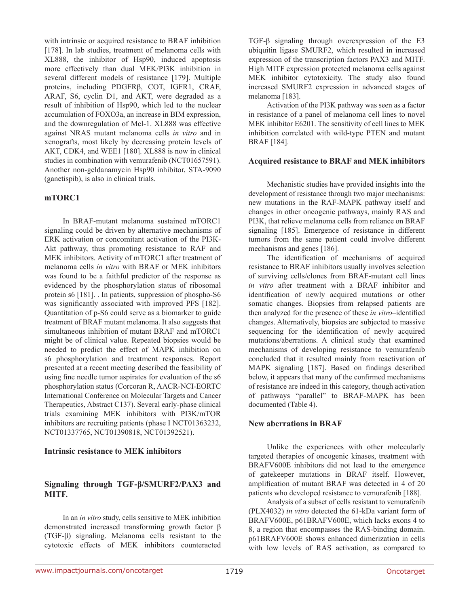with intrinsic or acquired resistance to BRAF inhibition [178]. In lab studies, treatment of melanoma cells with XL888, the inhibitor of Hsp90, induced apoptosis more effectively than dual MEK/PI3K inhibition in several different models of resistance [179]. Multiple proteins, including PDGFRβ, COT, IGFR1, CRAF, ARAF, S6, cyclin D1, and AKT, were degraded as a result of inhibition of Hsp90, which led to the nuclear accumulation of FOXO3a, an increase in BIM expression, and the downregulation of Mcl-1. XL888 was effective against NRAS mutant melanoma cells *in vitro* and in xenografts, most likely by decreasing protein levels of AKT, CDK4, and WEE1 [180]. XL888 is now in clinical studies in combination with vemurafenib (NCT01657591). Another non-geldanamycin Hsp90 inhibitor, STA-9090 (ganetispib), is also in clinical trials.

# **mTORC1**

In BRAF-mutant melanoma sustained mTORC1 signaling could be driven by alternative mechanisms of ERK activation or concomitant activation of the PI3K-Akt pathway, thus promoting resistance to RAF and MEK inhibitors. Activity of mTORC1 after treatment of melanoma cells *in vitro* with BRAF or MEK inhibitors was found to be a faithful predictor of the response as evidenced by the phosphorylation status of ribosomal protein s6 [181]. . In patients, suppression of phospho-S6 was significantly associated with improved PFS [182]. Quantitation of p-S6 could serve as a biomarker to guide treatment of BRAF mutant melanoma. It also suggests that simultaneous inhibition of mutant BRAF and mTORC1 might be of clinical value. Repeated biopsies would be needed to predict the effect of MAPK inhibition on s6 phosphorylation and treatment responses. Report presented at a recent meeting described the feasibility of using fine needle tumor aspirates for evaluation of the s6 phosphorylation status (Corcoran R, AACR-NCI-EORTC International Conference on Molecular Targets and Cancer Therapeutics, Abstract C137). Several early-phase clinical trials examining MEK inhibitors with PI3K/mTOR inhibitors are recruiting patients (phase I NCT01363232, NCT01337765, NCT01390818, NCT01392521).

#### **Intrinsic resistance to MEK inhibitors**

#### **Signaling through TGF-β/SMURF2/PAX3 and MITF.**

In an *in vitro* study, cells sensitive to MEK inhibition demonstrated increased transforming growth factor β (TGF-β) signaling. Melanoma cells resistant to the cytotoxic effects of MEK inhibitors counteracted

TGF-β signaling through overexpression of the E3 ubiquitin ligase SMURF2, which resulted in increased expression of the transcription factors PAX3 and MITF. High MITF expression protected melanoma cells against MEK inhibitor cytotoxicity. The study also found increased SMURF2 expression in advanced stages of melanoma [183].

Activation of the PI3K pathway was seen as a factor in resistance of a panel of melanoma cell lines to novel MEK inhibitor E6201. The sensitivity of cell lines to MEK inhibition correlated with wild-type PTEN and mutant BRAF [184].

#### **Acquired resistance to BRAF and MEK inhibitors**

Mechanistic studies have provided insights into the development of resistance through two major mechanisms: new mutations in the RAF-MAPK pathway itself and changes in other oncogenic pathways, mainly RAS and PI3K, that relieve melanoma cells from reliance on BRAF signaling [185]. Emergence of resistance in different tumors from the same patient could involve different mechanisms and genes [186].

The identification of mechanisms of acquired resistance to BRAF inhibitors usually involves selection of surviving cells/clones from BRAF-mutant cell lines *in vitro* after treatment with a BRAF inhibitor and identification of newly acquired mutations or other somatic changes. Biopsies from relapsed patients are then analyzed for the presence of these *in vitro*–identified changes. Alternatively, biopsies are subjected to massive sequencing for the identification of newly acquired mutations/aberrations. A clinical study that examined mechanisms of developing resistance to vemurafenib concluded that it resulted mainly from reactivation of MAPK signaling [187]. Based on findings described below, it appears that many of the confirmed mechanisms of resistance are indeed in this category, though activation of pathways "parallel" to BRAF-MAPK has been documented (Table 4).

#### **New aberrations in BRAF**

Unlike the experiences with other molecularly targeted therapies of oncogenic kinases, treatment with BRAFV600E inhibitors did not lead to the emergence of gatekeeper mutations in BRAF itself. However, amplification of mutant BRAF was detected in 4 of 20 patients who developed resistance to vemurafenib [188].

Analysis of a subset of cells resistant to vemurafenib (PLX4032) *in vitro* detected the 61-kDa variant form of BRAFV600E, p61BRAFV600E, which lacks exons 4 to 8, a region that encompasses the RAS-binding domain. p61BRAFV600E shows enhanced dimerization in cells with low levels of RAS activation, as compared to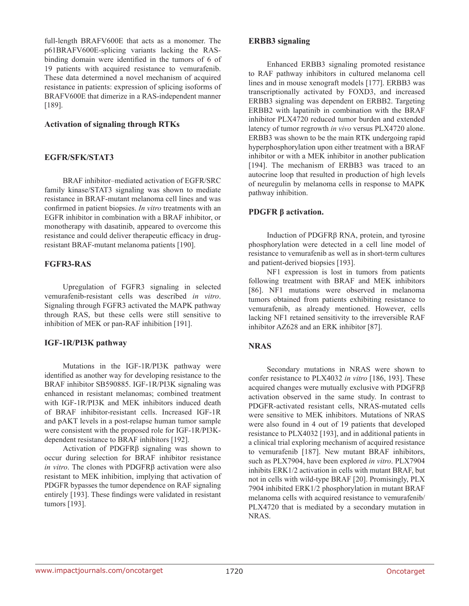full-length BRAFV600E that acts as a monomer. The p61BRAFV600E-splicing variants lacking the RASbinding domain were identified in the tumors of 6 of 19 patients with acquired resistance to vemurafenib. These data determined a novel mechanism of acquired resistance in patients: expression of splicing isoforms of BRAFV600E that dimerize in a RAS-independent manner [189].

#### **Activation of signaling through RTKs**

#### **EGFR/SFK/STAT3**

BRAF inhibitor–mediated activation of EGFR/SRC family kinase/STAT3 signaling was shown to mediate resistance in BRAF-mutant melanoma cell lines and was confirmed in patient biopsies. *In vitro* treatments with an EGFR inhibitor in combination with a BRAF inhibitor, or monotherapy with dasatinib, appeared to overcome this resistance and could deliver therapeutic efficacy in drugresistant BRAF-mutant melanoma patients [190].

#### **FGFR3-RAS**

Upregulation of FGFR3 signaling in selected vemurafenib-resistant cells was described *in vitro*. Signaling through FGFR3 activated the MAPK pathway through RAS, but these cells were still sensitive to inhibition of MEK or pan-RAF inhibition [191].

#### **IGF-1R/PI3K pathway**

Mutations in the IGF-1R/PI3K pathway were identified as another way for developing resistance to the BRAF inhibitor SB590885. IGF-1R/PI3K signaling was enhanced in resistant melanomas; combined treatment with IGF-1R/PI3K and MEK inhibitors induced death of BRAF inhibitor-resistant cells. Increased IGF-1R and pAKT levels in a post-relapse human tumor sample were consistent with the proposed role for IGF-1R/PI3Kdependent resistance to BRAF inhibitors [192].

Activation of PDGFRβ signaling was shown to occur during selection for BRAF inhibitor resistance *in vitro*. The clones with PDGFRβ activation were also resistant to MEK inhibition, implying that activation of PDGFR bypasses the tumor dependence on RAF signaling entirely [193]. These findings were validated in resistant tumors [193].

#### **ERBB3 signaling**

Enhanced ERBB3 signaling promoted resistance to RAF pathway inhibitors in cultured melanoma cell lines and in mouse xenograft models [177]. ERBB3 was transcriptionally activated by FOXD3, and increased ERBB3 signaling was dependent on ERBB2. Targeting ERBB2 with lapatinib in combination with the BRAF inhibitor PLX4720 reduced tumor burden and extended latency of tumor regrowth *in vivo* versus PLX4720 alone. ERBB3 was shown to be the main RTK undergoing rapid hyperphosphorylation upon either treatment with a BRAF inhibitor or with a MEK inhibitor in another publication [194]. The mechanism of ERBB3 was traced to an autocrine loop that resulted in production of high levels of neuregulin by melanoma cells in response to MAPK pathway inhibition.

#### **PDGFR β activation.**

Induction of PDGFRβ RNA, protein, and tyrosine phosphorylation were detected in a cell line model of resistance to vemurafenib as well as in short-term cultures and patient-derived biopsies [193].

NF1 expression is lost in tumors from patients following treatment with BRAF and MEK inhibitors [86]. NF1 mutations were observed in melanoma tumors obtained from patients exhibiting resistance to vemurafenib, as already mentioned. However, cells lacking NF1 retained sensitivity to the irreversible RAF inhibitor AZ628 and an ERK inhibitor [87].

#### **NRAS**

Secondary mutations in NRAS were shown to confer resistance to PLX4032 *in vitro* [186, 193]. These acquired changes were mutually exclusive with PDGFRβ activation observed in the same study. In contrast to PDGFR-activated resistant cells, NRAS-mutated cells were sensitive to MEK inhibitors. Mutations of NRAS were also found in 4 out of 19 patients that developed resistance to PLX4032 [193], and in additional patients in a clinical trial exploring mechanism of acquired resistance to vemurafenib [187]. New mutant BRAF inhibitors, such as PLX7904, have been explored *in vitro*. PLX7904 inhibits ERK1/2 activation in cells with mutant BRAF, but not in cells with wild-type BRAF [20]. Promisingly, PLX 7904 inhibited ERK1/2 phosphorylation in mutant BRAF melanoma cells with acquired resistance to vemurafenib/ PLX4720 that is mediated by a secondary mutation in NRAS.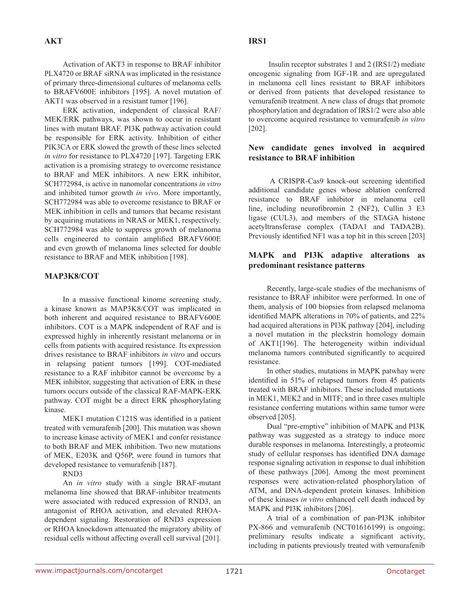Activation of AKT3 in response to BRAF inhibitor PLX4720 or BRAF siRNA was implicated in the resistance of primary three-dimensional cultures of melanoma cells to BRAFV600E inhibitors [195]. A novel mutation of AKT1 was observed in a resistant tumor [196].

ERK activation, independent of classical RAF/ MEK/ERK pathways, was shown to occur in resistant lines with mutant BRAF. PI3K pathway activation could be responsible for ERK activity. Inhibition of either PIK3CA or ERK slowed the growth of these lines selected *in vitro* for resistance to PLX4720 [197]. Targeting ERK activation is a promising strategy to overcome resistance to BRAF and MEK inhibitors. A new ERK inhibitor, SCH772984, is active in nanomolar concentrations *in vitro* and inhibited tumor growth *in vivo*. More importantly, SCH772984 was able to overcome resistance to BRAF or MEK inhibition in cells and tumors that became resistant by acquiring mutations in NRAS or MEK1, respectively. SCH772984 was able to suppress growth of melanoma cells engineered to contain amplified BRAFV600E and even growth of melanoma lines selected for double resistance to BRAF and MEK inhibition [198].

### **MAP3K8/COT**

In a massive functional kinome screening study, a kinase known as MAP3K8/COT was implicated in both inherent and acquired resistance to BRAFV600E inhibitors. COT is a MAPK independent of RAF and is expressed highly in inherently resistant melanoma or in cells from patients with acquired resistance. Its expression drives resistance to BRAF inhibitors *in vitro* and occurs in relapsing patient tumors [199]. COT-mediated resistance to a RAF inhibitor cannot be overcome by a MEK inhibitor, suggesting that activation of ERK in these tumors occurs outside of the classical RAF-MAPK-ERK pathway. COT might be a direct ERK phosphorylating kinase.

MEK1 mutation C121S was identified in a patient treated with vemurafenib [200]. This mutation was shown to increase kinase activity of MEK1 and confer resistance to both BRAF and MEK inhibition. Two new mutations of MEK, E203K and Q56P, were found in tumors that developed resistance to vemurafenib [187].

RND3

An *in vitro* study with a single BRAF-mutant melanoma line showed that BRAF-inhibitor treatments were associated with reduced expression of RND3, an antagonist of RHOA activation, and elevated RHOAdependent signaling. Restoration of RND3 expression or RHOA knockdown attenuated the migratory ability of residual cells without affecting overall cell survival [201].

 Insulin receptor substrates 1 and 2 (IRS1/2) mediate oncogenic signaling from IGF-1R and are upregulated in melanoma cell lines resistant to BRAF inhibitors or derived from patients that developed resistance to vemurafenib treatment. A new class of drugs that promote phosphorylation and degradation of IRS1/2 were also able to overcome acquired resistance to vemurafenib *in vitro* [202].

## **New candidate genes involved in acquired resistance to BRAF inhibition**

 A CRISPR-Cas9 knock-out screening identified additional candidate genes whose ablation conferred resistance to BRAF inhibitor in melanoma cell line, including neurofibromin 2 (NF2), Cullin 3 E3 ligase (CUL3), and members of the STAGA histone acetyltransferase complex (TADA1 and TADA2B). Previously identified NF1 was a top hit in this screen [203]

## **MAPK and PI3K adaptive alterations as predominant resistance patterns**

Recently, large-scale studies of the mechanisms of resistance to BRAF inhibitor were performed. In one of them, analysis of 100 biopsies from relapsed melanoma identified MAPK alterations in 70% of patients, and 22% had acquired alterations in PI3K pathway [204], including a novel mutation in the pleckstrin homology domain of AKT1[196]. The heterogeneity within individual melanoma tumors contributed significantly to acquired resistance.

In other studies, mutations in MAPK patwhay were identified in 51% of relapsed tumors from 45 patients treated with BRAF inhibitors. These included mutations in MEK1, MEK2 and in MITF; and in three cases multiple resistance conferring mutations within same tumor were observed [205].

Dual "pre-emptive" inhibition of MAPK and PI3K pathway was suggested as a strategy to induce more durable responses in melanoma. Interestingly, a proteomic study of cellular responses has identified DNA damage response signaling activation in response to dual inhibition of these pathways [206]. Among the most prominent responses were activation-related phosphorylation of ATM, and DNA-dependent protein kinases. Inhibition of these kinases *in vitro* enhanced cell death induced by MAPK and PI3K inhibitors [206].

A trial of a combination of pan-PI3K inhibitor PX-866 and vemurafenib (NCT01616199) is ongoing; preliminary results indicate a significant activity, including in patients previously treated with vemurafenib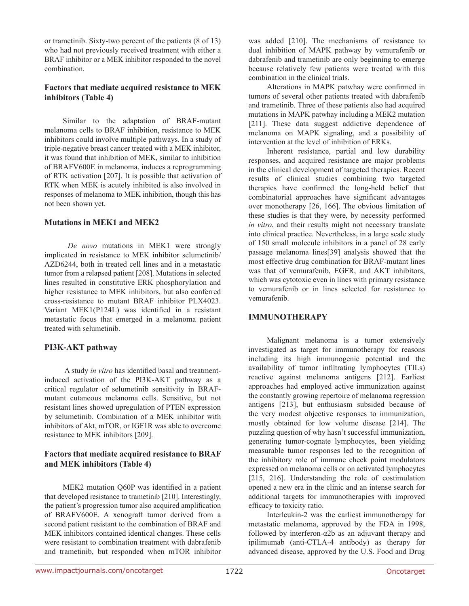or trametinib. Sixty-two percent of the patients (8 of 13) who had not previously received treatment with either a BRAF inhibitor or a MEK inhibitor responded to the novel combination.

### **Factors that mediate acquired resistance to MEK inhibitors (Table 4)**

Similar to the adaptation of BRAF-mutant melanoma cells to BRAF inhibition, resistance to MEK inhibitors could involve multiple pathways. In a study of triple-negative breast cancer treated with a MEK inhibitor, it was found that inhibition of MEK, similar to inhibition of BRAFV600E in melanoma, induces a reprogramming of RTK activation [207]. It is possible that activation of RTK when MEK is acutely inhibited is also involved in responses of melanoma to MEK inhibition, though this has not been shown yet.

#### **Mutations in MEK1 and MEK2**

*De novo* mutations in MEK1 were strongly implicated in resistance to MEK inhibitor selumetinib/ AZD6244, both in treated cell lines and in a metastatic tumor from a relapsed patient [208]. Mutations in selected lines resulted in constitutive ERK phosphorylation and higher resistance to MEK inhibitors, but also conferred cross-resistance to mutant BRAF inhibitor PLX4023. Variant MEK1(P124L) was identified in a resistant metastatic focus that emerged in a melanoma patient treated with selumetinib.

# **PI3K-AKT pathway**

 A study *in vitro* has identified basal and treatmentinduced activation of the PI3K-AKT pathway as a critical regulator of selumetinib sensitivity in BRAFmutant cutaneous melanoma cells. Sensitive, but not resistant lines showed upregulation of PTEN expression by selumetinib. Combination of a MEK inhibitor with inhibitors of Akt, mTOR, or IGF1R was able to overcome resistance to MEK inhibitors [209].

#### **Factors that mediate acquired resistance to BRAF and MEK inhibitors (Table 4)**

MEK2 mutation Q60P was identified in a patient that developed resistance to trametinib [210]. Interestingly, the patient's progression tumor also acquired amplification of BRAFV600E. A xenograft tumor derived from a second patient resistant to the combination of BRAF and MEK inhibitors contained identical changes. These cells were resistant to combination treatment with dabrafenib and trametinib, but responded when mTOR inhibitor

was added [210]. The mechanisms of resistance to dual inhibition of MAPK pathway by vemurafenib or dabrafenib and trametinib are only beginning to emerge because relatively few patients were treated with this combination in the clinical trials.

Alterations in MAPK patwhay were confirmed in tumors of several other patients treated with dabrafenib and trametinib. Three of these patients also had acquired mutations in MAPK patwhay including a MEK2 mutation [211]. These data suggest addictive dependence of melanoma on MAPK signaling, and a possibility of intervention at the level of inhibition of ERKs.

Inherent resistance, partial and low durability responses, and acquired resistance are major problems in the clinical development of targeted therapies. Recent results of clinical studies combining two targeted therapies have confirmed the long-held belief that combinatorial approaches have significant advantages over monotherapy [26, 166]. The obvious limitation of these studies is that they were, by necessity performed *in vitro*, and their results might not necessary translate into clinical practice. Nevertheless, in a large scale study of 150 small molecule inhibitors in a panel of 28 early passage melanoma lines[39] analysis showed that the most effective drug combination for BRAF-mutant lines was that of vemurafenib, EGFR, and AKT inhibitors, which was cytotoxic even in lines with primary resistance to vemurafenib or in lines selected for resistance to vemurafenib.

#### **IMMUNOTHERAPY**

Malignant melanoma is a tumor extensively investigated as target for immunotherapy for reasons including its high immunogenic potential and the availability of tumor infiltrating lymphocytes (TILs) reactive against melanoma antigens [212]. Earliest approaches had employed active immunization against the constantly growing repertoire of melanoma regression antigens [213], but enthusiasm subsided because of the very modest objective responses to immunization, mostly obtained for low volume disease [214]. The puzzling question of why hasn't successful immunization, generating tumor-cognate lymphocytes, been yielding measurable tumor responses led to the recognition of the inhibitory role of immune check point modulators expressed on melanoma cells or on activated lymphocytes [215, 216]. Understanding the role of costimulation opened a new era in the clinic and an intense search for additional targets for immunotherapies with improved efficacy to toxicity ratio.

Interleukin-2 was the earliest immunotherapy for metastatic melanoma, approved by the FDA in 1998, followed by interferon- $\alpha$ 2b as an adjuvant therapy and ipilimumab (anti-CTLA-4 antibody) as therapy for advanced disease, approved by the U.S. Food and Drug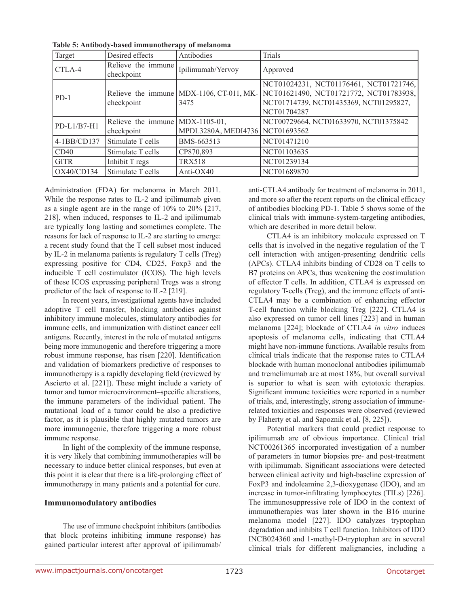| Target        | Desired effects                                                                      | Antibodies                                       | Trials                                                                                                                                    |
|---------------|--------------------------------------------------------------------------------------|--------------------------------------------------|-------------------------------------------------------------------------------------------------------------------------------------------|
| CTLA-4        | $\left  \frac{1}{\text{Relieve the immune}} \right $ Ipilimumab/Yervoy<br>checkpoint |                                                  | Approved                                                                                                                                  |
| $PD-1$        | checkpoint                                                                           | Relieve the immune MDX-1106, CT-011, MK-<br>3475 | NCT01024231, NCT01176461, NCT01721746,<br>NCT01621490, NCT01721772, NCT01783938,<br>NCT01714739, NCT01435369, NCT01295827,<br>NCT01704287 |
| $PD-L1/B7-H1$ | Relieve the immune $MDX-1105-01$ ,<br>checkpoint                                     | MPDL3280A, MEDI4736 NCT01693562                  | NCT00729664, NCT01633970, NCT01375842                                                                                                     |
| 4-1BB/CD137   | Stimulate T cells                                                                    | BMS-663513                                       | NCT01471210                                                                                                                               |
| CD40          | Stimulate T cells                                                                    | CP870,893                                        | NCT01103635                                                                                                                               |
| <b>GITR</b>   | Inhibit T regs                                                                       | <b>TRX518</b>                                    | NCT01239134                                                                                                                               |
| OX40/CD134    | Stimulate T cells                                                                    | Anti-OX40                                        | NCT01689870                                                                                                                               |

**Table 5: Antibody-based immunotherapy of melanoma**

Administration (FDA) for melanoma in March 2011. While the response rates to IL-2 and ipilimumab given as a single agent are in the range of 10% to 20% [217, 218], when induced, responses to IL-2 and ipilimumab are typically long lasting and sometimes complete. The reasons for lack of response to IL-2 are starting to emerge: a recent study found that the T cell subset most induced by IL-2 in melanoma patients is regulatory T cells (Treg) expressing positive for CD4, CD25, Foxp3 and the inducible T cell costimulator (ICOS). The high levels of these ICOS expressing peripheral Tregs was a strong predictor of the lack of response to IL-2 [219].

In recent years, investigational agents have included adoptive T cell transfer, blocking antibodies against inhibitory immune molecules, stimulatory antibodies for immune cells, and immunization with distinct cancer cell antigens. Recently, interest in the role of mutated antigens being more immunogenic and therefore triggering a more robust immune response, has risen [220]. Identification and validation of biomarkers predictive of responses to immunotherapy is a rapidly developing field (reviewed by Ascierto et al. [221]). These might include a variety of tumor and tumor microenvironment–specific alterations, the immune parameters of the individual patient. The mutational load of a tumor could be also a predictive factor, as it is plausible that highly mutated tumors are more immunogenic, therefore triggering a more robust immune response.

In light of the complexity of the immune response, it is very likely that combining immunotherapies will be necessary to induce better clinical responses, but even at this point it is clear that there is a life-prolonging effect of immunotherapy in many patients and a potential for cure.

#### **Immunomodulatory antibodies**

The use of immune checkpoint inhibitors (antibodies that block proteins inhibiting immune response) has gained particular interest after approval of ipilimumab/ anti-CTLA4 antibody for treatment of melanoma in 2011, and more so after the recent reports on the clinical efficacy of antibodies blocking PD-1. Table 5 shows some of the clinical trials with immune-system-targeting antibodies, which are described in more detail below.

CTLA4 is an inhibitory molecule expressed on T cells that is involved in the negative regulation of the T cell interaction with antigen-presenting dendritic cells (APCs). CTLA4 inhibits binding of CD28 on T cells to B7 proteins on APCs, thus weakening the costimulation of effector T cells. In addition, CTLA4 is expressed on regulatory T-cells (Treg), and the immune effects of anti-CTLA4 may be a combination of enhancing effector T-cell function while blocking Treg [222]. CTLA4 is also expressed on tumor cell lines [223] and in human melanoma [224]; blockade of CTLA4 *in vitro* induces apoptosis of melanoma cells, indicating that CTLA4 might have non-immune functions. Available results from clinical trials indicate that the response rates to CTLA4 blockade with human monoclonal antibodies ipilimumab and tremelimumab are at most 18%, but overall survival is superior to what is seen with cytotoxic therapies. Significant immune toxicities were reported in a number of trials, and, interestingly, strong association of immunerelated toxicities and responses were observed (reviewed by Flaherty et al. and Sapoznik et al. [8, 225]).

Potential markers that could predict response to ipilimumab are of obvious importance. Clinical trial NCT00261365 incorporated investigation of a number of parameters in tumor biopsies pre- and post-treatment with ipilimumab. Significant associations were detected between clinical activity and high-baseline expression of FoxP3 and indoleamine 2,3-dioxygenase (IDO), and an increase in tumor-infiltrating lymphocytes (TILs) [226]. The immunosuppressive role of IDO in the context of immunotherapies was later shown in the B16 murine melanoma model [227]. IDO catalyzes tryptophan degradation and inhibits T cell function. Inhibitors of IDO INCB024360 and 1-methyl-D-tryptophan are in several clinical trials for different malignancies, including a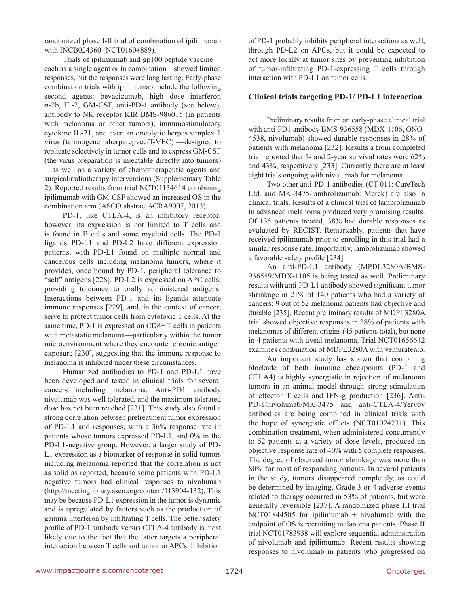randomized phase I-II trial of combination of ipilimumab with INCB024360 (NCT01604889).

Trials of ipilimumab and gp100 peptide vaccine each as a single agent or in combination—showed limited responses, but the responses were long lasting. Early-phase combination trials with ipilimumab include the following second agents: bevacizumab, high dose interferon α-2b, IL-2, GM-CSF, anti-PD-1 antibody (see below), antibody to NK receptor KIR BMS-986015 (in patients with melanoma or other tumors), immunostimulatory cytokine IL-21, and even an oncolytic herpes simplex 1 virus (talimogene laherparepvec/T-VEC) —designed to replicate selectively in tumor cells and to express GM-CSF (the virus preparation is injectable directly into tumors) —as well as a variety of chemotherapeutic agents and surgical/radiotherapy interventions (Supplementary Table 2). Reported results from trial NCT01134614 combining ipilimumab with GM-CSF showed an increased OS in the combination arm (ASCO abstract #CRA9007, 2013).

PD-1, like CTLA-4, is an inhibitory receptor; however, its expression is not limited to T cells and is found in B cells and some myeloid cells. The PD-1 ligands PD-L1 and PD-L2 have different expression patterns, with PD-L1 found on multiple normal and cancerous cells including melanoma tumors, where it provides, once bound by PD-1, peripheral tolerance to "self" antigens [228]. PD-L2 is expressed on APC cells, providing tolerance to orally administered antigens. Interactions between PD-1 and its ligands attenuate immune responses [229], and, in the context of cancer, serve to protect tumor cells from cytotoxic T cells. At the same time, PD-1 is expressed on CD8+ T cells in patients with metastatic melanoma—particularly within the tumor microenvironment where they encounter chronic antigen exposure [230], suggesting that the immune response to melanoma is inhibited under these circumstances.

Humanized antibodies to PD-1 and PD-L1 have been developed and tested in clinical trials for several cancers including melanoma. Anti-PD1 antibody nivolumab was well tolerated, and the maximum tolerated dose has not been reached [231]. This study also found a strong correlation between pretreatment tumor expression of PD-L1 and responses, with a 36% response rate in patients whose tumors expressed PD-L1, and 0% in the PD-L1-negative group. However, a larger study of PD-L1 expression as a biomarker of response in solid tumors including melanoma reported that the correlation is not as solid as reported, because some patients with PD-L1 negative tumors had clinical responses to nivolumab (http://meetinglibrary.asco.org/content/113904-132). This may be because PD-L1 expression in the tumor is dynamic and is upregulated by factors such as the production of gamma interferon by infiltrating T cells. The better safety profile of PD-1 antibody versus CTLA-4 antibody is most likely due to the fact that the latter targets a peripheral interaction between T cells and tumor or APCs. Inhibition

of PD-1 probably inhibits peripheral interactions as well, through PD-L2 on APCs, but it could be expected to act more locally at tumor sites by preventing inhibition of tumor-infiltrating PD-1-expressing T cells through interaction with PD-L1 on tumor cells.

### **Clinical trials targeting PD-1/ PD-L1 interaction**

Preliminary results from an early-phase clinical trial with anti-PD1 antibody BMS-936558 (MDX-1106, ONO-4538, nivolumab) showed durable responses in 28% of patients with melanoma [232]. Results a from completed trial reported that 1- and 2-year survival rates were 62% and 43%, respectively [233]. Currently there are at least eight trials ongoing with nivolumab for melanoma.

Two other anti-PD-1 antibodies (CT-011: CureTech Ltd. and MK-3475/lambrolizumab: Merck) are also in clinical trials. Results of a clinical trial of lambrolizumab in advanced melanoma produced very promising results. Of 135 patients treated, 38% had durable responses as evaluated by RECIST. Remarkably, patients that have received ipilimumab prior to enrolling in this trial had a similar response rate. Importantly, lambrolizumab showed a favorable safety profile [234].

An anti-PD-L1 antibody (MPDL3280A/BMS-936559/MDX-1105 is being tested as well. Preliminary results with anti-PD-L1 antibody showed significant tumor shrinkage in 21% of 140 patients who had a variety of cancers; 9 out of 52 melanoma patients had objective and durable [235]. Recent preliminary results of MDPL3280A trial showed objective responses in 28% of patients with melanomas of different origins (45 patients total), but none in 4 patients with uveal melanoma. Trial NCT01656642 examines combination of MDPL3280A with vemurafenib.

An important study has shown that combining blockade of both immune checkpoints (PD-1 and CTLA4) is highly synergistic in rejection of melanoma tumors in an animal model through strong stimulation of effector T cells and IFN-g production [236]. Anti-PD-1/nivolumab/MK-3475 and anti-CTLA-4/Yervoy antibodies are being combined in clinical trials with the hope of synergistic effects (NCT01024231). This combination treatment, when administered concurrently to 52 patients at a variety of dose levels, produced an objective response rate of 40% with 5 complete responses. The degree of observed tumor shrinkage was more than 80% for most of responding patients. In several patients in the study, tumors disappeared completely, as could be determined by imaging. Grade 3 or 4 adverse events related to therapy occurred in 53% of patients, but were generally reversible [237]. A randomized phase III trial  $NCT01844505$  for ipilimumab + nivolumab with the endpoint of OS is recruiting melanoma patients. Phase II trial NCT01783938 will explore sequential administration of nivolumab and ipilimumab. Recent results showing responses to nivolumab in patients who progressed on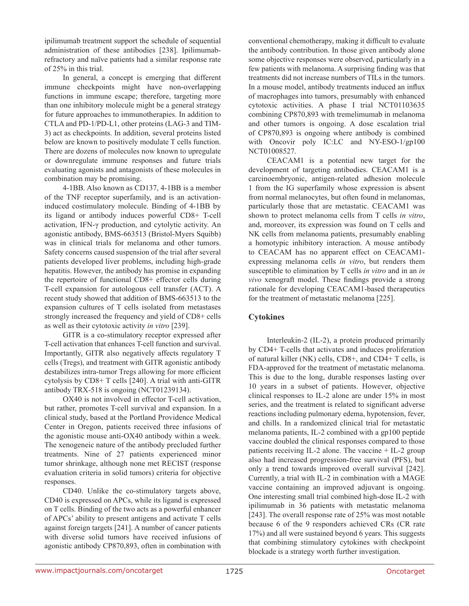ipilimumab treatment support the schedule of sequential administration of these antibodies [238]. Ipilimumabrefractory and naïve patients had a similar response rate of 25% in this trial.

In general, a concept is emerging that different immune checkpoints might have non-overlapping functions in immune escape; therefore, targeting more than one inhibitory molecule might be a general strategy for future approaches to immunotherapies. In addition to CTLA and PD-1/PD-L1, other proteins (LAG-3 and TIM-3) act as checkpoints. In addition, several proteins listed below are known to positively modulate T cells function. There are dozens of molecules now known to upregulate or downregulate immune responses and future trials evaluating agonists and antagonists of these molecules in combination may be promising.

4-1BB. Also known as CD137, 4-1BB is a member of the TNF receptor superfamily, and is an activationinduced costimulatory molecule. Binding of 4-1BB by its ligand or antibody induces powerful CD8+ T-cell activation, IFN-γ production, and cytolytic activity. An agonistic antibody, BMS-663513 (Bristol-Myers Squibb) was in clinical trials for melanoma and other tumors. Safety concerns caused suspension of the trial after several patients developed liver problems, including high-grade hepatitis. However, the antibody has promise in expanding the repertoire of functional CD8+ effector cells during T-cell expansion for autologous cell transfer (ACT). A recent study showed that addition of BMS-663513 to the expansion cultures of T cells isolated from metastases strongly increased the frequency and yield of CD8+ cells as well as their cytotoxic activity *in vitro* [239].

GITR is a co-stimulatory receptor expressed after T-cell activation that enhances T-cell function and survival. Importantly, GITR also negatively affects regulatory T cells (Tregs), and treatment with GITR agonistic antibody destabilizes intra-tumor Tregs allowing for more efficient cytolysis by CD8+ T cells [240]. A trial with anti-GITR antibody TRX-518 is ongoing (NCT01239134).

OX40 is not involved in effector T-cell activation, but rather, promotes T-cell survival and expansion. In a clinical study, based at the Portland Providence Medical Center in Oregon, patients received three infusions of the agonistic mouse anti-OX40 antibody within a week. The xenogeneic nature of the antibody precluded further treatments. Nine of 27 patients experienced minor tumor shrinkage, although none met RECIST (response evaluation criteria in solid tumors) criteria for objective responses.

CD40. Unlike the co-stimulatory targets above, CD40 is expressed on APCs, while its ligand is expressed on T cells. Binding of the two acts as a powerful enhancer of APCs' ability to present antigens and activate T cells against foreign targets [241]. A number of cancer patients with diverse solid tumors have received infusions of agonistic antibody CP870,893, often in combination with

conventional chemotherapy, making it difficult to evaluate the antibody contribution. In those given antibody alone some objective responses were observed, particularly in a few patients with melanoma. A surprising finding was that treatments did not increase numbers of TILs in the tumors. In a mouse model, antibody treatments induced an influx of macrophages into tumors, presumably with enhanced cytotoxic activities. A phase I trial NCT01103635 combining CP870,893 with tremelimumab in melanoma and other tumors is ongoing. A dose escalation trial of CP870,893 is ongoing where antibody is combined with Oncovir poly IC:LC and NY-ESO-1/gp100 NCT01008527.

CEACAM1 is a potential new target for the development of targeting antibodies. CEACAM1 is a carcinoembryonic, antigen-related adhesion molecule 1 from the IG superfamily whose expression is absent from normal melanocytes, but often found in melanomas, particularly those that are metastatic. CEACAM1 was shown to protect melanoma cells from T cells *in vitro*, and, moreover, its expression was found on T cells and NK cells from melanoma patients, presumably enabling a homotypic inhibitory interaction. A mouse antibody to CEACAM has no apparent effect on CEACAM1 expressing melanoma cells *in vitro*, but renders them susceptible to elimination by T cells *in vitro* and in an *in vivo* xenograft model. These findings provide a strong rationale for developing CEACAM1-based therapeutics for the treatment of metastatic melanoma [225].

# **Cytokines**

Interleukin-2 (IL-2), a protein produced primarily by CD4+ T-cells that activates and induces proliferation of natural killer (NK) cells, CD8+, and CD4+ T cells, is FDA-approved for the treatment of metastatic melanoma. This is due to the long, durable responses lasting over 10 years in a subset of patients. However, objective clinical responses to IL-2 alone are under 15% in most series, and the treatment is related to significant adverse reactions including pulmonary edema, hypotension, fever, and chills. In a randomized clinical trial for metastatic melanoma patients, IL-2 combined with a gp100 peptide vaccine doubled the clinical responses compared to those patients receiving IL-2 alone. The vaccine + IL-2 group also had increased progression-free survival (PFS), but only a trend towards improved overall survival [242]. Currently, a trial with IL-2 in combination with a MAGE vaccine containing an improved adjuvant is ongoing. One interesting small trial combined high-dose IL-2 with ipilimumab in 36 patients with metastatic melanoma [243]. The overall response rate of 25% was most notable because 6 of the 9 responders achieved CRs (CR rate 17%) and all were sustained beyond 6 years. This suggests that combining stimulatory cytokines with checkpoint blockade is a strategy worth further investigation.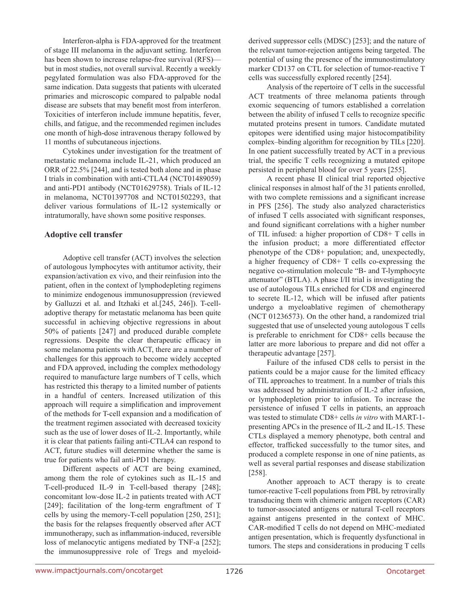Interferon-alpha is FDA-approved for the treatment of stage III melanoma in the adjuvant setting. Interferon has been shown to increase relapse-free survival (RFS) but in most studies, not overall survival. Recently a weekly pegylated formulation was also FDA-approved for the same indication. Data suggests that patients with ulcerated primaries and microscopic compared to palpable nodal disease are subsets that may benefit most from interferon. Toxicities of interferon include immune hepatitis, fever, chills, and fatigue, and the recommended regimen includes one month of high-dose intravenous therapy followed by 11 months of subcutaneous injections.

Cytokines under investigation for the treatment of metastatic melanoma include IL-21, which produced an ORR of 22.5% [244], and is tested both alone and in phase I trials in combination with anti-CTLA4 (NCT01489059) and anti-PD1 antibody (NCT01629758). Trials of IL-12 in melanoma, NCT01397708 and NCT01502293, that deliver various formulations of IL-12 systemically or intratumorally, have shown some positive responses.

#### **Adoptive cell transfer**

Adoptive cell transfer (ACT) involves the selection of autologous lymphocytes with antitumor activity, their expansion/activation ex vivo, and their reinfusion into the patient, often in the context of lymphodepleting regimens to minimize endogenous immunosuppression (reviewed by Galluzzi et al. and Itzhaki et al.[245, 246]). T-celladoptive therapy for metastatic melanoma has been quite successful in achieving objective regressions in about 50% of patients [247] and produced durable complete regressions. Despite the clear therapeutic efficacy in some melanoma patients with ACT, there are a number of challenges for this approach to become widely accepted and FDA approved, including the complex methodology required to manufacture large numbers of T cells, which has restricted this therapy to a limited number of patients in a handful of centers. Increased utilization of this approach will require a simplification and improvement of the methods for T-cell expansion and a modification of the treatment regimen associated with decreased toxicity such as the use of lower doses of IL-2. Importantly, while it is clear that patients failing anti-CTLA4 can respond to ACT, future studies will determine whether the same is true for patients who fail anti-PD1 therapy.

Different aspects of ACT are being examined, among them the role of cytokines such as IL-15 and T-cell-produced IL-9 in T-cell-based therapy [248]; concomitant low-dose IL-2 in patients treated with ACT [249]; facilitation of the long-term engraftment of T cells by using the memory-T-cell population [250, 251]; the basis for the relapses frequently observed after ACT immunotherapy, such as inflammation-induced, reversible loss of melanocytic antigens mediated by TNF-a [252]; the immunosuppressive role of Tregs and myeloidderived suppressor cells (MDSC) [253]; and the nature of the relevant tumor-rejection antigens being targeted. The potential of using the presence of the immunostimulatory marker CD137 on CTL for selection of tumor-reactive T cells was successfully explored recently [254].

Analysis of the repertoire of T cells in the successful ACT treatments of three melanoma patients through exomic sequencing of tumors established a correlation between the ability of infused T cells to recognize specific mutated proteins present in tumors. Candidate mutated epitopes were identified using major histocompatibility complex–binding algorithm for recognition by TILs [220]. In one patient successfully treated by ACT in a previous trial, the specific T cells recognizing a mutated epitope persisted in peripheral blood for over 5 years [255].

A recent phase II clinical trial reported objective clinical responses in almost half of the 31 patients enrolled, with two complete remissions and a significant increase in PFS [256]. The study also analyzed characteristics of infused T cells associated with significant responses, and found significant correlations with a higher number of TIL infused: a higher proportion of CD8+ T cells in the infusion product; a more differentiated effector phenotype of the CD8+ population; and, unexpectedly, a higher frequency of CD8+ T cells co-expressing the negative co-stimulation molecule "B- and T-lymphocyte attenuator" (BTLA). A phase I/II trial is investigating the use of autologous TILs enriched for CD8 and engineered to secrete IL-12, which will be infused after patients undergo a myeloablative regimen of chemotherapy (NCT 01236573). On the other hand, a randomized trial suggested that use of unselected young autologous T cells is preferable to enrichment for CD8+ cells because the latter are more laborious to prepare and did not offer a therapeutic advantage [257].

Failure of the infused CD8 cells to persist in the patients could be a major cause for the limited efficacy of TIL approaches to treatment. In a number of trials this was addressed by administration of IL-2 after infusion, or lymphodepletion prior to infusion. To increase the persistence of infused T cells in patients, an approach was tested to stimulate CD8+ cells *in vitro* with MART-1 presenting APCs in the presence of IL-2 and IL-15. These CTLs displayed a memory phenotype, both central and effector, trafficked successfully to the tumor sites, and produced a complete response in one of nine patients, as well as several partial responses and disease stabilization [258].

Another approach to ACT therapy is to create tumor-reactive T-cell populations from PBL by retrovirally transducing them with chimeric antigen receptors (CAR) to tumor-associated antigens or natural T-cell receptors against antigens presented in the context of MHC. CAR-modified T cells do not depend on MHC-mediated antigen presentation, which is frequently dysfunctional in tumors. The steps and considerations in producing T cells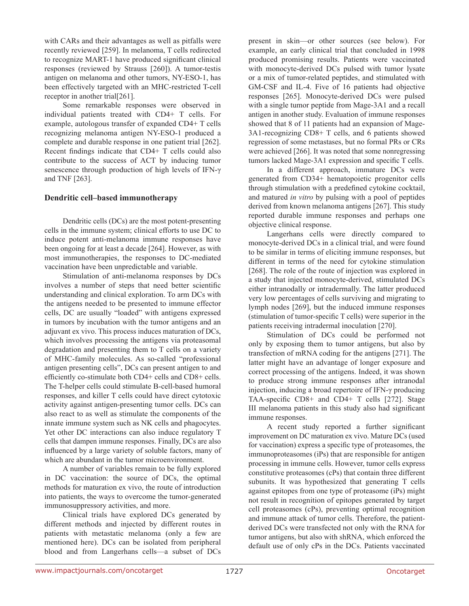with CARs and their advantages as well as pitfalls were recently reviewed [259]. In melanoma, T cells redirected to recognize MART-1 have produced significant clinical responses (reviewed by Strauss [260]). A tumor-testis antigen on melanoma and other tumors, NY-ESO-1, has been effectively targeted with an MHC-restricted T-cell receptor in another trial[261].

Some remarkable responses were observed in individual patients treated with CD4+ T cells. For example, autologous transfer of expanded CD4+ T cells recognizing melanoma antigen NY-ESO-1 produced a complete and durable response in one patient trial [262]. Recent findings indicate that CD4+ T cells could also contribute to the success of ACT by inducing tumor senescence through production of high levels of IFN-γ and TNF [263].

### **Dendritic cell–based immunotherapy**

Dendritic cells (DCs) are the most potent-presenting cells in the immune system; clinical efforts to use DC to induce potent anti-melanoma immune responses have been ongoing for at least a decade [264]. However, as with most immunotherapies, the responses to DC-mediated vaccination have been unpredictable and variable.

Stimulation of anti-melanoma responses by DCs involves a number of steps that need better scientific understanding and clinical exploration. To arm DCs with the antigens needed to be presented to immune effector cells, DC are usually "loaded" with antigens expressed in tumors by incubation with the tumor antigens and an adjuvant ex vivo. This process induces maturation of DCs, which involves processing the antigens via proteasomal degradation and presenting them to T cells on a variety of MHC-family molecules. As so-called "professional antigen presenting cells", DCs can present antigen to and efficiently co-stimulate both CD4+ cells and CD8+ cells. The T-helper cells could stimulate B-cell-based humoral responses, and killer T cells could have direct cytotoxic activity against antigen-presenting tumor cells. DCs can also react to as well as stimulate the components of the innate immune system such as NK cells and phagocytes. Yet other DC interactions can also induce regulatory T cells that dampen immune responses. Finally, DCs are also influenced by a large variety of soluble factors, many of which are abundant in the tumor microenvironment.

A number of variables remain to be fully explored in DC vaccination: the source of DCs, the optimal methods for maturation ex vivo, the route of introduction into patients, the ways to overcome the tumor-generated immunosuppressory activities, and more.

Clinical trials have explored DCs generated by different methods and injected by different routes in patients with metastatic melanoma (only a few are mentioned here). DCs can be isolated from peripheral blood and from Langerhans cells—a subset of DCs

present in skin—or other sources (see below). For example, an early clinical trial that concluded in 1998 produced promising results. Patients were vaccinated with monocyte-derived DCs pulsed with tumor lysate or a mix of tumor-related peptides, and stimulated with GM-CSF and IL-4. Five of 16 patients had objective responses [265]. Monocyte-derived DCs were pulsed with a single tumor peptide from Mage-3A1 and a recall antigen in another study. Evaluation of immune responses showed that 8 of 11 patients had an expansion of Mage-3A1-recognizing CD8+ T cells, and 6 patients showed regression of some metastases, but no formal PRs or CRs were achieved [266]. It was noted that some nonregressing tumors lacked Mage-3A1 expression and specific T cells.

In a different approach, immature DCs were generated from CD34+ hematopoietic progenitor cells through stimulation with a predefined cytokine cocktail, and matured *in vitro* by pulsing with a pool of peptides derived from known melanoma antigens [267]. This study reported durable immune responses and perhaps one objective clinical response.

Langerhans cells were directly compared to monocyte-derived DCs in a clinical trial, and were found to be similar in terms of eliciting immune responses, but different in terms of the need for cytokine stimulation [268]. The role of the route of injection was explored in a study that injected monocyte-derived, stimulated DCs either intranodally or intradermally. The latter produced very low percentages of cells surviving and migrating to lymph nodes [269], but the induced immune responses (stimulation of tumor-specific T cells) were superior in the patients receiving intradermal inoculation [270].

Stimulation of DCs could be performed not only by exposing them to tumor antigens, but also by transfection of mRNA coding for the antigens [271]. The latter might have an advantage of longer exposure and correct processing of the antigens. Indeed, it was shown to produce strong immune responses after intranodal injection, inducing a broad repertoire of IFN-γ producing TAA-specific CD8+ and CD4+ T cells [272]. Stage III melanoma patients in this study also had significant immune responses.

A recent study reported a further significant improvement on DC maturation ex vivo. Mature DCs (used for vaccination) express a specific type of proteasomes, the immunoproteasomes (iPs) that are responsible for antigen processing in immune cells. However, tumor cells express constitutive proteasomes (cPs) that contain three different subunits. It was hypothesized that generating T cells against epitopes from one type of proteasome (iPs) might not result in recognition of epitopes generated by target cell proteasomes (cPs), preventing optimal recognition and immune attack of tumor cells. Therefore, the patientderived DCs were transfected not only with the RNA for tumor antigens, but also with shRNA, which enforced the default use of only cPs in the DCs. Patients vaccinated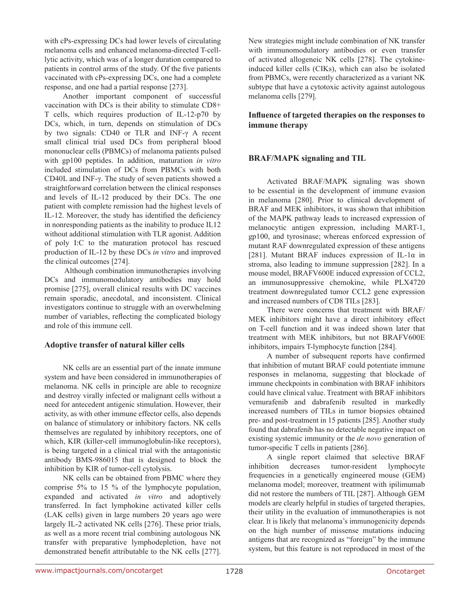with cPs-expressing DCs had lower levels of circulating melanoma cells and enhanced melanoma-directed T-celllytic activity, which was of a longer duration compared to patients in control arms of the study. Of the five patients vaccinated with cPs-expressing DCs, one had a complete response, and one had a partial response [273].

Another important component of successful vaccination with DCs is their ability to stimulate CD8+ T cells, which requires production of IL-12-p70 by DCs, which, in turn, depends on stimulation of DCs by two signals: CD40 or TLR and INF-γ A recent small clinical trial used DCs from peripheral blood mononuclear cells (PBMCs) of melanoma patients pulsed with gp100 peptides. In addition, maturation *in vitro* included stimulation of DCs from PBMCs with both CD40L and INF-γ. The study of seven patients showed a straightforward correlation between the clinical responses and levels of IL-12 produced by their DCs. The one patient with complete remission had the highest levels of IL-12. Moreover, the study has identified the deficiency in nonresponding patients as the inability to produce IL12 without additional stimulation with TLR agonist. Addition of poly I:C to the maturation protocol has rescued production of IL-12 by these DCs *in vitro* and improved the clinical outcomes [274].

 Although combination immunotherapies involving DCs and immunomodulatory antibodies may hold promise [275], overall clinical results with DC vaccines remain sporadic, anecdotal, and inconsistent. Clinical investigators continue to struggle with an overwhelming number of variables, reflecting the complicated biology and role of this immune cell.

# **Adoptive transfer of natural killer cells**

NK cells are an essential part of the innate immune system and have been considered in immunotherapies of melanoma. NK cells in principle are able to recognize and destroy virally infected or malignant cells without a need for antecedent antigenic stimulation. However, their activity, as with other immune effector cells, also depends on balance of stimulatory or inhibitory factors. NK cells themselves are regulated by inhibitory receptors, one of which, KIR (killer-cell immunoglobulin-like receptors), is being targeted in a clinical trial with the antagonistic antibody BMS-986015 that is designed to block the inhibition by KIR of tumor-cell cytolysis.

NK cells can be obtained from PBMC where they comprise 5% to 15 % of the lymphocyte population, expanded and activated *in vitro* and adoptively transferred. In fact lymphokine activated killer cells (LAK cells) given in large numbers 20 years ago were largely IL-2 activated NK cells [276]. These prior trials, as well as a more recent trial combining autologous NK transfer with preparative lymphodepletion, have not demonstrated benefit attributable to the NK cells [277].

New strategies might include combination of NK transfer with immunomodulatory antibodies or even transfer of activated allogeneic NK cells [278]. The cytokineinduced killer cells (CIKs), which can also be isolated from PBMCs, were recently characterized as a variant NK subtype that have a cytotoxic activity against autologous melanoma cells [279].

### **Influence of targeted therapies on the responses to immune therapy**

# **BRAF/MAPK signaling and TIL**

Activated BRAF/MAPK signaling was shown to be essential in the development of immune evasion in melanoma [280]. Prior to clinical development of BRAF and MEK inhibitors, it was shown that inhibition of the MAPK pathway leads to increased expression of melanocytic antigen expression, including MART-1, gp100, and tyrosinase; whereas enforced expression of mutant RAF downregulated expression of these antigens [281]. Mutant BRAF induces expression of IL-1 $\alpha$  in stroma, also leading to immune suppression [282]. In a mouse model, BRAFV600E induced expression of CCL2, an immunosuppressive chemokine, while PLX4720 treatment downregulated tumor CCL2 gene expression and increased numbers of CD8 TILs [283].

There were concerns that treatment with BRAF/ MEK inhibitors might have a direct inhibitory effect on T-cell function and it was indeed shown later that treatment with MEK inhibitors, but not BRAFV600E inhibitors, impairs T-lymphocyte function [284].

A number of subsequent reports have confirmed that inhibition of mutant BRAF could potentiate immune responses in melanoma, suggesting that blockade of immune checkpoints in combination with BRAF inhibitors could have clinical value. Treatment with BRAF inhibitors vemurafenib and dabrafenib resulted in markedly increased numbers of TILs in tumor biopsies obtained pre- and post-treatment in 15 patients [285]. Another study found that dabrafenib has no detectable negative impact on existing systemic immunity or the *de novo* generation of tumor-specific T cells in patients [286].

A single report claimed that selective BRAF inhibition decreases tumor-resident lymphocyte frequencies in a genetically engineered mouse (GEM) melanoma model; moreover, treatment with ipilimumab did not restore the numbers of TIL [287]. Although GEM models are clearly helpful in studies of targeted therapies, their utility in the evaluation of immunotherapies is not clear. It is likely that melanoma's immunogenicity depends on the high number of missense mutations inducing antigens that are recognized as "foreign" by the immune system, but this feature is not reproduced in most of the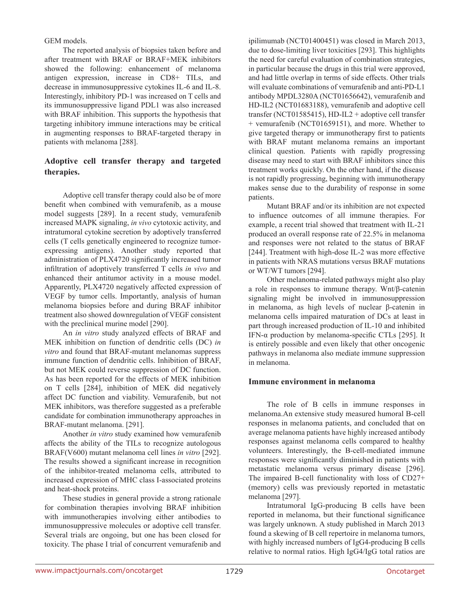GEM models.

The reported analysis of biopsies taken before and after treatment with BRAF or BRAF+MEK inhibitors showed the following: enhancement of melanoma antigen expression, increase in CD8+ TILs, and decrease in immunosuppressive cytokines IL-6 and IL-8. Interestingly, inhibitory PD-1 was increased on T cells and its immunosuppressive ligand PDL1 was also increased with BRAF inhibition. This supports the hypothesis that targeting inhibitory immune interactions may be critical in augmenting responses to BRAF-targeted therapy in patients with melanoma [288].

# **Adoptive cell transfer therapy and targeted therapies.**

Adoptive cell transfer therapy could also be of more benefit when combined with vemurafenib, as a mouse model suggests [289]. In a recent study, vemurafenib increased MAPK signaling, *in vivo* cytotoxic activity, and intratumoral cytokine secretion by adoptively transferred cells (T cells genetically engineered to recognize tumorexpressing antigens). Another study reported that administration of PLX4720 significantly increased tumor infiltration of adoptively transferred T cells *in vivo* and enhanced their antitumor activity in a mouse model. Apparently, PLX4720 negatively affected expression of VEGF by tumor cells. Importantly, analysis of human melanoma biopsies before and during BRAF inhibitor treatment also showed downregulation of VEGF consistent with the preclinical murine model [290].

An *in vitro* study analyzed effects of BRAF and MEK inhibition on function of dendritic cells (DC) *in vitro* and found that BRAF-mutant melanomas suppress immune function of dendritic cells. Inhibition of BRAF, but not MEK could reverse suppression of DC function. As has been reported for the effects of MEK inhibition on T cells [284], inhibition of MEK did negatively affect DC function and viability. Vemurafenib, but not MEK inhibitors, was therefore suggested as a preferable candidate for combination immunotherapy approaches in BRAF-mutant melanoma. [291].

Another *in vitro* study examined how vemurafenib affects the ability of the TILs to recognize autologous BRAF(V600) mutant melanoma cell lines *in vitro* [292]. The results showed a significant increase in recognition of the inhibitor-treated melanoma cells, attributed to increased expression of MHC class I-associated proteins and heat-shock proteins.

These studies in general provide a strong rationale for combination therapies involving BRAF inhibition with immunotherapies involving either antibodies to immunosuppressive molecules or adoptive cell transfer. Several trials are ongoing, but one has been closed for toxicity. The phase I trial of concurrent vemurafenib and ipilimumab (NCT01400451) was closed in March 2013, due to dose-limiting liver toxicities [293]. This highlights the need for careful evaluation of combination strategies, in particular because the drugs in this trial were approved, and had little overlap in terms of side effects. Other trials will evaluate combinations of vemurafenib and anti-PD-L1 antibody MPDL3280A (NCT01656642), vemurafenib and HD-IL2 (NCT01683188), vemurafenib and adoptive cell transfer (NCT01585415), HD-IL2 + adoptive cell transfer + vemurafenib (NCT01659151), and more. Whether to give targeted therapy or immunotherapy first to patients with BRAF mutant melanoma remains an important clinical question. Patients with rapidly progressing disease may need to start with BRAF inhibitors since this treatment works quickly. On the other hand, if the disease is not rapidly progressing, beginning with immunotherapy makes sense due to the durability of response in some patients.

Mutant BRAF and/or its inhibition are not expected to influence outcomes of all immune therapies. For example, a recent trial showed that treatment with IL-21 produced an overall response rate of 22.5% in melanoma and responses were not related to the status of BRAF [244]. Treatment with high-dose IL-2 was more effective in patients with NRAS mutations versus BRAF mutations or WT/WT tumors [294].

Other melanoma-related pathways might also play a role in responses to immune therapy. Wnt/β-catenin signaling might be involved in immunosuppression in melanoma, as high levels of nuclear β-catenin in melanoma cells impaired maturation of DCs at least in part through increased production of IL-10 and inhibited IFN-α production by melanoma-specific CTLs [295]. It is entirely possible and even likely that other oncogenic pathways in melanoma also mediate immune suppression in melanoma.

#### **Immune environment in melanoma**

The role of B cells in immune responses in melanoma.An extensive study measured humoral B-cell responses in melanoma patients, and concluded that on average melanoma patients have highly increased antibody responses against melanoma cells compared to healthy volunteers. Interestingly, the B-cell-mediated immune responses were significantly diminished in patients with metastatic melanoma versus primary disease [296]. The impaired B-cell functionality with loss of CD27+ (memory) cells was previously reported in metastatic melanoma [297].

Intratumoral IgG-producing B cells have been reported in melanoma, but their functional significance was largely unknown. A study published in March 2013 found a skewing of B cell repertoire in melanoma tumors, with highly increased numbers of IgG4-producing B cells relative to normal ratios. High IgG4/IgG total ratios are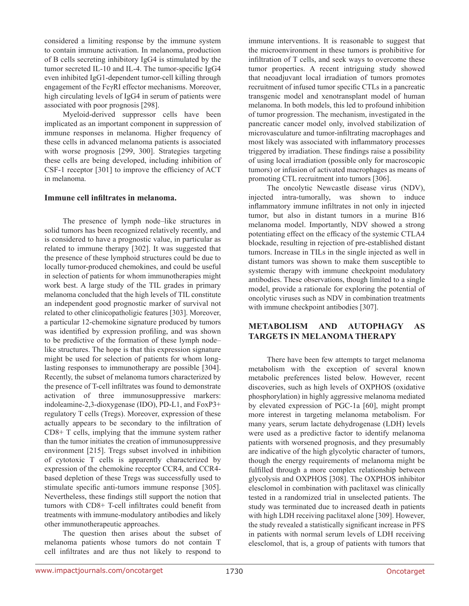considered a limiting response by the immune system to contain immune activation. In melanoma, production of B cells secreting inhibitory IgG4 is stimulated by the tumor secreted IL-10 and IL-4. The tumor-specific IgG4 even inhibited IgG1-dependent tumor-cell killing through engagement of the FcγRI effector mechanisms. Moreover, high circulating levels of IgG4 in serum of patients were associated with poor prognosis [298].

Myeloid-derived suppressor cells have been implicated as an important component in suppression of immune responses in melanoma. Higher frequency of these cells in advanced melanoma patients is associated with worse prognosis [299, 300]. Strategies targeting these cells are being developed, including inhibition of CSF-1 receptor [301] to improve the efficiency of ACT in melanoma.

#### **Immune cell infiltrates in melanoma.**

The presence of lymph node–like structures in solid tumors has been recognized relatively recently, and is considered to have a prognostic value, in particular as related to immune therapy [302]. It was suggested that the presence of these lymphoid structures could be due to locally tumor-produced chemokines, and could be useful in selection of patients for whom immunotherapies might work best. A large study of the TIL grades in primary melanoma concluded that the high levels of TIL constitute an independent good prognostic marker of survival not related to other clinicopatholigic features [303]. Moreover, a particular 12-chemokine signature produced by tumors was identified by expression profiling, and was shown to be predictive of the formation of these lymph node– like structures. The hope is that this expression signature might be used for selection of patients for whom longlasting responses to immunotherapy are possible [304]. Recently, the subset of melanoma tumors characterized by the presence of T-cell infiltrates was found to demonstrate activation of three immunosuppressive markers: indoleamine-2,3-dioxygenase (IDO), PD-L1, and FoxP3+ regulatory T cells (Tregs). Moreover, expression of these actually appears to be secondary to the infiltration of CD8+ T cells, implying that the immune system rather than the tumor initiates the creation of immunosuppressive environment [215]. Tregs subset involved in inhibition of cytotoxic T cells is apparently characterized by expression of the chemokine receptor CCR4, and CCR4 based depletion of these Tregs was successfully used to stimulate specific anti-tumors immune response [305]. Nevertheless, these findings still support the notion that tumors with CD8+ T-cell infiltrates could benefit from treatments with immune-modulatory antibodies and likely other immunotherapeutic approaches.

The question then arises about the subset of melanoma patients whose tumors do not contain T cell infiltrates and are thus not likely to respond to

immune interventions. It is reasonable to suggest that the microenvironment in these tumors is prohibitive for infiltration of T cells, and seek ways to overcome these tumor properties. A recent intriguing study showed that neoadjuvant local irradiation of tumors promotes recruitment of infused tumor specific CTLs in a pancreatic transgenic model and xenotransplant model of human melanoma. In both models, this led to profound inhibition of tumor progression. The mechanism, investigated in the pancreatic cancer model only, involved stabilization of microvasculature and tumor-infiltrating macrophages and most likely was associated with inflammatory processes triggered by irradiation. These findings raise a possibility of using local irradiation (possible only for macroscopic tumors) or infusion of activated macrophages as means of promoting CTL recruitment into tumors [306].

The oncolytic Newcastle disease virus (NDV), injected intra-tumorally, was shown to induce inflammatory immune infiltrates in not only in injected tumor, but also in distant tumors in a murine B16 melanoma model. Importantly, NDV showed a strong potentiating effect on the efficacy of the systemic CTLA4 blockade, resulting in rejection of pre-established distant tumors. Increase in TILs in the single injected as well in distant tumors was shown to make them susceptible to systemic therapy with immune checkpoint modulatory antibodies. These observations, though limited to a single model, provide a rationale for exploring the potential of oncolytic viruses such as NDV in combination treatments with immune checkpoint antibodies [307].

### **METABOLISM AND AUTOPHAGY AS TARGETS IN MELANOMA THERAPY**

There have been few attempts to target melanoma metabolism with the exception of several known metabolic preferences listed below. However, recent discoveries, such as high levels of OXPHOS (oxidative phosphorylation) in highly aggressive melanoma mediated by elevated expression of PGC-1a [60], might prompt more interest in targeting melanoma metabolism. For many years, serum lactate dehydrogenase (LDH) levels were used as a predictive factor to identify melanoma patients with worsened prognosis, and they presumably are indicative of the high glycolytic character of tumors, though the energy requirements of melanoma might be fulfilled through a more complex relationship between glycolysis and OXPHOS [308]. The OXPHOS inhibitor elesclomol in combination with paclitaxel was clinically tested in a randomized trial in unselected patients. The study was terminated due to increased death in patients with high LDH receiving paclitaxel alone [309]. However, the study revealed a statistically significant increase in PFS in patients with normal serum levels of LDH receiving elesclomol, that is, a group of patients with tumors that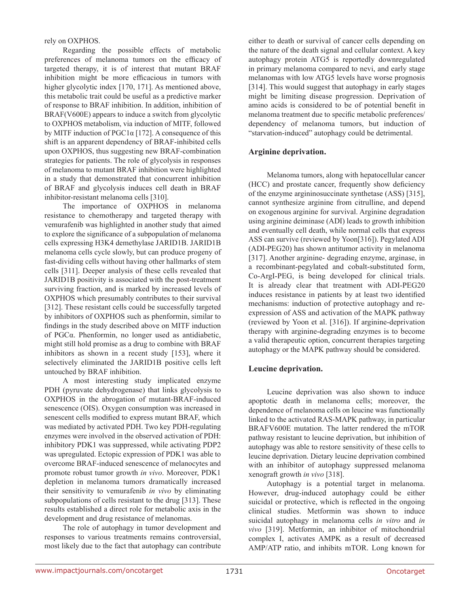rely on OXPHOS.

Regarding the possible effects of metabolic preferences of melanoma tumors on the efficacy of targeted therapy, it is of interest that mutant BRAF inhibition might be more efficacious in tumors with higher glycolytic index [170, 171]. As mentioned above, this metabolic trait could be useful as a predictive marker of response to BRAF inhibition. In addition, inhibition of BRAF(V600E) appears to induce a switch from glycolytic to OXPHOS metabolism, via induction of MITF, followed by MITF induction of  $PGC1\alpha$  [172]. A consequence of this shift is an apparent dependency of BRAF-inhibited cells upon OXPHOS, thus suggesting new BRAF-combination strategies for patients. The role of glycolysis in responses of melanoma to mutant BRAF inhibition were highlighted in a study that demonstrated that concurrent inhibition of BRAF and glycolysis induces cell death in BRAF inhibitor-resistant melanoma cells [310].

The importance of OXPHOS in melanoma resistance to chemotherapy and targeted therapy with vemurafenib was highlighted in another study that aimed to explore the significance of a subpopulation of melanoma cells expressing H3K4 demethylase JARID1B. JARID1B melanoma cells cycle slowly, but can produce progeny of fast-dividing cells without having other hallmarks of stem cells [311]. Deeper analysis of these cells revealed that JARID1B positivity is associated with the post-treatment surviving fraction, and is marked by increased levels of OXPHOS which presumably contributes to their survival [312]. These resistant cells could be successfully targeted by inhibitors of OXPHOS such as phenformin, similar to findings in the study described above on MITF induction of PGCα. Phenformin, no longer used as antidiabetic, might still hold promise as a drug to combine with BRAF inhibitors as shown in a recent study [153], where it selectively eliminated the JARID1B positive cells left untouched by BRAF inhibition.

A most interesting study implicated enzyme PDH (pyruvate dehydrogenase) that links glycolysis to OXPHOS in the abrogation of mutant-BRAF-induced senescence (OIS). Oxygen consumption was increased in senescent cells modified to express mutant BRAF, which was mediated by activated PDH. Two key PDH-regulating enzymes were involved in the observed activation of PDH: inhibitory PDK1 was suppressed, while activating PDP2 was upregulated. Ectopic expression of PDK1 was able to overcome BRAF-induced senescence of melanocytes and promote robust tumor growth *in vivo*. Moreover, PDK1 depletion in melanoma tumors dramatically increased their sensitivity to vemurafenib *in vivo* by eliminating subpopulations of cells resistant to the drug [313]. These results established a direct role for metabolic axis in the development and drug resistance of melanomas.

The role of autophagy in tumor development and responses to various treatments remains controversial, most likely due to the fact that autophagy can contribute either to death or survival of cancer cells depending on the nature of the death signal and cellular context. A key autophagy protein ATG5 is reportedly downregulated in primary melanoma compared to nevi, and early stage melanomas with low ATG5 levels have worse prognosis [314]. This would suggest that autophagy in early stages might be limiting disease progression. Deprivation of amino acids is considered to be of potential benefit in melanoma treatment due to specific metabolic preferences/ dependency of melanoma tumors, but induction of "starvation-induced" autophagy could be detrimental.

# **Arginine deprivation.**

Melanoma tumors, along with hepatocellular cancer (HCC) and prostate cancer, frequently show deficiency of the enzyme argininosuccinate synthetase (ASS) [315], cannot synthesize arginine from citrulline, and depend on exogenous arginine for survival. Arginine degradation using arginine deiminase (ADI) leads to growth inhibition and eventually cell death, while normal cells that express ASS can survive (reviewed by Yoon[316]). Pegylated ADI (ADI-PEG20) has shown antitumor activity in melanoma [317]. Another arginine- degrading enzyme, arginase, in a recombinant-pegylated and cobalt-substituted form, Co-ArgI-PEG, is being developed for clinical trials. It is already clear that treatment with ADI-PEG20 induces resistance in patients by at least two identified mechanisms: induction of protective autophagy and reexpression of ASS and activation of the MAPK pathway (reviewed by Yoon et al. [316]). If arginine-deprivation therapy with arginine-degrading enzymes is to become a valid therapeutic option, concurrent therapies targeting autophagy or the MAPK pathway should be considered.

# **Leucine deprivation.**

Leucine deprivation was also shown to induce apoptotic death in melanoma cells; moreover, the dependence of melanoma cells on leucine was functionally linked to the activated RAS-MAPK pathway, in particular BRAFV600E mutation. The latter rendered the mTOR pathway resistant to leucine deprivation, but inhibition of autophagy was able to restore sensitivity of these cells to leucine deprivation. Dietary leucine deprivation combined with an inhibitor of autophagy suppressed melanoma xenograft growth *in vivo* [318].

Autophagy is a potential target in melanoma. However, drug-induced autophagy could be either suicidal or protective, which is reflected in the ongoing clinical studies. Metformin was shown to induce suicidal autophagy in melanoma cells *in vitro* and *in vivo* [319]. Metformin, an inhibitor of mitochondrial complex I, activates AMPK as a result of decreased AMP/ATP ratio, and inhibits mTOR. Long known for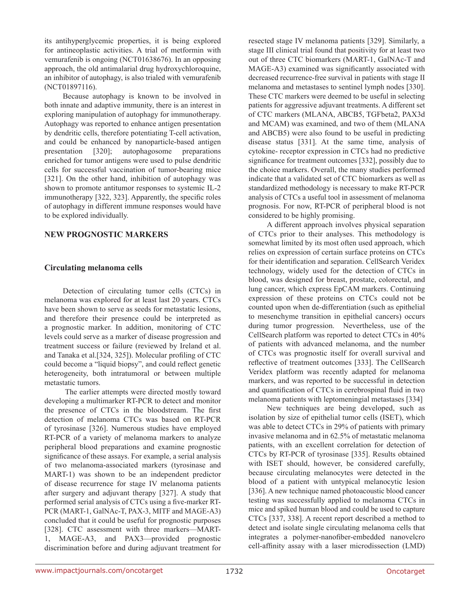its antihyperglycemic properties, it is being explored for antineoplastic activities. A trial of metformin with vemurafenib is ongoing (NCT01638676). In an opposing approach, the old antimalarial drug hydroxychloroquine, an inhibitor of autophagy, is also trialed with vemurafenib (NCT01897116).

Because autophagy is known to be involved in both innate and adaptive immunity, there is an interest in exploring manipulation of autophagy for immunotherapy. Autophagy was reported to enhance antigen presentation by dendritic cells, therefore potentiating T-cell activation, and could be enhanced by nanoparticle-based antigen presentation [320]; autophagosome preparations enriched for tumor antigens were used to pulse dendritic cells for successful vaccination of tumor-bearing mice [321]. On the other hand, inhibition of autophagy was shown to promote antitumor responses to systemic IL-2 immunotherapy [322, 323]. Apparently, the specific roles of autophagy in different immune responses would have to be explored individually.

#### **NEW PROGNOSTIC MARKERS**

### **Circulating melanoma cells**

Detection of circulating tumor cells (CTCs) in melanoma was explored for at least last 20 years. CTCs have been shown to serve as seeds for metastatic lesions, and therefore their presence could be interpreted as a prognostic marker. In addition, monitoring of CTC levels could serve as a marker of disease progression and treatment success or failure (reviewed by Ireland et al. and Tanaka et al.[324, 325]). Molecular profiling of CTC could become a "liquid biopsy", and could reflect genetic heterogeneity, both intratumoral or between multiple metastatic tumors.

 The earlier attempts were directed mostly toward developing a multimarker RT-PCR to detect and monitor the presence of CTCs in the bloodstream. The first detection of melanoma CTCs was based on RT-PCR of tyrosinase [326]. Numerous studies have employed RT-PCR of a variety of melanoma markers to analyze peripheral blood preparations and examine prognostic significance of these assays. For example, a serial analysis of two melanoma-associated markers (tyrosinase and MART-1) was shown to be an independent predictor of disease recurrence for stage IV melanoma patients after surgery and adjuvant therapy [327]. A study that performed serial analysis of CTCs using a five-marker RT-PCR (MART-1, GalNAc-T, PAX-3, MITF and MAGE-A3) concluded that it could be useful for prognostic purposes [328]. CTC assessment with three markers—MART-1, MAGE-A3, and PAX3—provided prognostic discrimination before and during adjuvant treatment for

resected stage IV melanoma patients [329]. Similarly, a stage III clinical trial found that positivity for at least two out of three CTC biomarkers (MART-1, GalNAc-T and MAGE-A3) examined was significantly associated with decreased recurrence-free survival in patients with stage II melanoma and metastases to sentinel lymph nodes [330]. These CTC markers were deemed to be useful in selecting patients for aggressive adjuvant treatments. A different set of CTC markers (MLANA, ABCB5, TGFbeta2, PAX3d and MCAM) was examined, and two of them (MLANA and ABCB5) were also found to be useful in predicting disease status [331]. At the same time, analysis of cytokine- receptor expression in CTCs had no predictive significance for treatment outcomes [332], possibly due to the choice markers. Overall, the many studies performed indicate that a validated set of CTC biomarkers as well as standardized methodology is necessary to make RT-PCR analysis of CTCs a useful tool in assessment of melanoma prognosis. For now, RT-PCR of peripheral blood is not considered to be highly promising.

A different approach involves physical separation of CTCs prior to their analyses. This methodology is somewhat limited by its most often used approach, which relies on expression of certain surface proteins on CTCs for their identification and separation. CellSearch Veridex technology, widely used for the detection of CTCs in blood, was designed for breast, prostate, colorectal, and lung cancer, which express EpCAM markers. Continuing expression of these proteins on CTCs could not be counted upon when de-differentiation (such as epithelial to mesenchyme transition in epithelial cancers) occurs during tumor progression. Nevertheless, use of the CellSearch platform was reported to detect CTCs in 40% of patients with advanced melanoma, and the number of CTCs was prognostic itself for overall survival and reflective of treatment outcomes [333]. The CellSearch Veridex platform was recently adapted for melanoma markers, and was reported to be successful in detection and quantification of CTCs in cerebrospinal fluid in two melanoma patients with leptomeningial metastases [334]

New techniques are being developed, such as isolation by size of epithelial tumor cells (ISET), which was able to detect CTCs in 29% of patients with primary invasive melanoma and in 62.5% of metastatic melanoma patients, with an excellent correlation for detection of CTCs by RT-PCR of tyrosinase [335]. Results obtained with ISET should, however, be considered carefully, because circulating melanocytes were detected in the blood of a patient with untypical melanocytic lesion [336]. A new technique named photoacoustic blood cancer testing was successfully applied to melanoma CTCs in mice and spiked human blood and could be used to capture CTCs [337, 338]. A recent report described a method to detect and isolate single circulating melanoma cells that integrates a polymer-nanofiber-embedded nanovelcro cell-affinity assay with a laser microdissection (LMD)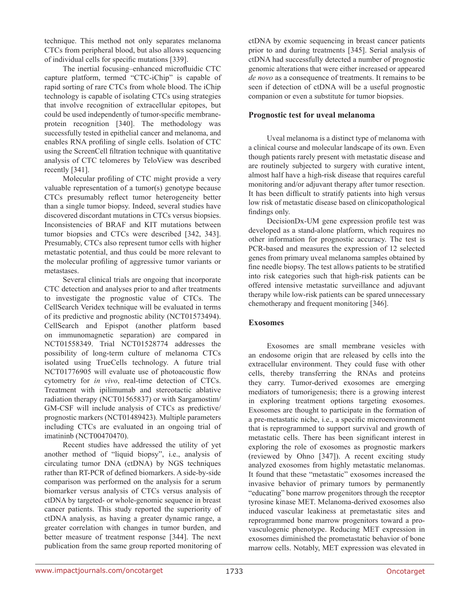technique. This method not only separates melanoma CTCs from peripheral blood, but also allows sequencing of individual cells for specific mutations [339].

The inertial focusing–enhanced microfluidic CTC capture platform, termed "CTC-iChip" is capable of rapid sorting of rare CTCs from whole blood. The iChip technology is capable of isolating CTCs using strategies that involve recognition of extracellular epitopes, but could be used independently of tumor-specific membraneprotein recognition [340]. The methodology was successfully tested in epithelial cancer and melanoma, and enables RNA profiling of single cells. Isolation of CTC using the ScreenCell filtration technique with quantitative analysis of CTC telomeres by TeloView was described recently [341].

Molecular profiling of CTC might provide a very valuable representation of a tumor(s) genotype because CTCs presumably reflect tumor heterogeneity better than a single tumor biopsy. Indeed, several studies have discovered discordant mutations in CTCs versus biopsies. Inconsistencies of BRAF and KIT mutations between tumor biopsies and CTCs were described [342, 343]. Presumably, CTCs also represent tumor cells with higher metastatic potential, and thus could be more relevant to the molecular profiling of aggressive tumor variants or metastases.

Several clinical trials are ongoing that incorporate CTC detection and analyses prior to and after treatments to investigate the prognostic value of CTCs. The CellSearch Veridex technique will be evaluated in terms of its predictive and prognostic ability (NCT01573494). CellSearch and Epispot (another platform based on immunomagnetic separation) are compared in NCT01558349. Trial NCT01528774 addresses the possibility of long-term culture of melanoma CTCs isolated using TrueCells technology. A future trial NCT01776905 will evaluate use of photoacoustic flow cytometry for *in vivo*, real-time detection of CTCs. Treatment with ipilimumab and stereotactic ablative radiation therapy (NCT01565837) or with Sargamostim/ GM-CSF will include analysis of CTCs as predictive/ prognostic markers (NCT01489423). Multiple parameters including CTCs are evaluated in an ongoing trial of imatininb (NCT00470470).

Recent studies have addressed the utility of yet another method of "liquid biopsy", i.e., analysis of circulating tumor DNA (ctDNA) by NGS techniques rather than RT-PCR of defined biomarkers. A side-by-side comparison was performed on the analysis for a serum biomarker versus analysis of CTCs versus analysis of ctDNA by targeted- or whole-genomic sequence in breast cancer patients. This study reported the superiority of ctDNA analysis, as having a greater dynamic range, a greater correlation with changes in tumor burden, and better measure of treatment response [344]. The next publication from the same group reported monitoring of ctDNA by exomic sequencing in breast cancer patients prior to and during treatments [345]. Serial analysis of ctDNA had successfully detected a number of prognostic genomic alterations that were either increased or appeared *de novo* as a consequence of treatments. It remains to be seen if detection of ctDNA will be a useful prognostic companion or even a substitute for tumor biopsies.

### **Prognostic test for uveal melanoma**

Uveal melanoma is a distinct type of melanoma with a clinical course and molecular landscape of its own. Even though patients rarely present with metastatic disease and are routinely subjected to surgery with curative intent, almost half have a high-risk disease that requires careful monitoring and/or adjuvant therapy after tumor resection. It has been difficult to stratify patients into high versus low risk of metastatic disease based on clinicopathological findings only.

DecisionDx-UM gene expression profile test was developed as a stand-alone platform, which requires no other information for prognostic accuracy. The test is PCR-based and measures the expression of 12 selected genes from primary uveal melanoma samples obtained by fine needle biopsy. The test allows patients to be stratified into risk categories such that high-risk patients can be offered intensive metastatic surveillance and adjuvant therapy while low-risk patients can be spared unnecessary chemotherapy and frequent monitoring [346].

# **Exosomes**

Exosomes are small membrane vesicles with an endosome origin that are released by cells into the extracellular environment. They could fuse with other cells, thereby transferring the RNAs and proteins they carry. Tumor-derived exosomes are emerging mediators of tumorigenesis; there is a growing interest in exploring treatment options targeting exosomes. Exosomes are thought to participate in the formation of a pre-metastatic niche, i.e., a specific microenvironment that is reprogrammed to support survival and growth of metastatic cells. There has been significant interest in exploring the role of exosomes as prognostic markers (reviewed by Ohno [347]). A recent exciting study analyzed exosomes from highly metastatic melanomas. It found that these "metastatic" exosomes increased the invasive behavior of primary tumors by permanently "educating" bone marrow progenitors through the receptor tyrosine kinase MET. Melanoma-derived exosomes also induced vascular leakiness at premetastatic sites and reprogrammed bone marrow progenitors toward a provasculogenic phenotype. Reducing MET expression in exosomes diminished the prometastatic behavior of bone marrow cells. Notably, MET expression was elevated in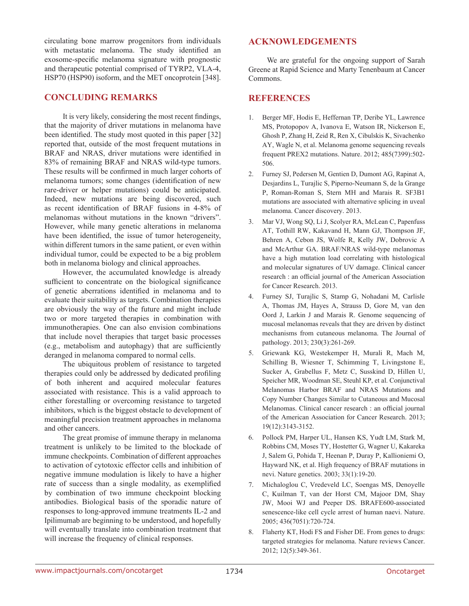circulating bone marrow progenitors from individuals with metastatic melanoma. The study identified an exosome-specific melanoma signature with prognostic and therapeutic potential comprised of TYRP2, VLA-4, HSP70 (HSP90) isoform, and the MET oncoprotein [348].

# **CONCLUDING REMARKS**

It is very likely, considering the most recent findings, that the majority of driver mutations in melanoma have been identified. The study most quoted in this paper [32] reported that, outside of the most frequent mutations in BRAF and NRAS, driver mutations were identified in 83% of remaining BRAF and NRAS wild-type tumors. These results will be confirmed in much larger cohorts of melanoma tumors; some changes (identification of new rare-driver or helper mutations) could be anticipated. Indeed, new mutations are being discovered, such as recent identification of BRAF fusions in 4-8% of melanomas without mutations in the known "drivers". However, while many genetic alterations in melanoma have been identified, the issue of tumor heterogeneity, within different tumors in the same patient, or even within individual tumor, could be expected to be a big problem both in melanoma biology and clinical approaches.

However, the accumulated knowledge is already sufficient to concentrate on the biological significance of genetic aberrations identified in melanoma and to evaluate their suitability as targets. Combination therapies are obviously the way of the future and might include two or more targeted therapies in combination with immunotherapies. One can also envision combinations that include novel therapies that target basic processes (e.g., metabolism and autophagy) that are sufficiently deranged in melanoma compared to normal cells.

The ubiquitous problem of resistance to targeted therapies could only be addressed by dedicated profiling of both inherent and acquired molecular features associated with resistance. This is a valid approach to either forestalling or overcoming resistance to targeted inhibitors, which is the biggest obstacle to development of meaningful precision treatment approaches in melanoma and other cancers.

The great promise of immune therapy in melanoma treatment is unlikely to be limited to the blockade of immune checkpoints. Combination of different approaches to activation of cytotoxic effector cells and inhibition of negative immune modulation is likely to have a higher rate of success than a single modality, as exemplified by combination of two immune checkpoint blocking antibodies. Biological basis of the sporadic nature of responses to long-approved immune treatments IL-2 and Ipilimumab are beginning to be understood, and hopefully will eventually translate into combination treatment that will increase the frequency of clinical responses.

# **ACKNOWLEDGEMENTS**

We are grateful for the ongoing support of Sarah Greene at Rapid Science and Marty Tenenbaum at Cancer Commons.

# **REFERENCES**

- 1. Berger MF, Hodis E, Heffernan TP, Deribe YL, Lawrence MS, Protopopov A, Ivanova E, Watson IR, Nickerson E, Ghosh P, Zhang H, Zeid R, Ren X, Cibulskis K, Sivachenko AY, Wagle N, et al. Melanoma genome sequencing reveals frequent PREX2 mutations. Nature. 2012; 485(7399):502- 506.
- 2. Furney SJ, Pedersen M, Gentien D, Dumont AG, Rapinat A, Desjardins L, Turajlic S, Piperno-Neumann S, de la Grange P, Roman-Roman S, Stern MH and Marais R. SF3B1 mutations are associated with alternative splicing in uveal melanoma. Cancer discovery. 2013.
- 3. Mar VJ, Wong SQ, Li J, Scolyer RA, McLean C, Papenfuss AT, Tothill RW, Kakavand H, Mann GJ, Thompson JF, Behren A, Cebon JS, Wolfe R, Kelly JW, Dobrovic A and McArthur GA. BRAF/NRAS wild-type melanomas have a high mutation load correlating with histological and molecular signatures of UV damage. Clinical cancer research : an official journal of the American Association for Cancer Research. 2013.
- 4. Furney SJ, Turajlic S, Stamp G, Nohadani M, Carlisle A, Thomas JM, Hayes A, Strauss D, Gore M, van den Oord J, Larkin J and Marais R. Genome sequencing of mucosal melanomas reveals that they are driven by distinct mechanisms from cutaneous melanoma. The Journal of pathology. 2013; 230(3):261-269.
- 5. Griewank KG, Westekemper H, Murali R, Mach M, Schilling B, Wiesner T, Schimming T, Livingstone E, Sucker A, Grabellus F, Metz C, Susskind D, Hillen U, Speicher MR, Woodman SE, Steuhl KP, et al. Conjunctival Melanomas Harbor BRAF and NRAS Mutations and Copy Number Changes Similar to Cutaneous and Mucosal Melanomas. Clinical cancer research : an official journal of the American Association for Cancer Research. 2013; 19(12):3143-3152.
- 6. Pollock PM, Harper UL, Hansen KS, Yudt LM, Stark M, Robbins CM, Moses TY, Hostetter G, Wagner U, Kakareka J, Salem G, Pohida T, Heenan P, Duray P, Kallioniemi O, Hayward NK, et al. High frequency of BRAF mutations in nevi. Nature genetics. 2003; 33(1):19-20.
- 7. Michaloglou C, Vredeveld LC, Soengas MS, Denoyelle C, Kuilman T, van der Horst CM, Majoor DM, Shay JW, Mooi WJ and Peeper DS. BRAFE600-associated senescence-like cell cycle arrest of human naevi. Nature. 2005; 436(7051):720-724.
- 8. Flaherty KT, Hodi FS and Fisher DE. From genes to drugs: targeted strategies for melanoma. Nature reviews Cancer. 2012; 12(5):349-361.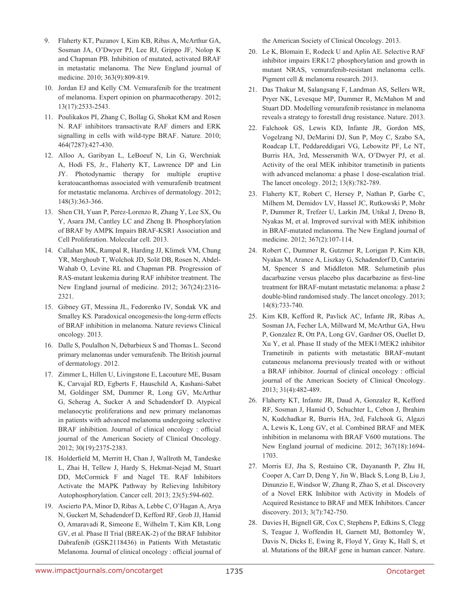- 9. Flaherty KT, Puzanov I, Kim KB, Ribas A, McArthur GA, Sosman JA, O'Dwyer PJ, Lee RJ, Grippo JF, Nolop K and Chapman PB. Inhibition of mutated, activated BRAF in metastatic melanoma. The New England journal of medicine. 2010; 363(9):809-819.
- 10. Jordan EJ and Kelly CM. Vemurafenib for the treatment of melanoma. Expert opinion on pharmacotherapy. 2012; 13(17):2533-2543.
- 11. Poulikakos PI, Zhang C, Bollag G, Shokat KM and Rosen N. RAF inhibitors transactivate RAF dimers and ERK signalling in cells with wild-type BRAF. Nature. 2010; 464(7287):427-430.
- 12. Alloo A, Garibyan L, LeBoeuf N, Lin G, Werchniak A, Hodi FS, Jr., Flaherty KT, Lawrence DP and Lin JY. Photodynamic therapy for multiple eruptive keratoacanthomas associated with vemurafenib treatment for metastatic melanoma. Archives of dermatology. 2012; 148(3):363-366.
- 13. Shen CH, Yuan P, Perez-Lorenzo R, Zhang Y, Lee SX, Ou Y, Asara JM, Cantley LC and Zheng B. Phosphorylation of BRAF by AMPK Impairs BRAF-KSR1 Association and Cell Proliferation. Molecular cell. 2013.
- 14. Callahan MK, Rampal R, Harding JJ, Klimek VM, Chung YR, Merghoub T, Wolchok JD, Solit DB, Rosen N, Abdel-Wahab O, Levine RL and Chapman PB. Progression of RAS-mutant leukemia during RAF inhibitor treatment. The New England journal of medicine. 2012; 367(24):2316- 2321.
- 15. Gibney GT, Messina JL, Fedorenko IV, Sondak VK and Smalley KS. Paradoxical oncogenesis-the long-term effects of BRAF inhibition in melanoma. Nature reviews Clinical oncology. 2013.
- 16. Dalle S, Poulalhon N, Debarbieux S and Thomas L. Second primary melanomas under vemurafenib. The British journal of dermatology. 2012.
- 17. Zimmer L, Hillen U, Livingstone E, Lacouture ME, Busam K, Carvajal RD, Egberts F, Hauschild A, Kashani-Sabet M, Goldinger SM, Dummer R, Long GV, McArthur G, Scherag A, Sucker A and Schadendorf D. Atypical melanocytic proliferations and new primary melanomas in patients with advanced melanoma undergoing selective BRAF inhibition. Journal of clinical oncology : official journal of the American Society of Clinical Oncology. 2012; 30(19):2375-2383.
- 18. Holderfield M, Merritt H, Chan J, Wallroth M, Tandeske L, Zhai H, Tellew J, Hardy S, Hekmat-Nejad M, Stuart DD, McCormick F and Nagel TE. RAF Inhibitors Activate the MAPK Pathway by Relieving Inhibitory Autophosphorylation. Cancer cell. 2013; 23(5):594-602.
- 19. Ascierto PA, Minor D, Ribas A, Lebbe C, O'Hagan A, Arya N, Guckert M, Schadendorf D, Kefford RF, Grob JJ, Hamid O, Amaravadi R, Simeone E, Wilhelm T, Kim KB, Long GV, et al. Phase II Trial (BREAK-2) of the BRAF Inhibitor Dabrafenib (GSK2118436) in Patients With Metastatic Melanoma. Journal of clinical oncology : official journal of

the American Society of Clinical Oncology. 2013.

- 20. Le K, Blomain E, Rodeck U and Aplin AE. Selective RAF inhibitor impairs ERK1/2 phosphorylation and growth in mutant NRAS, vemurafenib-resistant melanoma cells. Pigment cell & melanoma research. 2013.
- 21. Das Thakur M, Salangsang F, Landman AS, Sellers WR, Pryer NK, Levesque MP, Dummer R, McMahon M and Stuart DD. Modelling vemurafenib resistance in melanoma reveals a strategy to forestall drug resistance. Nature. 2013.
- 22. Falchook GS, Lewis KD, Infante JR, Gordon MS, Vogelzang NJ, DeMarini DJ, Sun P, Moy C, Szabo SA, Roadcap LT, Peddareddigari VG, Lebowitz PF, Le NT, Burris HA, 3rd, Messersmith WA, O'Dwyer PJ, et al. Activity of the oral MEK inhibitor trametinib in patients with advanced melanoma: a phase 1 dose-escalation trial. The lancet oncology. 2012; 13(8):782-789.
- 23. Flaherty KT, Robert C, Hersey P, Nathan P, Garbe C, Milhem M, Demidov LV, Hassel JC, Rutkowski P, Mohr P, Dummer R, Trefzer U, Larkin JM, Utikal J, Dreno B, Nyakas M, et al. Improved survival with MEK inhibition in BRAF-mutated melanoma. The New England journal of medicine. 2012; 367(2):107-114.
- 24. Robert C, Dummer R, Gutzmer R, Lorigan P, Kim KB, Nyakas M, Arance A, Liszkay G, Schadendorf D, Cantarini M, Spencer S and Middleton MR. Selumetinib plus dacarbazine versus placebo plus dacarbazine as first-line treatment for BRAF-mutant metastatic melanoma: a phase 2 double-blind randomised study. The lancet oncology. 2013; 14(8):733-740.
- 25. Kim KB, Kefford R, Pavlick AC, Infante JR, Ribas A, Sosman JA, Fecher LA, Millward M, McArthur GA, Hwu P, Gonzalez R, Ott PA, Long GV, Gardner OS, Ouellet D, Xu Y, et al. Phase II study of the MEK1/MEK2 inhibitor Trametinib in patients with metastatic BRAF-mutant cutaneous melanoma previously treated with or without a BRAF inhibitor. Journal of clinical oncology : official journal of the American Society of Clinical Oncology. 2013; 31(4):482-489.
- 26. Flaherty KT, Infante JR, Daud A, Gonzalez R, Kefford RF, Sosman J, Hamid O, Schuchter L, Cebon J, Ibrahim N, Kudchadkar R, Burris HA, 3rd, Falchook G, Algazi A, Lewis K, Long GV, et al. Combined BRAF and MEK inhibition in melanoma with BRAF V600 mutations. The New England journal of medicine. 2012; 367(18):1694- 1703.
- 27. Morris EJ, Jha S, Restaino CR, Dayananth P, Zhu H, Cooper A, Carr D, Deng Y, Jin W, Black S, Long B, Liu J, Dinunzio E, Windsor W, Zhang R, Zhao S, et al. Discovery of a Novel ERK Inhibitor with Activity in Models of Acquired Resistance to BRAF and MEK Inhibitors. Cancer discovery. 2013; 3(7):742-750.
- 28. Davies H, Bignell GR, Cox C, Stephens P, Edkins S, Clegg S, Teague J, Woffendin H, Garnett MJ, Bottomley W, Davis N, Dicks E, Ewing R, Floyd Y, Gray K, Hall S, et al. Mutations of the BRAF gene in human cancer. Nature.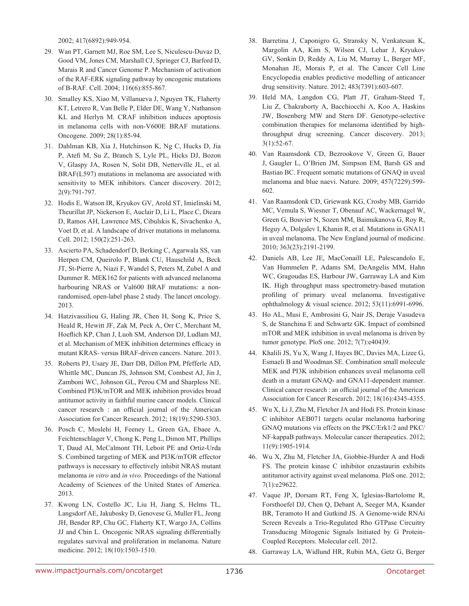2002; 417(6892):949-954.

- 29. Wan PT, Garnett MJ, Roe SM, Lee S, Niculescu-Duvaz D, Good VM, Jones CM, Marshall CJ, Springer CJ, Barford D, Marais R and Cancer Genome P. Mechanism of activation of the RAF-ERK signaling pathway by oncogenic mutations of B-RAF. Cell. 2004; 116(6):855-867.
- 30. Smalley KS, Xiao M, Villanueva J, Nguyen TK, Flaherty KT, Letrero R, Van Belle P, Elder DE, Wang Y, Nathanson KL and Herlyn M. CRAF inhibition induces apoptosis in melanoma cells with non-V600E BRAF mutations. Oncogene. 2009; 28(1):85-94.
- 31. Dahlman KB, Xia J, Hutchinson K, Ng C, Hucks D, Jia P, Atefi M, Su Z, Branch S, Lyle PL, Hicks DJ, Bozon V, Glaspy JA, Rosen N, Solit DB, Netterville JL, et al. BRAF(L597) mutations in melanoma are associated with sensitivity to MEK inhibitors. Cancer discovery. 2012; 2(9):791-797.
- 32. Hodis E, Watson IR, Kryukov GV, Arold ST, Imielinski M, Theurillat JP, Nickerson E, Auclair D, Li L, Place C, Dicara D, Ramos AH, Lawrence MS, Cibulskis K, Sivachenko A, Voet D, et al. A landscape of driver mutations in melanoma. Cell. 2012; 150(2):251-263.
- 33. Ascierto PA, Schadendorf D, Berking C, Agarwala SS, van Herpen CM, Queirolo P, Blank CU, Hauschild A, Beck JT, St-Pierre A, Niazi F, Wandel S, Peters M, Zubel A and Dummer R. MEK162 for patients with advanced melanoma harbouring NRAS or Val600 BRAF mutations: a nonrandomised, open-label phase 2 study. The lancet oncology. 2013.
- 34. Hatzivassiliou G, Haling JR, Chen H, Song K, Price S, Heald R, Hewitt JF, Zak M, Peck A, Orr C, Merchant M, Hoeflich KP, Chan J, Luoh SM, Anderson DJ, Ludlam MJ, et al. Mechanism of MEK inhibition determines efficacy in mutant KRAS- versus BRAF-driven cancers. Nature. 2013.
- 35. Roberts PJ, Usary JE, Darr DB, Dillon PM, Pfefferle AD, Whittle MC, Duncan JS, Johnson SM, Combest AJ, Jin J, Zamboni WC, Johnson GL, Perou CM and Sharpless NE. Combined PI3K/mTOR and MEK inhibition provides broad antitumor activity in faithful murine cancer models. Clinical cancer research : an official journal of the American Association for Cancer Research. 2012; 18(19):5290-5303.
- 36. Posch C, Moslehi H, Feeney L, Green GA, Ebaee A, Feichtenschlager V, Chong K, Peng L, Dimon MT, Phillips T, Daud AI, McCalmont TH, Leboit PE and Ortiz-Urda S. Combined targeting of MEK and PI3K/mTOR effector pathways is necessary to effectively inhibit NRAS mutant melanoma *in vitro* and *in vivo*. Proceedings of the National Academy of Sciences of the United States of America. 2013.
- 37. Kwong LN, Costello JC, Liu H, Jiang S, Helms TL, Langsdorf AE, Jakubosky D, Genovese G, Muller FL, Jeong JH, Bender RP, Chu GC, Flaherty KT, Wargo JA, Collins JJ and Chin L. Oncogenic NRAS signaling differentially regulates survival and proliferation in melanoma. Nature medicine. 2012; 18(10):1503-1510.
- 38. Barretina J, Caponigro G, Stransky N, Venkatesan K, Margolin AA, Kim S, Wilson CJ, Lehar J, Kryukov GV, Sonkin D, Reddy A, Liu M, Murray L, Berger MF, Monahan JE, Morais P, et al. The Cancer Cell Line Encyclopedia enables predictive modelling of anticancer drug sensitivity. Nature. 2012; 483(7391):603-607.
- 39. Held MA, Langdon CG, Platt JT, Graham-Steed T, Liu Z, Chakraborty A, Bacchiocchi A, Koo A, Haskins JW, Bosenberg MW and Stern DF. Genotype-selective combination therapies for melanoma identified by highthroughput drug screening. Cancer discovery. 2013; 3(1):52-67.
- 40. Van Raamsdonk CD, Bezrookove V, Green G, Bauer J, Gaugler L, O'Brien JM, Simpson EM, Barsh GS and Bastian BC. Frequent somatic mutations of GNAQ in uveal melanoma and blue naevi. Nature. 2009; 457(7229):599- 602.
- 41. Van Raamsdonk CD, Griewank KG, Crosby MB, Garrido MC, Vemula S, Wiesner T, Obenauf AC, Wackernagel W, Green G, Bouvier N, Sozen MM, Baimukanova G, Roy R, Heguy A, Dolgalev I, Khanin R, et al. Mutations in GNA11 in uveal melanoma. The New England journal of medicine. 2010; 363(23):2191-2199.
- 42. Daniels AB, Lee JE, MacConaill LE, Palescandolo E, Van Hummelen P, Adams SM, DeAngelis MM, Hahn WC, Gragoudas ES, Harbour JW, Garraway LA and Kim IK. High throughput mass spectrometry-based mutation profiling of primary uveal melanoma. Investigative ophthalmology & visual science. 2012; 53(11):6991-6996.
- 43. Ho AL, Musi E, Ambrosini G, Nair JS, Deraje Vasudeva S, de Stanchina E and Schwartz GK. Impact of combined mTOR and MEK inhibition in uveal melanoma is driven by tumor genotype. PloS one. 2012; 7(7):e40439.
- 44. Khalili JS, Yu X, Wang J, Hayes BC, Davies MA, Lizee G, Esmaeli B and Woodman SE. Combination small molecule MEK and PI3K inhibition enhances uveal melanoma cell death in a mutant GNAQ- and GNA11-dependent manner. Clinical cancer research : an official journal of the American Association for Cancer Research. 2012; 18(16):4345-4355.
- 45. Wu X, Li J, Zhu M, Fletcher JA and Hodi FS. Protein kinase C inhibitor AEB071 targets ocular melanoma harboring GNAQ mutations via effects on the PKC/Erk1/2 and PKC/ NF-kappaB pathways. Molecular cancer therapeutics. 2012; 11(9):1905-1914.
- 46. Wu X, Zhu M, Fletcher JA, Giobbie-Hurder A and Hodi FS. The protein kinase C inhibitor enzastaurin exhibits antitumor activity against uveal melanoma. PloS one. 2012; 7(1):e29622.
- 47. Vaque JP, Dorsam RT, Feng X, Iglesias-Bartolome R, Forsthoefel DJ, Chen Q, Debant A, Seeger MA, Ksander BR, Teramoto H and Gutkind JS. A Genome-wide RNAi Screen Reveals a Trio-Regulated Rho GTPase Circuitry Transducing Mitogenic Signals Initiated by G Protein-Coupled Receptors. Molecular cell. 2012.
- 48. Garraway LA, Widlund HR, Rubin MA, Getz G, Berger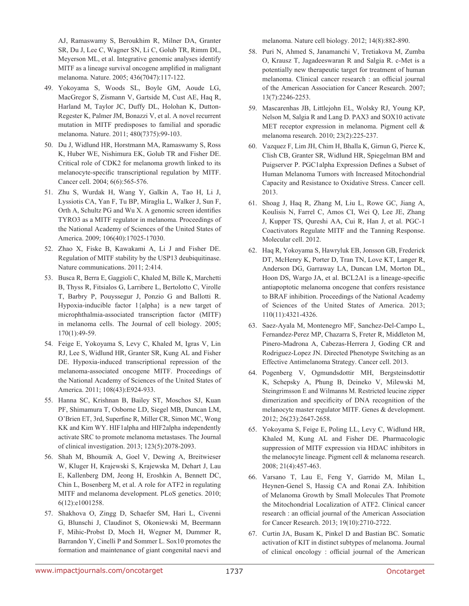AJ, Ramaswamy S, Beroukhim R, Milner DA, Granter SR, Du J, Lee C, Wagner SN, Li C, Golub TR, Rimm DL, Meyerson ML, et al. Integrative genomic analyses identify MITF as a lineage survival oncogene amplified in malignant melanoma. Nature. 2005; 436(7047):117-122.

- 49. Yokoyama S, Woods SL, Boyle GM, Aoude LG, MacGregor S, Zismann V, Gartside M, Cust AE, Haq R, Harland M, Taylor JC, Duffy DL, Holohan K, Dutton-Regester K, Palmer JM, Bonazzi V, et al. A novel recurrent mutation in MITF predisposes to familial and sporadic melanoma. Nature. 2011; 480(7375):99-103.
- 50. Du J, Widlund HR, Horstmann MA, Ramaswamy S, Ross K, Huber WE, Nishimura EK, Golub TR and Fisher DE. Critical role of CDK2 for melanoma growth linked to its melanocyte-specific transcriptional regulation by MITF. Cancer cell. 2004; 6(6):565-576.
- 51. Zhu S, Wurdak H, Wang Y, Galkin A, Tao H, Li J, Lyssiotis CA, Yan F, Tu BP, Miraglia L, Walker J, Sun F, Orth A, Schultz PG and Wu X. A genomic screen identifies TYRO3 as a MITF regulator in melanoma. Proceedings of the National Academy of Sciences of the United States of America. 2009; 106(40):17025-17030.
- 52. Zhao X, Fiske B, Kawakami A, Li J and Fisher DE. Regulation of MITF stability by the USP13 deubiquitinase. Nature communications. 2011; 2:414.
- 53. Busca R, Berra E, Gaggioli C, Khaled M, Bille K, Marchetti B, Thyss R, Fitsialos G, Larribere L, Bertolotto C, Virolle T, Barbry P, Pouyssegur J, Ponzio G and Ballotti R. Hypoxia-inducible factor 1{alpha} is a new target of microphthalmia-associated transcription factor (MITF) in melanoma cells. The Journal of cell biology. 2005; 170(1):49-59.
- 54. Feige E, Yokoyama S, Levy C, Khaled M, Igras V, Lin RJ, Lee S, Widlund HR, Granter SR, Kung AL and Fisher DE. Hypoxia-induced transcriptional repression of the melanoma-associated oncogene MITF. Proceedings of the National Academy of Sciences of the United States of America. 2011; 108(43):E924-933.
- 55. Hanna SC, Krishnan B, Bailey ST, Moschos SJ, Kuan PF, Shimamura T, Osborne LD, Siegel MB, Duncan LM, O'Brien ET, 3rd, Superfine R, Miller CR, Simon MC, Wong KK and Kim WY. HIF1alpha and HIF2alpha independently activate SRC to promote melanoma metastases. The Journal of clinical investigation. 2013; 123(5):2078-2093.
- 56. Shah M, Bhoumik A, Goel V, Dewing A, Breitwieser W, Kluger H, Krajewski S, Krajewska M, Dehart J, Lau E, Kallenberg DM, Jeong H, Eroshkin A, Bennett DC, Chin L, Bosenberg M, et al. A role for ATF2 in regulating MITF and melanoma development. PLoS genetics. 2010; 6(12):e1001258.
- 57. Shakhova O, Zingg D, Schaefer SM, Hari L, Civenni G, Blunschi J, Claudinot S, Okoniewski M, Beermann F, Mihic-Probst D, Moch H, Wegner M, Dummer R, Barrandon Y, Cinelli P and Sommer L. Sox10 promotes the formation and maintenance of giant congenital naevi and

melanoma. Nature cell biology. 2012; 14(8):882-890.

- 58. Puri N, Ahmed S, Janamanchi V, Tretiakova M, Zumba O, Krausz T, Jagadeeswaran R and Salgia R. c-Met is a potentially new therapeutic target for treatment of human melanoma. Clinical cancer research : an official journal of the American Association for Cancer Research. 2007; 13(7):2246-2253.
- 59. Mascarenhas JB, Littlejohn EL, Wolsky RJ, Young KP, Nelson M, Salgia R and Lang D. PAX3 and SOX10 activate MET receptor expression in melanoma. Pigment cell & melanoma research. 2010; 23(2):225-237.
- 60. Vazquez F, Lim JH, Chim H, Bhalla K, Girnun G, Pierce K, Clish CB, Granter SR, Widlund HR, Spiegelman BM and Puigserver P. PGC1alpha Expression Defines a Subset of Human Melanoma Tumors with Increased Mitochondrial Capacity and Resistance to Oxidative Stress. Cancer cell. 2013.
- 61. Shoag J, Haq R, Zhang M, Liu L, Rowe GC, Jiang A, Koulisis N, Farrel C, Amos CI, Wei Q, Lee JE, Zhang J, Kupper TS, Qureshi AA, Cui R, Han J, et al. PGC-1 Coactivators Regulate MITF and the Tanning Response. Molecular cell. 2012.
- 62. Haq R, Yokoyama S, Hawryluk EB, Jonsson GB, Frederick DT, McHenry K, Porter D, Tran TN, Love KT, Langer R, Anderson DG, Garraway LA, Duncan LM, Morton DL, Hoon DS, Wargo JA, et al. BCL2A1 is a lineage-specific antiapoptotic melanoma oncogene that confers resistance to BRAF inhibition. Proceedings of the National Academy of Sciences of the United States of America. 2013; 110(11):4321-4326.
- 63. Saez-Ayala M, Montenegro MF, Sanchez-Del-Campo L, Fernandez-Perez MP, Chazarra S, Freter R, Middleton M, Pinero-Madrona A, Cabezas-Herrera J, Goding CR and Rodriguez-Lopez JN. Directed Phenotype Switching as an Effective Antimelanoma Strategy. Cancer cell. 2013.
- 64. Pogenberg V, Ogmundsdottir MH, Bergsteinsdottir K, Schepsky A, Phung B, Deineko V, Milewski M, Steingrimsson E and Wilmanns M. Restricted leucine zipper dimerization and specificity of DNA recognition of the melanocyte master regulator MITF. Genes & development. 2012; 26(23):2647-2658.
- 65. Yokoyama S, Feige E, Poling LL, Levy C, Widlund HR, Khaled M, Kung AL and Fisher DE. Pharmacologic suppression of MITF expression via HDAC inhibitors in the melanocyte lineage. Pigment cell & melanoma research. 2008; 21(4):457-463.
- 66. Varsano T, Lau E, Feng Y, Garrido M, Milan L, Heynen-Genel S, Hassig CA and Ronai ZA. Inhibition of Melanoma Growth by Small Molecules That Promote the Mitochondrial Localization of ATF2. Clinical cancer research : an official journal of the American Association for Cancer Research. 2013; 19(10):2710-2722.
- 67. Curtin JA, Busam K, Pinkel D and Bastian BC. Somatic activation of KIT in distinct subtypes of melanoma. Journal of clinical oncology : official journal of the American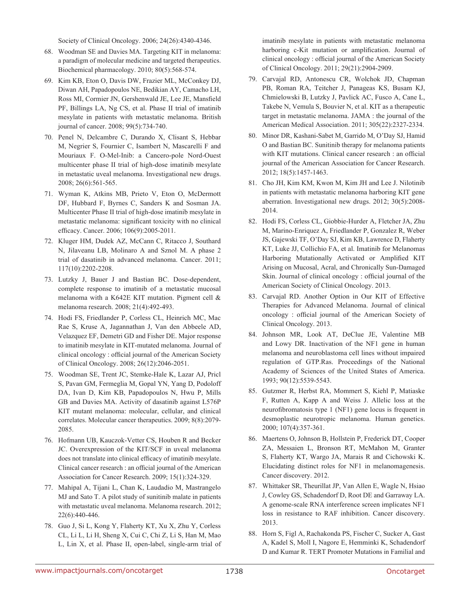Society of Clinical Oncology. 2006; 24(26):4340-4346.

- 68. Woodman SE and Davies MA. Targeting KIT in melanoma: a paradigm of molecular medicine and targeted therapeutics. Biochemical pharmacology. 2010; 80(5):568-574.
- 69. Kim KB, Eton O, Davis DW, Frazier ML, McConkey DJ, Diwan AH, Papadopoulos NE, Bedikian AY, Camacho LH, Ross MI, Cormier JN, Gershenwald JE, Lee JE, Mansfield PF, Billings LA, Ng CS, et al. Phase II trial of imatinib mesylate in patients with metastatic melanoma. British journal of cancer. 2008; 99(5):734-740.
- 70. Penel N, Delcambre C, Durando X, Clisant S, Hebbar M, Negrier S, Fournier C, Isambert N, Mascarelli F and Mouriaux F. O-Mel-Inib: a Cancero-pole Nord-Ouest multicenter phase II trial of high-dose imatinib mesylate in metastatic uveal melanoma. Investigational new drugs. 2008; 26(6):561-565.
- 71. Wyman K, Atkins MB, Prieto V, Eton O, McDermott DF, Hubbard F, Byrnes C, Sanders K and Sosman JA. Multicenter Phase II trial of high-dose imatinib mesylate in metastatic melanoma: significant toxicity with no clinical efficacy. Cancer. 2006; 106(9):2005-2011.
- 72. Kluger HM, Dudek AZ, McCann C, Ritacco J, Southard N, Jilaveanu LB, Molinaro A and Sznol M. A phase 2 trial of dasatinib in advanced melanoma. Cancer. 2011; 117(10):2202-2208.
- 73. Lutzky J, Bauer J and Bastian BC. Dose-dependent, complete response to imatinib of a metastatic mucosal melanoma with a K642E KIT mutation. Pigment cell & melanoma research. 2008; 21(4):492-493.
- 74. Hodi FS, Friedlander P, Corless CL, Heinrich MC, Mac Rae S, Kruse A, Jagannathan J, Van den Abbeele AD, Velazquez EF, Demetri GD and Fisher DE. Major response to imatinib mesylate in KIT-mutated melanoma. Journal of clinical oncology : official journal of the American Society of Clinical Oncology. 2008; 26(12):2046-2051.
- 75. Woodman SE, Trent JC, Stemke-Hale K, Lazar AJ, Pricl S, Pavan GM, Fermeglia M, Gopal YN, Yang D, Podoloff DA, Ivan D, Kim KB, Papadopoulos N, Hwu P, Mills GB and Davies MA. Activity of dasatinib against L576P KIT mutant melanoma: molecular, cellular, and clinical correlates. Molecular cancer therapeutics. 2009; 8(8):2079- 2085.
- 76. Hofmann UB, Kauczok-Vetter CS, Houben R and Becker JC. Overexpression of the KIT/SCF in uveal melanoma does not translate into clinical efficacy of imatinib mesylate. Clinical cancer research : an official journal of the American Association for Cancer Research. 2009; 15(1):324-329.
- 77. Mahipal A, Tijani L, Chan K, Laudadio M, Mastrangelo MJ and Sato T. A pilot study of sunitinib malate in patients with metastatic uveal melanoma. Melanoma research. 2012; 22(6):440-446.
- 78. Guo J, Si L, Kong Y, Flaherty KT, Xu X, Zhu Y, Corless CL, Li L, Li H, Sheng X, Cui C, Chi Z, Li S, Han M, Mao L, Lin X, et al. Phase II, open-label, single-arm trial of

imatinib mesylate in patients with metastatic melanoma harboring c-Kit mutation or amplification. Journal of clinical oncology : official journal of the American Society of Clinical Oncology. 2011; 29(21):2904-2909.

- 79. Carvajal RD, Antonescu CR, Wolchok JD, Chapman PB, Roman RA, Teitcher J, Panageas KS, Busam KJ, Chmielowski B, Lutzky J, Pavlick AC, Fusco A, Cane L, Takebe N, Vemula S, Bouvier N, et al. KIT as a therapeutic target in metastatic melanoma. JAMA : the journal of the American Medical Association. 2011; 305(22):2327-2334.
- 80. Minor DR, Kashani-Sabet M, Garrido M, O'Day SJ, Hamid O and Bastian BC. Sunitinib therapy for melanoma patients with KIT mutations. Clinical cancer research : an official journal of the American Association for Cancer Research. 2012; 18(5):1457-1463.
- 81. Cho JH, Kim KM, Kwon M, Kim JH and Lee J. Nilotinib in patients with metastatic melanoma harboring KIT gene aberration. Investigational new drugs. 2012; 30(5):2008- 2014.
- 82. Hodi FS, Corless CL, Giobbie-Hurder A, Fletcher JA, Zhu M, Marino-Enriquez A, Friedlander P, Gonzalez R, Weber JS, Gajewski TF, O'Day SJ, Kim KB, Lawrence D, Flaherty KT, Luke JJ, Collichio FA, et al. Imatinib for Melanomas Harboring Mutationally Activated or Amplified KIT Arising on Mucosal, Acral, and Chronically Sun-Damaged Skin. Journal of clinical oncology : official journal of the American Society of Clinical Oncology. 2013.
- 83. Carvajal RD. Another Option in Our KIT of Effective Therapies for Advanced Melanoma. Journal of clinical oncology : official journal of the American Society of Clinical Oncology. 2013.
- 84. Johnson MR, Look AT, DeClue JE, Valentine MB and Lowy DR. Inactivation of the NF1 gene in human melanoma and neuroblastoma cell lines without impaired regulation of GTP.Ras. Proceedings of the National Academy of Sciences of the United States of America. 1993; 90(12):5539-5543.
- 85. Gutzmer R, Herbst RA, Mommert S, Kiehl P, Matiaske F, Rutten A, Kapp A and Weiss J. Allelic loss at the neurofibromatosis type 1 (NF1) gene locus is frequent in desmoplastic neurotropic melanoma. Human genetics. 2000; 107(4):357-361.
- 86. Maertens O, Johnson B, Hollstein P, Frederick DT, Cooper ZA, Messaien L, Bronson RT, McMahon M, Granter S, Flaherty KT, Wargo JA, Marais R and Cichowski K. Elucidating distinct roles for NF1 in melanomagenesis. Cancer discovery. 2012.
- 87. Whittaker SR, Theurillat JP, Van Allen E, Wagle N, Hsiao J, Cowley GS, Schadendorf D, Root DE and Garraway LA. A genome-scale RNA interference screen implicates NF1 loss in resistance to RAF inhibition. Cancer discovery. 2013.
- 88. Horn S, Figl A, Rachakonda PS, Fischer C, Sucker A, Gast A, Kadel S, Moll I, Nagore E, Hemminki K, Schadendorf D and Kumar R. TERT Promoter Mutations in Familial and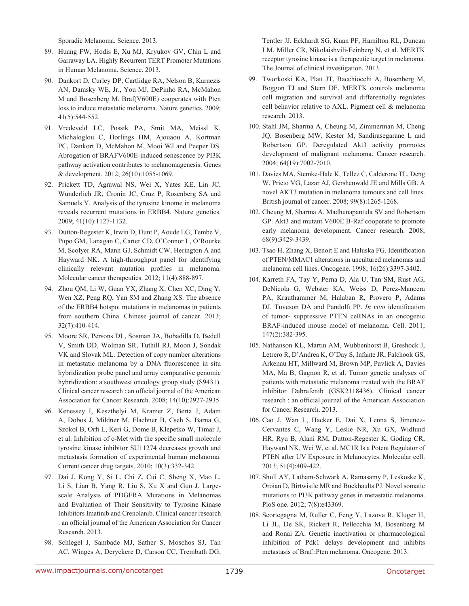Sporadic Melanoma. Science. 2013.

- 89. Huang FW, Hodis E, Xu MJ, Kryukov GV, Chin L and Garraway LA. Highly Recurrent TERT Promoter Mutations in Human Melanoma. Science. 2013.
- 90. Dankort D, Curley DP, Cartlidge RA, Nelson B, Karnezis AN, Damsky WE, Jr., You MJ, DePinho RA, McMahon M and Bosenberg M. Braf(V600E) cooperates with Pten loss to induce metastatic melanoma. Nature genetics. 2009; 41(5):544-552.
- 91. Vredeveld LC, Possik PA, Smit MA, Meissl K, Michaloglou C, Horlings HM, Ajouaou A, Kortman PC, Dankort D, McMahon M, Mooi WJ and Peeper DS. Abrogation of BRAFV600E-induced senescence by PI3K pathway activation contributes to melanomagenesis. Genes & development. 2012; 26(10):1055-1069.
- 92. Prickett TD, Agrawal NS, Wei X, Yates KE, Lin JC, Wunderlich JR, Cronin JC, Cruz P, Rosenberg SA and Samuels Y. Analysis of the tyrosine kinome in melanoma reveals recurrent mutations in ERBB4. Nature genetics. 2009; 41(10):1127-1132.
- 93. Dutton-Regester K, Irwin D, Hunt P, Aoude LG, Tembe V, Pupo GM, Lanagan C, Carter CD, O'Connor L, O'Rourke M, Scolyer RA, Mann GJ, Schmidt CW, Herington A and Hayward NK. A high-throughput panel for identifying clinically relevant mutation profiles in melanoma. Molecular cancer therapeutics. 2012; 11(4):888-897.
- 94. Zhou QM, Li W, Guan YX, Zhang X, Chen XC, Ding Y, Wen XZ, Peng RQ, Yan SM and Zhang XS. The absence of the ERBB4 hotspot mutations in melanomas in patients from southern China. Chinese journal of cancer. 2013; 32(7):410-414.
- 95. Moore SR, Persons DL, Sosman JA, Bobadilla D, Bedell V, Smith DD, Wolman SR, Tuthill RJ, Moon J, Sondak VK and Slovak ML. Detection of copy number alterations in metastatic melanoma by a DNA fluorescence in situ hybridization probe panel and array comparative genomic hybridization: a southwest oncology group study (S9431). Clinical cancer research : an official journal of the American Association for Cancer Research. 2008; 14(10):2927-2935.
- 96. Kenessey I, Keszthelyi M, Kramer Z, Berta J, Adam A, Dobos J, Mildner M, Flachner B, Cseh S, Barna G, Szokol B, Orfi L, Keri G, Dome B, Klepetko W, Timar J, et al. Inhibition of c-Met with the specific small molecule tyrosine kinase inhibitor SU11274 decreases growth and metastasis formation of experimental human melanoma. Current cancer drug targets. 2010; 10(3):332-342.
- 97. Dai J, Kong Y, Si L, Chi Z, Cui C, Sheng X, Mao L, Li S, Lian B, Yang R, Liu S, Xu X and Guo J. Largescale Analysis of PDGFRA Mutations in Melanomas and Evaluation of Their Sensitivity to Tyrosine Kinase Inhibitors Imatinib and Crenolanib. Clinical cancer research : an official journal of the American Association for Cancer Research. 2013.
- 98. Schlegel J, Sambade MJ, Sather S, Moschos SJ, Tan AC, Winges A, Deryckere D, Carson CC, Trembath DG,

Tentler JJ, Eckhardt SG, Kuan PF, Hamilton RL, Duncan LM, Miller CR, Nikolaishvili-Feinberg N, et al. MERTK receptor tyrosine kinase is a therapeutic target in melanoma. The Journal of clinical investigation. 2013.

- 99. Tworkoski KA, Platt JT, Bacchiocchi A, Bosenberg M, Boggon TJ and Stern DF. MERTK controls melanoma cell migration and survival and differentially regulates cell behavior relative to AXL. Pigment cell & melanoma research. 2013.
- 100. Stahl JM, Sharma A, Cheung M, Zimmerman M, Cheng JQ, Bosenberg MW, Kester M, Sandirasegarane L and Robertson GP. Deregulated Akt3 activity promotes development of malignant melanoma. Cancer research. 2004; 64(19):7002-7010.
- 101. Davies MA, Stemke-Hale K, Tellez C, Calderone TL, Deng W, Prieto VG, Lazar AJ, Gershenwald JE and Mills GB. A novel AKT3 mutation in melanoma tumours and cell lines. British journal of cancer. 2008; 99(8):1265-1268.
- 102. Cheung M, Sharma A, Madhunapantula SV and Robertson GP. Akt3 and mutant V600E B-Raf cooperate to promote early melanoma development. Cancer research. 2008; 68(9):3429-3439.
- 103. Tsao H, Zhang X, Benoit E and Haluska FG. Identification of PTEN/MMAC1 alterations in uncultured melanomas and melanoma cell lines. Oncogene. 1998; 16(26):3397-3402.
- 104. Karreth FA, Tay Y, Perna D, Ala U, Tan SM, Rust AG, DeNicola G, Webster KA, Weiss D, Perez-Mancera PA, Krauthammer M, Halaban R, Provero P, Adams DJ, Tuveson DA and Pandolfi PP. *In vivo* identification of tumor- suppressive PTEN ceRNAs in an oncogenic BRAF-induced mouse model of melanoma. Cell. 2011; 147(2):382-395.
- 105. Nathanson KL, Martin AM, Wubbenhorst B, Greshock J, Letrero R, D'Andrea K, O'Day S, Infante JR, Falchook GS, Arkenau HT, Millward M, Brown MP, Pavlick A, Davies MA, Ma B, Gagnon R, et al. Tumor genetic analyses of patients with metastatic melanoma treated with the BRAF inhibitor Dabrafenib (GSK2118436). Clinical cancer research : an official journal of the American Association for Cancer Research. 2013.
- 106. Cao J, Wan L, Hacker E, Dai X, Lenna S, Jimenez-Cervantes C, Wang Y, Leslie NR, Xu GX, Widlund HR, Ryu B, Alani RM, Dutton-Regester K, Goding CR, Hayward NK, Wei W, et al. MC1R Is a Potent Regulator of PTEN after UV Exposure in Melanocytes. Molecular cell. 2013; 51(4):409-422.
- 107. Shull AY, Latham-Schwark A, Ramasamy P, Leskoske K, Oroian D, Birtwistle MR and Buckhaults PJ. Novel somatic mutations to PI3K pathway genes in metastatic melanoma. PloS one. 2012; 7(8):e43369.
- 108. Scortegagna M, Ruller C, Feng Y, Lazova R, Kluger H, Li JL, De SK, Rickert R, Pellecchia M, Bosenberg M and Ronai ZA. Genetic inactivation or pharmacological inhibition of Pdk1 delays development and inhibits metastasis of Braf::Pten melanoma. Oncogene. 2013.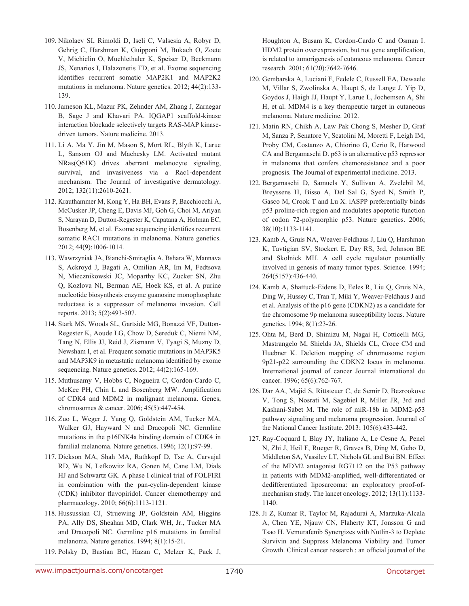- 109. Nikolaev SI, Rimoldi D, Iseli C, Valsesia A, Robyr D, Gehrig C, Harshman K, Guipponi M, Bukach O, Zoete V, Michielin O, Muehlethaler K, Speiser D, Beckmann JS, Xenarios I, Halazonetis TD, et al. Exome sequencing identifies recurrent somatic MAP2K1 and MAP2K2 mutations in melanoma. Nature genetics. 2012; 44(2):133- 139.
- 110. Jameson KL, Mazur PK, Zehnder AM, Zhang J, Zarnegar B, Sage J and Khavari PA. IQGAP1 scaffold-kinase interaction blockade selectively targets RAS-MAP kinasedriven tumors. Nature medicine. 2013.
- 111. Li A, Ma Y, Jin M, Mason S, Mort RL, Blyth K, Larue L, Sansom OJ and Machesky LM. Activated mutant NRas(Q61K) drives aberrant melanocyte signaling, survival, and invasiveness via a Rac1-dependent mechanism. The Journal of investigative dermatology. 2012; 132(11):2610-2621.
- 112. Krauthammer M, Kong Y, Ha BH, Evans P, Bacchiocchi A, McCusker JP, Cheng E, Davis MJ, Goh G, Choi M, Ariyan S, Narayan D, Dutton-Regester K, Capatana A, Holman EC, Bosenberg M, et al. Exome sequencing identifies recurrent somatic RAC1 mutations in melanoma. Nature genetics. 2012; 44(9):1006-1014.
- 113. Wawrzyniak JA, Bianchi-Smiraglia A, Bshara W, Mannava S, Ackroyd J, Bagati A, Omilian AR, Im M, Fedtsova N, Miecznikowski JC, Moparthy KC, Zucker SN, Zhu Q, Kozlova NI, Berman AE, Hoek KS, et al. A purine nucleotide biosynthesis enzyme guanosine monophosphate reductase is a suppressor of melanoma invasion. Cell reports. 2013; 5(2):493-507.
- 114. Stark MS, Woods SL, Gartside MG, Bonazzi VF, Dutton-Regester K, Aoude LG, Chow D, Sereduk C, Niemi NM, Tang N, Ellis JJ, Reid J, Zismann V, Tyagi S, Muzny D, Newsham I, et al. Frequent somatic mutations in MAP3K5 and MAP3K9 in metastatic melanoma identified by exome sequencing. Nature genetics. 2012; 44(2):165-169.
- 115. Muthusamy V, Hobbs C, Nogueira C, Cordon-Cardo C, McKee PH, Chin L and Bosenberg MW. Amplification of CDK4 and MDM2 in malignant melanoma. Genes, chromosomes & cancer. 2006; 45(5):447-454.
- 116. Zuo L, Weger J, Yang Q, Goldstein AM, Tucker MA, Walker GJ, Hayward N and Dracopoli NC. Germline mutations in the p16INK4a binding domain of CDK4 in familial melanoma. Nature genetics. 1996; 12(1):97-99.
- 117. Dickson MA, Shah MA, Rathkopf D, Tse A, Carvajal RD, Wu N, Lefkowitz RA, Gonen M, Cane LM, Dials HJ and Schwartz GK. A phase I clinical trial of FOLFIRI in combination with the pan-cyclin-dependent kinase (CDK) inhibitor flavopiridol. Cancer chemotherapy and pharmacology. 2010; 66(6):1113-1121.
- 118. Hussussian CJ, Struewing JP, Goldstein AM, Higgins PA, Ally DS, Sheahan MD, Clark WH, Jr., Tucker MA and Dracopoli NC. Germline p16 mutations in familial melanoma. Nature genetics. 1994; 8(1):15-21.
- 119. Polsky D, Bastian BC, Hazan C, Melzer K, Pack J,

Houghton A, Busam K, Cordon-Cardo C and Osman I. HDM2 protein overexpression, but not gene amplification, is related to tumorigenesis of cutaneous melanoma. Cancer research. 2001; 61(20):7642-7646.

- 120. Gembarska A, Luciani F, Fedele C, Russell EA, Dewaele M, Villar S, Zwolinska A, Haupt S, de Lange J, Yip D, Goydos J, Haigh JJ, Haupt Y, Larue L, Jochemsen A, Shi H, et al. MDM4 is a key therapeutic target in cutaneous melanoma. Nature medicine. 2012.
- 121. Matin RN, Chikh A, Law Pak Chong S, Mesher D, Graf M, Sanza P, Senatore V, Scatolini M, Moretti F, Leigh IM, Proby CM, Costanzo A, Chiorino G, Cerio R, Harwood CA and Bergamaschi D. p63 is an alternative p53 repressor in melanoma that confers chemoresistance and a poor prognosis. The Journal of experimental medicine. 2013.
- 122. Bergamaschi D, Samuels Y, Sullivan A, Zvelebil M, Breyssens H, Bisso A, Del Sal G, Syed N, Smith P, Gasco M, Crook T and Lu X. iASPP preferentially binds p53 proline-rich region and modulates apoptotic function of codon 72-polymorphic p53. Nature genetics. 2006; 38(10):1133-1141.
- 123. Kamb A, Gruis NA, Weaver-Feldhaus J, Liu Q, Harshman K, Tavtigian SV, Stockert E, Day RS, 3rd, Johnson BE and Skolnick MH. A cell cycle regulator potentially involved in genesis of many tumor types. Science. 1994; 264(5157):436-440.
- 124. Kamb A, Shattuck-Eidens D, Eeles R, Liu Q, Gruis NA, Ding W, Hussey C, Tran T, Miki Y, Weaver-Feldhaus J and et al. Analysis of the p16 gene (CDKN2) as a candidate for the chromosome 9p melanoma susceptibility locus. Nature genetics. 1994; 8(1):23-26.
- 125. Ohta M, Berd D, Shimizu M, Nagai H, Cotticelli MG, Mastrangelo M, Shields JA, Shields CL, Croce CM and Huebner K. Deletion mapping of chromosome region 9p21-p22 surrounding the CDKN2 locus in melanoma. International journal of cancer Journal international du cancer. 1996; 65(6):762-767.
- 126. Dar AA, Majid S, Rittsteuer C, de Semir D, Bezrookove V, Tong S, Nosrati M, Sagebiel R, Miller JR, 3rd and Kashani-Sabet M. The role of miR-18b in MDM2-p53 pathway signaling and melanoma progression. Journal of the National Cancer Institute. 2013; 105(6):433-442.
- 127. Ray-Coquard I, Blay JY, Italiano A, Le Cesne A, Penel N, Zhi J, Heil F, Rueger R, Graves B, Ding M, Geho D, Middleton SA, Vassilev LT, Nichols GL and Bui BN. Effect of the MDM2 antagonist RG7112 on the P53 pathway in patients with MDM2-amplified, well-differentiated or dedifferentiated liposarcoma: an exploratory proof-ofmechanism study. The lancet oncology. 2012; 13(11):1133- 1140.
- 128. Ji Z, Kumar R, Taylor M, Rajadurai A, Marzuka-Alcala A, Chen YE, Njauw CN, Flaherty KT, Jonsson G and Tsao H. Vemurafenib Synergizes with Nutlin-3 to Deplete Survivin and Suppress Melanoma Viability and Tumor Growth. Clinical cancer research : an official journal of the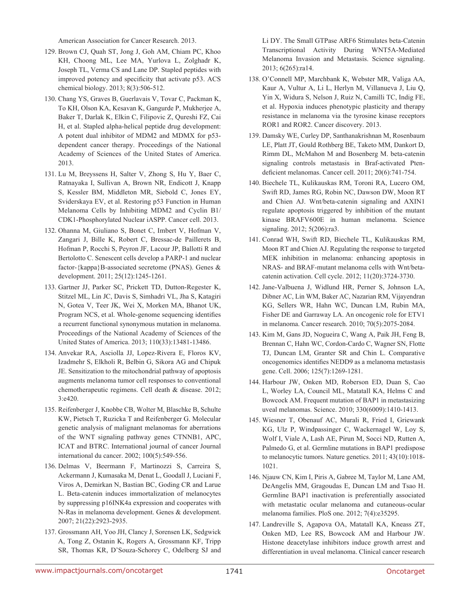American Association for Cancer Research. 2013.

- 129. Brown CJ, Quah ST, Jong J, Goh AM, Chiam PC, Khoo KH, Choong ML, Lee MA, Yurlova L, Zolghadr K, Joseph TL, Verma CS and Lane DP. Stapled peptides with improved potency and specificity that activate p53. ACS chemical biology. 2013; 8(3):506-512.
- 130. Chang YS, Graves B, Guerlavais V, Tovar C, Packman K, To KH, Olson KA, Kesavan K, Gangurde P, Mukherjee A, Baker T, Darlak K, Elkin C, Filipovic Z, Qureshi FZ, Cai H, et al. Stapled alpha-helical peptide drug development: A potent dual inhibitor of MDM2 and MDMX for p53 dependent cancer therapy. Proceedings of the National Academy of Sciences of the United States of America. 2013.
- 131. Lu M, Breyssens H, Salter V, Zhong S, Hu Y, Baer C, Ratnayaka I, Sullivan A, Brown NR, Endicott J, Knapp S, Kessler BM, Middleton MR, Siebold C, Jones EY, Sviderskaya EV, et al. Restoring p53 Function in Human Melanoma Cells by Inhibiting MDM2 and Cyclin B1/ CDK1-Phosphorylated Nuclear iASPP. Cancer cell. 2013.
- 132. Ohanna M, Giuliano S, Bonet C, Imbert V, Hofman V, Zangari J, Bille K, Robert C, Bressac-de Paillerets B, Hofman P, Rocchi S, Peyron JF, Lacour JP, Ballotti R and Bertolotto C. Senescent cells develop a PARP-1 and nuclear factor-{kappa}B-associated secretome (PNAS). Genes & development. 2011; 25(12):1245-1261.
- 133. Gartner JJ, Parker SC, Prickett TD, Dutton-Regester K, Stitzel ML, Lin JC, Davis S, Simhadri VL, Jha S, Katagiri N, Gotea V, Teer JK, Wei X, Morken MA, Bhanot UK, Program NCS, et al. Whole-genome sequencing identifies a recurrent functional synonymous mutation in melanoma. Proceedings of the National Academy of Sciences of the United States of America. 2013; 110(33):13481-13486.
- 134. Anvekar RA, Asciolla JJ, Lopez-Rivera E, Floros KV, Izadmehr S, Elkholi R, Belbin G, Sikora AG and Chipuk JE. Sensitization to the mitochondrial pathway of apoptosis augments melanoma tumor cell responses to conventional chemotherapeutic regimens. Cell death & disease. 2012; 3:e420.
- 135. Reifenberger J, Knobbe CB, Wolter M, Blaschke B, Schulte KW, Pietsch T, Ruzicka T and Reifenberger G. Molecular genetic analysis of malignant melanomas for aberrations of the WNT signaling pathway genes CTNNB1, APC, ICAT and BTRC. International journal of cancer Journal international du cancer. 2002; 100(5):549-556.
- 136. Delmas V, Beermann F, Martinozzi S, Carreira S, Ackermann J, Kumasaka M, Denat L, Goodall J, Luciani F, Viros A, Demirkan N, Bastian BC, Goding CR and Larue L. Beta-catenin induces immortalization of melanocytes by suppressing p16INK4a expression and cooperates with N-Ras in melanoma development. Genes & development. 2007; 21(22):2923-2935.
- 137. Grossmann AH, Yoo JH, Clancy J, Sorensen LK, Sedgwick A, Tong Z, Ostanin K, Rogers A, Grossmann KF, Tripp SR, Thomas KR, D'Souza-Schorey C, Odelberg SJ and

Li DY. The Small GTPase ARF6 Stimulates beta-Catenin Transcriptional Activity During WNT5A-Mediated Melanoma Invasion and Metastasis. Science signaling. 2013; 6(265):ra14.

- 138. O'Connell MP, Marchbank K, Webster MR, Valiga AA, Kaur A, Vultur A, Li L, Herlyn M, Villanueva J, Liu Q, Yin X, Widura S, Nelson J, Ruiz N, Camilli TC, Indig FE, et al. Hypoxia induces phenotypic plasticity and therapy resistance in melanoma via the tyrosine kinase receptors ROR1 and ROR2. Cancer discovery. 2013.
- 139. Damsky WE, Curley DP, Santhanakrishnan M, Rosenbaum LE, Platt JT, Gould Rothberg BE, Taketo MM, Dankort D, Rimm DL, McMahon M and Bosenberg M. beta-catenin signaling controls metastasis in Braf-activated Ptendeficient melanomas. Cancer cell. 2011; 20(6):741-754.
- 140. Biechele TL, Kulikauskas RM, Toroni RA, Lucero OM, Swift RD, James RG, Robin NC, Dawson DW, Moon RT and Chien AJ. Wnt/beta-catenin signaling and AXIN1 regulate apoptosis triggered by inhibition of the mutant kinase BRAFV600E in human melanoma. Science signaling. 2012; 5(206):ra3.
- 141. Conrad WH, Swift RD, Biechele TL, Kulikauskas RM, Moon RT and Chien AJ. Regulating the response to targeted MEK inhibition in melanoma: enhancing apoptosis in NRAS- and BRAF-mutant melanoma cells with Wnt/betacatenin activation. Cell cycle. 2012; 11(20):3724-3730.
- 142. Jane-Valbuena J, Widlund HR, Perner S, Johnson LA, Dibner AC, Lin WM, Baker AC, Nazarian RM, Vijayendran KG, Sellers WR, Hahn WC, Duncan LM, Rubin MA, Fisher DE and Garraway LA. An oncogenic role for ETV1 in melanoma. Cancer research. 2010; 70(5):2075-2084.
- 143. Kim M, Gans JD, Nogueira C, Wang A, Paik JH, Feng B, Brennan C, Hahn WC, Cordon-Cardo C, Wagner SN, Flotte TJ, Duncan LM, Granter SR and Chin L. Comparative oncogenomics identifies NEDD9 as a melanoma metastasis gene. Cell. 2006; 125(7):1269-1281.
- 144. Harbour JW, Onken MD, Roberson ED, Duan S, Cao L, Worley LA, Council ML, Matatall KA, Helms C and Bowcock AM. Frequent mutation of BAP1 in metastasizing uveal melanomas. Science. 2010; 330(6009):1410-1413.
- 145. Wiesner T, Obenauf AC, Murali R, Fried I, Griewank KG, Ulz P, Windpassinger C, Wackernagel W, Loy S, Wolf I, Viale A, Lash AE, Pirun M, Socci ND, Rutten A, Palmedo G, et al. Germline mutations in BAP1 predispose to melanocytic tumors. Nature genetics. 2011; 43(10):1018- 1021.
- 146. Njauw CN, Kim I, Piris A, Gabree M, Taylor M, Lane AM, DeAngelis MM, Gragoudas E, Duncan LM and Tsao H. Germline BAP1 inactivation is preferentially associated with metastatic ocular melanoma and cutaneous-ocular melanoma families. PloS one. 2012; 7(4):e35295.
- 147. Landreville S, Agapova OA, Matatall KA, Kneass ZT, Onken MD, Lee RS, Bowcock AM and Harbour JW. Histone deacetylase inhibitors induce growth arrest and differentiation in uveal melanoma. Clinical cancer research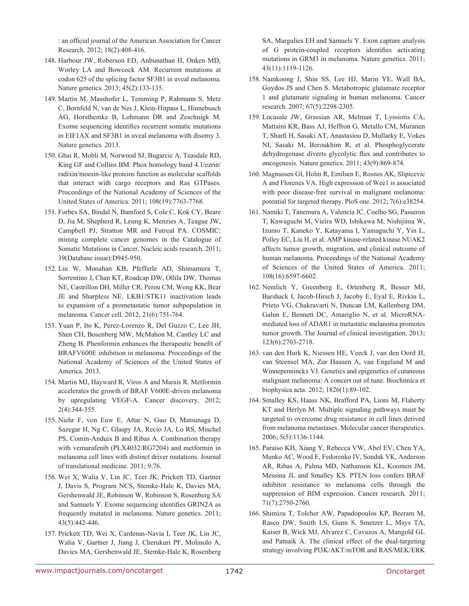: an official journal of the American Association for Cancer Research. 2012; 18(2):408-416.

- 148. Harbour JW, Roberson ED, Anbunathan H, Onken MD, Worley LA and Bowcock AM. Recurrent mutations at codon 625 of the splicing factor SF3B1 in uveal melanoma. Nature genetics. 2013; 45(2):133-135.
- 149. Martin M, Masshofer L, Temming P, Rahmann S, Metz C, Bornfeld N, van de Nes J, Klein-Hitpass L, Hinnebusch AG, Horsthemke B, Lohmann DR and Zeschnigk M. Exome sequencing identifies recurrent somatic mutations in EIF1AX and SF3B1 in uveal melanoma with disomy 3. Nature genetics. 2013.
- 150. Ghai R, Mobli M, Norwood SJ, Bugarcic A, Teasdale RD, King GF and Collins BM. Phox homology band 4.1/ezrin/ radixin/moesin-like proteins function as molecular scaffolds that interact with cargo receptors and Ras GTPases. Proceedings of the National Academy of Sciences of the United States of America. 2011; 108(19):7763-7768.
- 151. Forbes SA, Bindal N, Bamford S, Cole C, Kok CY, Beare D, Jia M, Shepherd R, Leung K, Menzies A, Teague JW, Campbell PJ, Stratton MR and Futreal PA. COSMIC: mining complete cancer genomes in the Catalogue of Somatic Mutations in Cancer. Nucleic acids research. 2011; 39(Database issue):D945-950.
- 152. Liu W, Monahan KB, Pfefferle AD, Shimamura T, Sorrentino J, Chan KT, Roadcap DW, Ollila DW, Thomas NE, Castrillon DH, Miller CR, Perou CM, Wong KK, Bear JE and Sharpless NE. LKB1/STK11 inactivation leads to expansion of a prometastatic tumor subpopulation in melanoma. Cancer cell. 2012; 21(6):751-764.
- 153. Yuan P, Ito K, Perez-Lorenzo R, Del Guzzo C, Lee JH, Shen CH, Bosenberg MW, McMahon M, Cantley LC and Zheng B. Phenformin enhances the therapeutic benefit of BRAFV600E inhibition in melanoma. Proceedings of the National Academy of Sciences of the United States of America. 2013.
- 154. Martin MJ, Hayward R, Viros A and Marais R. Metformin accelerates the growth of BRAF V600E-driven melanoma by upregulating VEGF-A. Cancer discovery. 2012; 2(4):344-355.
- 155. Niehr F, von Euw E, Attar N, Guo D, Matsunaga D, Sazegar H, Ng C, Glaspy JA, Recio JA, Lo RS, Mischel PS, Comin-Anduix B and Ribas A. Combination therapy with vemurafenib (PLX4032/RG7204) and metformin in melanoma cell lines with distinct driver mutations. Journal of translational medicine. 2011; 9:76.
- 156. Wei X, Walia V, Lin JC, Teer JK, Prickett TD, Gartner J, Davis S, Program NCS, Stemke-Hale K, Davies MA, Gershenwald JE, Robinson W, Robinson S, Rosenberg SA and Samuels Y. Exome sequencing identifies GRIN2A as frequently mutated in melanoma. Nature genetics. 2011; 43(5):442-446.
- 157. Prickett TD, Wei X, Cardenas-Navia I, Teer JK, Lin JC, Walia V, Gartner J, Jiang J, Cherukuri PF, Molinolo A, Davies MA, Gershenwald JE, Stemke-Hale K, Rosenberg

SA, Margulies EH and Samuels Y. Exon capture analysis of G protein-coupled receptors identifies activating mutations in GRM3 in melanoma. Nature genetics. 2011; 43(11):1119-1126.

- 158. Namkoong J, Shin SS, Lee HJ, Marin YE, Wall BA, Goydos JS and Chen S. Metabotropic glutamate receptor 1 and glutamate signaling in human melanoma. Cancer research. 2007; 67(5):2298-2305.
- 159. Locasale JW, Grassian AR, Melman T, Lyssiotis CA, Mattaini KR, Bass AJ, Heffron G, Metallo CM, Muranen T, Sharfi H, Sasaki AT, Anastasiou D, Mullarky E, Vokes NI, Sasaki M, Beroukhim R, et al. Phosphoglycerate dehydrogenase diverts glycolytic flux and contributes to oncogenesis. Nature genetics. 2011; 43(9):869-874.
- 160. Magnussen GI, Holm R, Emilsen E, Rosnes AK, Slipicevic A and Florenes VA. High expression of Wee1 is associated with poor disease-free survival in malignant melanoma: potential for targeted therapy. PloS one. 2012; 7(6):e38254.
- 161. Namiki T, Tanemura A, Valencia JC, Coelho SG, Passeron T, Kawaguchi M, Vieira WD, Ishikawa M, Nishijima W, Izumo T, Kaneko Y, Katayama I, Yamaguchi Y, Yin L, Polley EC, Liu H, et al. AMP kinase-related kinase NUAK2 affects tumor growth, migration, and clinical outcome of human melanoma. Proceedings of the National Academy of Sciences of the United States of America. 2011; 108(16):6597-6602.
- 162. Nemlich Y, Greenberg E, Ortenberg R, Besser MJ, Barshack I, Jacob-Hirsch J, Jacoby E, Eyal E, Rivkin L, Prieto VG, Chakravarti N, Duncan LM, Kallenberg DM, Galun E, Bennett DC, Amariglio N, et al. MicroRNAmediated loss of ADAR1 in metastatic melanoma promotes tumor growth. The Journal of clinical investigation. 2013; 123(6):2703-2718.
- 163. van den Hurk K, Niessen HE, Veeck J, van den Oord JJ, van Steensel MA, Zur Hausen A, van Engeland M and Winnepenninckx VJ. Genetics and epigenetics of cutaneous malignant melanoma: A concert out of tune. Biochimica et biophysica acta. 2012; 1826(1):89-102.
- 164. Smalley KS, Haass NK, Brafford PA, Lioni M, Flaherty KT and Herlyn M. Multiple signaling pathways must be targeted to overcome drug resistance in cell lines derived from melanoma metastases. Molecular cancer therapeutics. 2006; 5(5):1136-1144.
- 165. Paraiso KH, Xiang Y, Rebecca VW, Abel EV, Chen YA, Munko AC, Wood E, Fedorenko IV, Sondak VK, Anderson AR, Ribas A, Palma MD, Nathanson KL, Koomen JM, Messina JL and Smalley KS. PTEN loss confers BRAF inhibitor resistance to melanoma cells through the suppression of BIM expression. Cancer research. 2011; 71(7):2750-2760.
- 166. Shimizu T, Tolcher AW, Papadopoulos KP, Beeram M, Rasco DW, Smith LS, Gunn S, Smetzer L, Mays TA, Kaiser B, Wick MJ, Alvarez C, Cavazos A, Mangold GL and Patnaik A. The clinical effect of the dual-targeting strategy involving PI3K/AKT/mTOR and RAS/MEK/ERK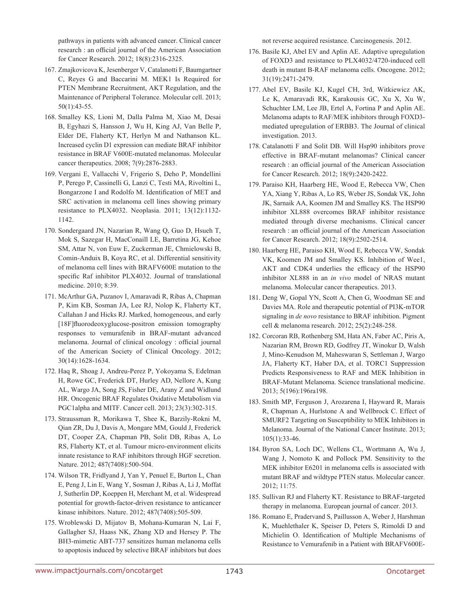pathways in patients with advanced cancer. Clinical cancer research : an official journal of the American Association for Cancer Research. 2012; 18(8):2316-2325.

- 167. Zmajkovicova K, Jesenberger V, Catalanotti F, Baumgartner C, Reyes G and Baccarini M. MEK1 Is Required for PTEN Membrane Recruitment, AKT Regulation, and the Maintenance of Peripheral Tolerance. Molecular cell. 2013; 50(1):43-55.
- 168. Smalley KS, Lioni M, Dalla Palma M, Xiao M, Desai B, Egyhazi S, Hansson J, Wu H, King AJ, Van Belle P, Elder DE, Flaherty KT, Herlyn M and Nathanson KL. Increased cyclin D1 expression can mediate BRAF inhibitor resistance in BRAF V600E-mutated melanomas. Molecular cancer therapeutics. 2008; 7(9):2876-2883.
- 169. Vergani E, Vallacchi V, Frigerio S, Deho P, Mondellini P, Perego P, Cassinelli G, Lanzi C, Testi MA, Rivoltini L, Bongarzone I and Rodolfo M. Identification of MET and SRC activation in melanoma cell lines showing primary resistance to PLX4032. Neoplasia. 2011; 13(12):1132- 1142.
- 170. Sondergaard JN, Nazarian R, Wang Q, Guo D, Hsueh T, Mok S, Sazegar H, MacConaill LE, Barretina JG, Kehoe SM, Attar N, von Euw E, Zuckerman JE, Chmielowski B, Comin-Anduix B, Koya RC, et al. Differential sensitivity of melanoma cell lines with BRAFV600E mutation to the specific Raf inhibitor PLX4032. Journal of translational medicine. 2010; 8:39.
- 171. McArthur GA, Puzanov I, Amaravadi R, Ribas A, Chapman P, Kim KB, Sosman JA, Lee RJ, Nolop K, Flaherty KT, Callahan J and Hicks RJ. Marked, homogeneous, and early [18F]fluorodeoxyglucose-positron emission tomography responses to vemurafenib in BRAF-mutant advanced melanoma. Journal of clinical oncology : official journal of the American Society of Clinical Oncology. 2012; 30(14):1628-1634.
- 172. Haq R, Shoag J, Andreu-Perez P, Yokoyama S, Edelman H, Rowe GC, Frederick DT, Hurley AD, Nellore A, Kung AL, Wargo JA, Song JS, Fisher DE, Arany Z and Widlund HR. Oncogenic BRAF Regulates Oxidative Metabolism via PGC1alpha and MITF. Cancer cell. 2013; 23(3):302-315.
- 173. Straussman R, Morikawa T, Shee K, Barzily-Rokni M, Qian ZR, Du J, Davis A, Mongare MM, Gould J, Frederick DT, Cooper ZA, Chapman PB, Solit DB, Ribas A, Lo RS, Flaherty KT, et al. Tumour micro-environment elicits innate resistance to RAF inhibitors through HGF secretion. Nature. 2012; 487(7408):500-504.
- 174. Wilson TR, Fridlyand J, Yan Y, Penuel E, Burton L, Chan E, Peng J, Lin E, Wang Y, Sosman J, Ribas A, Li J, Moffat J, Sutherlin DP, Koeppen H, Merchant M, et al. Widespread potential for growth-factor-driven resistance to anticancer kinase inhibitors. Nature. 2012; 487(7408):505-509.
- 175. Wroblewski D, Mijatov B, Mohana-Kumaran N, Lai F, Gallagher SJ, Haass NK, Zhang XD and Hersey P. The BH3-mimetic ABT-737 sensitizes human melanoma cells to apoptosis induced by selective BRAF inhibitors but does

not reverse acquired resistance. Carcinogenesis. 2012.

- 176. Basile KJ, Abel EV and Aplin AE. Adaptive upregulation of FOXD3 and resistance to PLX4032/4720-induced cell death in mutant B-RAF melanoma cells. Oncogene. 2012; 31(19):2471-2479.
- 177. Abel EV, Basile KJ, Kugel CH, 3rd, Witkiewicz AK, Le K, Amaravadi RK, Karakousis GC, Xu X, Xu W, Schuchter LM, Lee JB, Ertel A, Fortina P and Aplin AE. Melanoma adapts to RAF/MEK inhibitors through FOXD3 mediated upregulation of ERBB3. The Journal of clinical investigation. 2013.
- 178. Catalanotti F and Solit DB. Will Hsp90 inhibitors prove effective in BRAF-mutant melanomas? Clinical cancer research : an official journal of the American Association for Cancer Research. 2012; 18(9):2420-2422.
- 179. Paraiso KH, Haarberg HE, Wood E, Rebecca VW, Chen YA, Xiang Y, Ribas A, Lo RS, Weber JS, Sondak VK, John JK, Sarnaik AA, Koomen JM and Smalley KS. The HSP90 inhibitor XL888 overcomes BRAF inhibitor resistance mediated through diverse mechanisms. Clinical cancer research : an official journal of the American Association for Cancer Research. 2012; 18(9):2502-2514.
- 180. Haarberg HE, Paraiso KH, Wood E, Rebecca VW, Sondak VK, Koomen JM and Smalley KS. Inhibition of Wee1, AKT and CDK4 underlies the efficacy of the HSP90 inhibitor XL888 in an *in vivo* model of NRAS mutant melanoma. Molecular cancer therapeutics. 2013.
- 181. Deng W, Gopal YN, Scott A, Chen G, Woodman SE and Davies MA. Role and therapeutic potential of PI3K-mTOR signaling in *de novo* resistance to BRAF inhibition. Pigment cell & melanoma research. 2012; 25(2):248-258.
- 182. Corcoran RB, Rothenberg SM, Hata AN, Faber AC, Piris A, Nazarian RM, Brown RD, Godfrey JT, Winokur D, Walsh J, Mino-Kenudson M, Maheswaran S, Settleman J, Wargo JA, Flaherty KT, Haber DA, et al. TORC1 Suppression Predicts Responsiveness to RAF and MEK Inhibition in BRAF-Mutant Melanoma. Science translational medicine. 2013; 5(196):196ra198.
- 183. Smith MP, Ferguson J, Arozarena I, Hayward R, Marais R, Chapman A, Hurlstone A and Wellbrock C. Effect of SMURF2 Targeting on Susceptibility to MEK Inhibitors in Melanoma. Journal of the National Cancer Institute. 2013; 105(1):33-46.
- 184. Byron SA, Loch DC, Wellens CL, Wortmann A, Wu J, Wang J, Nomoto K and Pollock PM. Sensitivity to the MEK inhibitor E6201 in melanoma cells is associated with mutant BRAF and wildtype PTEN status. Molecular cancer. 2012; 11:75.
- 185. Sullivan RJ and Flaherty KT. Resistance to BRAF-targeted therapy in melanoma. European journal of cancer. 2013.
- 186. Romano E, Pradervand S, Paillusson A, Weber J, Harshman K, Muehlethaler K, Speiser D, Peters S, Rimoldi D and Michielin O. Identification of Multiple Mechanisms of Resistance to Vemurafenib in a Patient with BRAFV600E-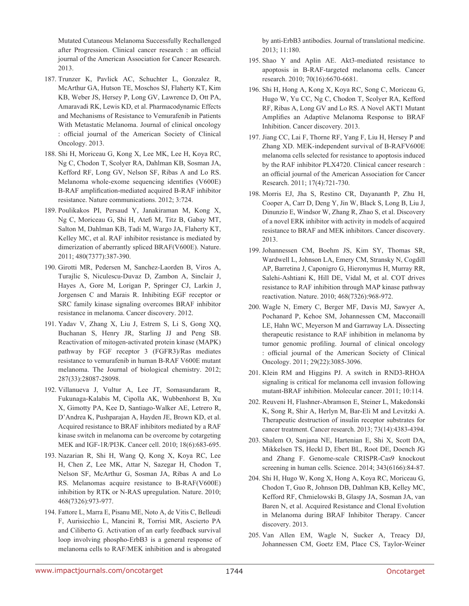Mutated Cutaneous Melanoma Successfully Rechallenged after Progression. Clinical cancer research : an official journal of the American Association for Cancer Research. 2013.

- 187. Trunzer K, Pavlick AC, Schuchter L, Gonzalez R, McArthur GA, Hutson TE, Moschos SJ, Flaherty KT, Kim KB, Weber JS, Hersey P, Long GV, Lawrence D, Ott PA, Amaravadi RK, Lewis KD, et al. Pharmacodynamic Effects and Mechanisms of Resistance to Vemurafenib in Patients With Metastatic Melanoma. Journal of clinical oncology : official journal of the American Society of Clinical Oncology. 2013.
- 188. Shi H, Moriceau G, Kong X, Lee MK, Lee H, Koya RC, Ng C, Chodon T, Scolyer RA, Dahlman KB, Sosman JA, Kefford RF, Long GV, Nelson SF, Ribas A and Lo RS. Melanoma whole-exome sequencing identifies (V600E) B-RAF amplification-mediated acquired B-RAF inhibitor resistance. Nature communications. 2012; 3:724.
- 189. Poulikakos PI, Persaud Y, Janakiraman M, Kong X, Ng C, Moriceau G, Shi H, Atefi M, Titz B, Gabay MT, Salton M, Dahlman KB, Tadi M, Wargo JA, Flaherty KT, Kelley MC, et al. RAF inhibitor resistance is mediated by dimerization of aberrantly spliced BRAF(V600E). Nature. 2011; 480(7377):387-390.
- 190. Girotti MR, Pedersen M, Sanchez-Laorden B, Viros A, Turajlic S, Niculescu-Duvaz D, Zambon A, Sinclair J, Hayes A, Gore M, Lorigan P, Springer CJ, Larkin J, Jorgensen C and Marais R. Inhibiting EGF receptor or SRC family kinase signaling overcomes BRAF inhibitor resistance in melanoma. Cancer discovery. 2012.
- 191. Yadav V, Zhang X, Liu J, Estrem S, Li S, Gong XQ, Buchanan S, Henry JR, Starling JJ and Peng SB. Reactivation of mitogen-activated protein kinase (MAPK) pathway by FGF receptor 3 (FGFR3)/Ras mediates resistance to vemurafenib in human B-RAF V600E mutant melanoma. The Journal of biological chemistry. 2012; 287(33):28087-28098.
- 192. Villanueva J, Vultur A, Lee JT, Somasundaram R, Fukunaga-Kalabis M, Cipolla AK, Wubbenhorst B, Xu X, Gimotty PA, Kee D, Santiago-Walker AE, Letrero R, D'Andrea K, Pushparajan A, Hayden JE, Brown KD, et al. Acquired resistance to BRAF inhibitors mediated by a RAF kinase switch in melanoma can be overcome by cotargeting MEK and IGF-1R/PI3K. Cancer cell. 2010; 18(6):683-695.
- 193. Nazarian R, Shi H, Wang Q, Kong X, Koya RC, Lee H, Chen Z, Lee MK, Attar N, Sazegar H, Chodon T, Nelson SF, McArthur G, Sosman JA, Ribas A and Lo RS. Melanomas acquire resistance to B-RAF(V600E) inhibition by RTK or N-RAS upregulation. Nature. 2010; 468(7326):973-977.
- 194. Fattore L, Marra E, Pisanu ME, Noto A, de Vitis C, Belleudi F, Aurisicchio L, Mancini R, Torrisi MR, Ascierto PA and Ciliberto G. Activation of an early feedback survival loop involving phospho-ErbB3 is a general response of melanoma cells to RAF/MEK inhibition and is abrogated

by anti-ErbB3 antibodies. Journal of translational medicine. 2013; 11:180.

- 195. Shao Y and Aplin AE. Akt3-mediated resistance to apoptosis in B-RAF-targeted melanoma cells. Cancer research. 2010; 70(16):6670-6681.
- 196. Shi H, Hong A, Kong X, Koya RC, Song C, Moriceau G, Hugo W, Yu CC, Ng C, Chodon T, Scolyer RA, Kefford RF, Ribas A, Long GV and Lo RS. A Novel AKT1 Mutant Amplifies an Adaptive Melanoma Response to BRAF Inhibition. Cancer discovery. 2013.
- 197. Jiang CC, Lai F, Thorne RF, Yang F, Liu H, Hersey P and Zhang XD. MEK-independent survival of B-RAFV600E melanoma cells selected for resistance to apoptosis induced by the RAF inhibitor PLX4720. Clinical cancer research : an official journal of the American Association for Cancer Research. 2011; 17(4):721-730.
- 198. Morris EJ, Jha S, Restino CR, Dayananth P, Zhu H, Cooper A, Carr D, Deng Y, Jin W, Black S, Long B, Liu J, Dinunzio E, Windsor W, Zhang R, Zhao S, et al. Discovery of a novel ERK inhibitor with activity in models of acquired resistance to BRAF and MEK inhibitors. Cancer discovery. 2013.
- 199. Johannessen CM, Boehm JS, Kim SY, Thomas SR, Wardwell L, Johnson LA, Emery CM, Stransky N, Cogdill AP, Barretina J, Caponigro G, Hieronymus H, Murray RR, Salehi-Ashtiani K, Hill DE, Vidal M, et al. COT drives resistance to RAF inhibition through MAP kinase pathway reactivation. Nature. 2010; 468(7326):968-972.
- 200. Wagle N, Emery C, Berger MF, Davis MJ, Sawyer A, Pochanard P, Kehoe SM, Johannessen CM, Macconaill LE, Hahn WC, Meyerson M and Garraway LA. Dissecting therapeutic resistance to RAF inhibition in melanoma by tumor genomic profiling. Journal of clinical oncology : official journal of the American Society of Clinical Oncology. 2011; 29(22):3085-3096.
- 201. Klein RM and Higgins PJ. A switch in RND3-RHOA signaling is critical for melanoma cell invasion following mutant-BRAF inhibition. Molecular cancer. 2011; 10:114.
- 202. Reuveni H, Flashner-Abramson E, Steiner L, Makedonski K, Song R, Shir A, Herlyn M, Bar-Eli M and Levitzki A. Therapeutic destruction of insulin receptor substrates for cancer treatment. Cancer research. 2013; 73(14):4383-4394.
- 203. Shalem O, Sanjana NE, Hartenian E, Shi X, Scott DA, Mikkelsen TS, Heckl D, Ebert BL, Root DE, Doench JG and Zhang F. Genome-scale CRISPR-Cas9 knockout screening in human cells. Science. 2014; 343(6166):84-87.
- 204. Shi H, Hugo W, Kong X, Hong A, Koya RC, Moriceau G, Chodon T, Guo R, Johnson DB, Dahlman KB, Kelley MC, Kefford RF, Chmielowski B, Glaspy JA, Sosman JA, van Baren N, et al. Acquired Resistance and Clonal Evolution in Melanoma during BRAF Inhibitor Therapy. Cancer discovery. 2013.
- 205. Van Allen EM, Wagle N, Sucker A, Treacy DJ, Johannessen CM, Goetz EM, Place CS, Taylor-Weiner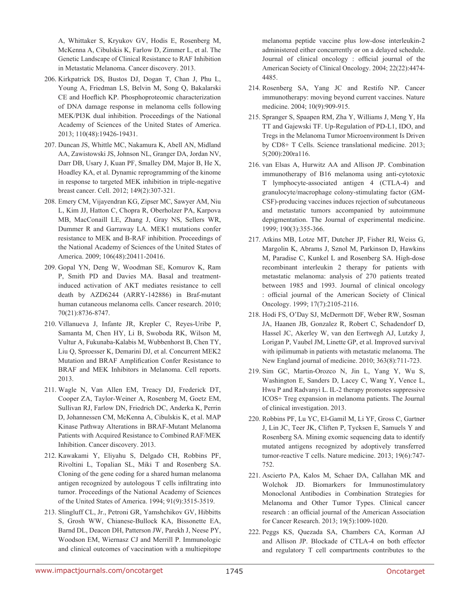A, Whittaker S, Kryukov GV, Hodis E, Rosenberg M, McKenna A, Cibulskis K, Farlow D, Zimmer L, et al. The Genetic Landscape of Clinical Resistance to RAF Inhibition in Metastatic Melanoma. Cancer discovery. 2013.

- 206. Kirkpatrick DS, Bustos DJ, Dogan T, Chan J, Phu L, Young A, Friedman LS, Belvin M, Song Q, Bakalarski CE and Hoeflich KP. Phosphoproteomic characterization of DNA damage response in melanoma cells following MEK/PI3K dual inhibition. Proceedings of the National Academy of Sciences of the United States of America. 2013; 110(48):19426-19431.
- 207. Duncan JS, Whittle MC, Nakamura K, Abell AN, Midland AA, Zawistowski JS, Johnson NL, Granger DA, Jordan NV, Darr DB, Usary J, Kuan PF, Smalley DM, Major B, He X, Hoadley KA, et al. Dynamic reprogramming of the kinome in response to targeted MEK inhibition in triple-negative breast cancer. Cell. 2012; 149(2):307-321.
- 208. Emery CM, Vijayendran KG, Zipser MC, Sawyer AM, Niu L, Kim JJ, Hatton C, Chopra R, Oberholzer PA, Karpova MB, MacConaill LE, Zhang J, Gray NS, Sellers WR, Dummer R and Garraway LA. MEK1 mutations confer resistance to MEK and B-RAF inhibition. Proceedings of the National Academy of Sciences of the United States of America. 2009; 106(48):20411-20416.
- 209. Gopal YN, Deng W, Woodman SE, Komurov K, Ram P, Smith PD and Davies MA. Basal and treatmentinduced activation of AKT mediates resistance to cell death by AZD6244 (ARRY-142886) in Braf-mutant human cutaneous melanoma cells. Cancer research. 2010; 70(21):8736-8747.
- 210. Villanueva J, Infante JR, Krepler C, Reyes-Uribe P, Samanta M, Chen HY, Li B, Swoboda RK, Wilson M, Vultur A, Fukunaba-Kalabis M, Wubbenhorst B, Chen TY, Liu Q, Sproesser K, Demarini DJ, et al. Concurrent MEK2 Mutation and BRAF Amplification Confer Resistance to BRAF and MEK Inhibitors in Melanoma. Cell reports. 2013.
- 211. Wagle N, Van Allen EM, Treacy DJ, Frederick DT, Cooper ZA, Taylor-Weiner A, Rosenberg M, Goetz EM, Sullivan RJ, Farlow DN, Friedrich DC, Anderka K, Perrin D, Johannessen CM, McKenna A, Cibulskis K, et al. MAP Kinase Pathway Alterations in BRAF-Mutant Melanoma Patients with Acquired Resistance to Combined RAF/MEK Inhibition. Cancer discovery. 2013.
- 212. Kawakami Y, Eliyahu S, Delgado CH, Robbins PF, Rivoltini L, Topalian SL, Miki T and Rosenberg SA. Cloning of the gene coding for a shared human melanoma antigen recognized by autologous T cells infiltrating into tumor. Proceedings of the National Academy of Sciences of the United States of America. 1994; 91(9):3515-3519.
- 213. Slingluff CL, Jr., Petroni GR, Yamshchikov GV, Hibbitts S, Grosh WW, Chianese-Bullock KA, Bissonette EA, Barnd DL, Deacon DH, Patterson JW, Parekh J, Neese PY, Woodson EM, Wiernasz CJ and Merrill P. Immunologic and clinical outcomes of vaccination with a multiepitope

melanoma peptide vaccine plus low-dose interleukin-2 administered either concurrently or on a delayed schedule. Journal of clinical oncology : official journal of the American Society of Clinical Oncology. 2004; 22(22):4474- 4485.

- 214. Rosenberg SA, Yang JC and Restifo NP. Cancer immunotherapy: moving beyond current vaccines. Nature medicine. 2004; 10(9):909-915.
- 215. Spranger S, Spaapen RM, Zha Y, Williams J, Meng Y, Ha TT and Gajewski TF. Up-Regulation of PD-L1, IDO, and Tregs in the Melanoma Tumor Microenvironment Is Driven by CD8+ T Cells. Science translational medicine. 2013; 5(200):200ra116.
- 216. van Elsas A, Hurwitz AA and Allison JP. Combination immunotherapy of B16 melanoma using anti-cytotoxic T lymphocyte-associated antigen 4 (CTLA-4) and granulocyte/macrophage colony-stimulating factor (GM-CSF)-producing vaccines induces rejection of subcutaneous and metastatic tumors accompanied by autoimmune depigmentation. The Journal of experimental medicine. 1999; 190(3):355-366.
- 217. Atkins MB, Lotze MT, Dutcher JP, Fisher RI, Weiss G, Margolin K, Abrams J, Sznol M, Parkinson D, Hawkins M, Paradise C, Kunkel L and Rosenberg SA. High-dose recombinant interleukin 2 therapy for patients with metastatic melanoma: analysis of 270 patients treated between 1985 and 1993. Journal of clinical oncology : official journal of the American Society of Clinical Oncology. 1999; 17(7):2105-2116.
- 218. Hodi FS, O'Day SJ, McDermott DF, Weber RW, Sosman JA, Haanen JB, Gonzalez R, Robert C, Schadendorf D, Hassel JC, Akerley W, van den Eertwegh AJ, Lutzky J, Lorigan P, Vaubel JM, Linette GP, et al. Improved survival with ipilimumab in patients with metastatic melanoma. The New England journal of medicine. 2010; 363(8):711-723.
- 219. Sim GC, Martin-Orozco N, Jin L, Yang Y, Wu S, Washington E, Sanders D, Lacey C, Wang Y, Vence L, Hwu P and Radvanyi L. IL-2 therapy promotes suppressive ICOS+ Treg expansion in melanoma patients. The Journal of clinical investigation. 2013.
- 220. Robbins PF, Lu YC, El-Gamil M, Li YF, Gross C, Gartner J, Lin JC, Teer JK, Cliften P, Tycksen E, Samuels Y and Rosenberg SA. Mining exomic sequencing data to identify mutated antigens recognized by adoptively transferred tumor-reactive T cells. Nature medicine. 2013; 19(6):747- 752.
- 221. Ascierto PA, Kalos M, Schaer DA, Callahan MK and Wolchok JD. Biomarkers for Immunostimulatory Monoclonal Antibodies in Combination Strategies for Melanoma and Other Tumor Types. Clinical cancer research : an official journal of the American Association for Cancer Research. 2013; 19(5):1009-1020.
- 222. Peggs KS, Quezada SA, Chambers CA, Korman AJ and Allison JP. Blockade of CTLA-4 on both effector and regulatory T cell compartments contributes to the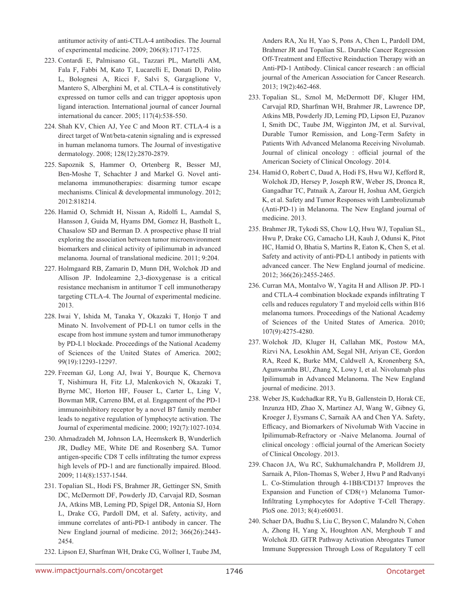antitumor activity of anti-CTLA-4 antibodies. The Journal of experimental medicine. 2009; 206(8):1717-1725.

- 223. Contardi E, Palmisano GL, Tazzari PL, Martelli AM, Fala F, Fabbi M, Kato T, Lucarelli E, Donati D, Polito L, Bolognesi A, Ricci F, Salvi S, Gargaglione V, Mantero S, Alberghini M, et al. CTLA-4 is constitutively expressed on tumor cells and can trigger apoptosis upon ligand interaction. International journal of cancer Journal international du cancer. 2005; 117(4):538-550.
- 224. Shah KV, Chien AJ, Yee C and Moon RT. CTLA-4 is a direct target of Wnt/beta-catenin signaling and is expressed in human melanoma tumors. The Journal of investigative dermatology. 2008; 128(12):2870-2879.
- 225. Sapoznik S, Hammer O, Ortenberg R, Besser MJ, Ben-Moshe T, Schachter J and Markel G. Novel antimelanoma immunotherapies: disarming tumor escape mechanisms. Clinical & developmental immunology. 2012; 2012:818214.
- 226. Hamid O, Schmidt H, Nissan A, Ridolfi L, Aamdal S, Hansson J, Guida M, Hyams DM, Gomez H, Bastholt L, Chasalow SD and Berman D. A prospective phase II trial exploring the association between tumor microenvironment biomarkers and clinical activity of ipilimumab in advanced melanoma. Journal of translational medicine. 2011; 9:204.
- 227. Holmgaard RB, Zamarin D, Munn DH, Wolchok JD and Allison JP. Indoleamine 2,3-dioxygenase is a critical resistance mechanism in antitumor T cell immunotherapy targeting CTLA-4. The Journal of experimental medicine. 2013.
- 228. Iwai Y, Ishida M, Tanaka Y, Okazaki T, Honjo T and Minato N. Involvement of PD-L1 on tumor cells in the escape from host immune system and tumor immunotherapy by PD-L1 blockade. Proceedings of the National Academy of Sciences of the United States of America. 2002; 99(19):12293-12297.
- 229. Freeman GJ, Long AJ, Iwai Y, Bourque K, Chernova T, Nishimura H, Fitz LJ, Malenkovich N, Okazaki T, Byrne MC, Horton HF, Fouser L, Carter L, Ling V, Bowman MR, Carreno BM, et al. Engagement of the PD-1 immunoinhibitory receptor by a novel B7 family member leads to negative regulation of lymphocyte activation. The Journal of experimental medicine. 2000; 192(7):1027-1034.
- 230. Ahmadzadeh M, Johnson LA, Heemskerk B, Wunderlich JR, Dudley ME, White DE and Rosenberg SA. Tumor antigen-specific CD8 T cells infiltrating the tumor express high levels of PD-1 and are functionally impaired. Blood. 2009; 114(8):1537-1544.
- 231. Topalian SL, Hodi FS, Brahmer JR, Gettinger SN, Smith DC, McDermott DF, Powderly JD, Carvajal RD, Sosman JA, Atkins MB, Leming PD, Spigel DR, Antonia SJ, Horn L, Drake CG, Pardoll DM, et al. Safety, activity, and immune correlates of anti-PD-1 antibody in cancer. The New England journal of medicine. 2012; 366(26):2443- 2454.
- 232. Lipson EJ, Sharfman WH, Drake CG, Wollner I, Taube JM,

Anders RA, Xu H, Yao S, Pons A, Chen L, Pardoll DM, Brahmer JR and Topalian SL. Durable Cancer Regression Off-Treatment and Effective Reinduction Therapy with an Anti-PD-1 Antibody. Clinical cancer research : an official journal of the American Association for Cancer Research. 2013; 19(2):462-468.

- 233. Topalian SL, Sznol M, McDermott DF, Kluger HM, Carvajal RD, Sharfman WH, Brahmer JR, Lawrence DP, Atkins MB, Powderly JD, Leming PD, Lipson EJ, Puzanov I, Smith DC, Taube JM, Wigginton JM, et al. Survival, Durable Tumor Remission, and Long-Term Safety in Patients With Advanced Melanoma Receiving Nivolumab. Journal of clinical oncology : official journal of the American Society of Clinical Oncology. 2014.
- 234. Hamid O, Robert C, Daud A, Hodi FS, Hwu WJ, Kefford R, Wolchok JD, Hersey P, Joseph RW, Weber JS, Dronca R, Gangadhar TC, Patnaik A, Zarour H, Joshua AM, Gergich K, et al. Safety and Tumor Responses with Lambrolizumab (Anti-PD-1) in Melanoma. The New England journal of medicine. 2013.
- 235. Brahmer JR, Tykodi SS, Chow LQ, Hwu WJ, Topalian SL, Hwu P, Drake CG, Camacho LH, Kauh J, Odunsi K, Pitot HC, Hamid O, Bhatia S, Martins R, Eaton K, Chen S, et al. Safety and activity of anti-PD-L1 antibody in patients with advanced cancer. The New England journal of medicine. 2012; 366(26):2455-2465.
- 236. Curran MA, Montalvo W, Yagita H and Allison JP. PD-1 and CTLA-4 combination blockade expands infiltrating T cells and reduces regulatory T and myeloid cells within B16 melanoma tumors. Proceedings of the National Academy of Sciences of the United States of America. 2010; 107(9):4275-4280.
- 237. Wolchok JD, Kluger H, Callahan MK, Postow MA, Rizvi NA, Lesokhin AM, Segal NH, Ariyan CE, Gordon RA, Reed K, Burke MM, Caldwell A, Kronenberg SA, Agunwamba BU, Zhang X, Lowy I, et al. Nivolumab plus Ipilimumab in Advanced Melanoma. The New England journal of medicine. 2013.
- 238. Weber JS, Kudchadkar RR, Yu B, Gallenstein D, Horak CE, Inzunza HD, Zhao X, Martinez AJ, Wang W, Gibney G, Kroeger J, Eysmans C, Sarnaik AA and Chen YA. Safety, Efficacy, and Biomarkers of Nivolumab With Vaccine in Ipilimumab-Refractory or -Naive Melanoma. Journal of clinical oncology : official journal of the American Society of Clinical Oncology. 2013.
- 239. Chacon JA, Wu RC, Sukhumalchandra P, Molldrem JJ, Sarnaik A, Pilon-Thomas S, Weber J, Hwu P and Radvanyi L. Co-Stimulation through 4-1BB/CD137 Improves the Expansion and Function of CD8(+) Melanoma Tumor-Infiltrating Lymphocytes for Adoptive T-Cell Therapy. PloS one. 2013; 8(4):e60031.
- 240. Schaer DA, Budhu S, Liu C, Bryson C, Malandro N, Cohen A, Zhong H, Yang X, Houghton AN, Merghoub T and Wolchok JD. GITR Pathway Activation Abrogates Tumor Immune Suppression Through Loss of Regulatory T cell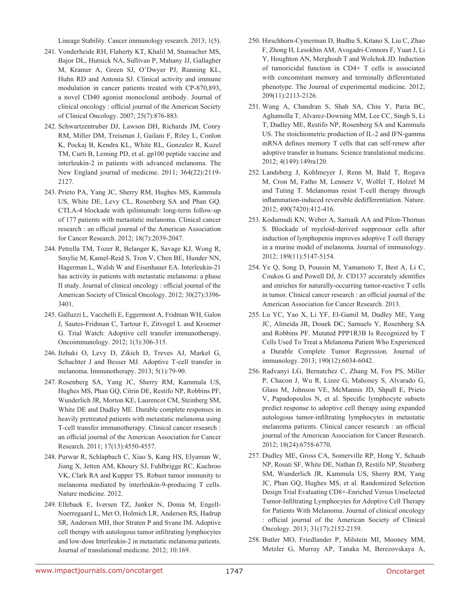Lineage Stability. Cancer immunology research. 2013; 1(5).

- 241. Vonderheide RH, Flaherty KT, Khalil M, Stumacher MS, Bajor DL, Hutnick NA, Sullivan P, Mahany JJ, Gallagher M, Kramer A, Green SJ, O'Dwyer PJ, Running KL, Huhn RD and Antonia SJ. Clinical activity and immune modulation in cancer patients treated with CP-870,893, a novel CD40 agonist monoclonal antibody. Journal of clinical oncology : official journal of the American Society of Clinical Oncology. 2007; 25(7):876-883.
- 242. Schwartzentruber DJ, Lawson DH, Richards JM, Conry RM, Miller DM, Treisman J, Gailani F, Riley L, Conlon K, Pockaj B, Kendra KL, White RL, Gonzalez R, Kuzel TM, Curti B, Leming PD, et al. gp100 peptide vaccine and interleukin-2 in patients with advanced melanoma. The New England journal of medicine. 2011; 364(22):2119- 2127.
- 243. Prieto PA, Yang JC, Sherry RM, Hughes MS, Kammula US, White DE, Levy CL, Rosenberg SA and Phan GQ. CTLA-4 blockade with ipilimumab: long-term follow-up of 177 patients with metastatic melanoma. Clinical cancer research : an official journal of the American Association for Cancer Research. 2012; 18(7):2039-2047.
- 244. Petrella TM, Tozer R, Belanger K, Savage KJ, Wong R, Smylie M, Kamel-Reid S, Tron V, Chen BE, Hunder NN, Hagerman L, Walsh W and Eisenhauer EA. Interleukin-21 has activity in patients with metastatic melanoma: a phase II study. Journal of clinical oncology : official journal of the American Society of Clinical Oncology. 2012; 30(27):3396- 3401.
- 245. Galluzzi L, Vacchelli E, Eggermont A, Fridman WH, Galon J, Sautes-Fridman C, Tartour E, Zitvogel L and Kroemer G. Trial Watch: Adoptive cell transfer immunotherapy. Oncoimmunology. 2012; 1(3):306-315.
- 246. Itzhaki O, Levy D, Zikich D, Treves AJ, Markel G, Schachter J and Besser MJ. Adoptive T-cell transfer in melanoma. Immunotherapy. 2013; 5(1):79-90.
- 247. Rosenberg SA, Yang JC, Sherry RM, Kammula US, Hughes MS, Phan GQ, Citrin DE, Restifo NP, Robbins PF, Wunderlich JR, Morton KE, Laurencot CM, Steinberg SM, White DE and Dudley ME. Durable complete responses in heavily pretreated patients with metastatic melanoma using T-cell transfer immunotherapy. Clinical cancer research : an official journal of the American Association for Cancer Research. 2011; 17(13):4550-4557.
- 248. Purwar R, Schlapbach C, Xiao S, Kang HS, Elyaman W, Jiang X, Jetten AM, Khoury SJ, Fuhlbrigge RC, Kuchroo VK, Clark RA and Kupper TS. Robust tumor immunity to melanoma mediated by interleukin-9-producing T cells. Nature medicine. 2012.
- 249. Ellebaek E, Iversen TZ, Junker N, Donia M, Engell-Noerregaard L, Met O, Holmich LR, Andersen RS, Hadrup SR, Andersen MH, thor Straten P and Svane IM. Adoptive cell therapy with autologous tumor infiltrating lymphocytes and low-dose Interleukin-2 in metastatic melanoma patients. Journal of translational medicine. 2012; 10:169.
- 250. Hirschhorn-Cymerman D, Budhu S, Kitano S, Liu C, Zhao F, Zhong H, Lesokhin AM, Avogadri-Connors F, Yuan J, Li Y, Houghton AN, Merghoub T and Wolchok JD. Induction of tumoricidal function in CD4+ T cells is associated with concomitant memory and terminally differentiated phenotype. The Journal of experimental medicine. 2012; 209(11):2113-2126.
- 251. Wang A, Chandran S, Shah SA, Chiu Y, Paria BC, Aghamolla T, Alvarez-Downing MM, Lee CC, Singh S, Li T, Dudley ME, Restifo NP, Rosenberg SA and Kammula US. The stoichiometric production of IL-2 and IFN-gamma mRNA defines memory T cells that can self-renew after adoptive transfer in humans. Science translational medicine. 2012; 4(149):149ra120.
- 252. Landsberg J, Kohlmeyer J, Renn M, Bald T, Rogava M, Cron M, Fatho M, Lennerz V, Wolfel T, Holzel M and Tuting T. Melanomas resist T-cell therapy through inflammation-induced reversible dedifferentiation. Nature. 2012; 490(7420):412-416.
- 253. Kodumudi KN, Weber A, Sarnaik AA and Pilon-Thomas S. Blockade of myeloid-derived suppressor cells after induction of lymphopenia improves adoptive T cell therapy in a murine model of melanoma. Journal of immunology. 2012; 189(11):5147-5154.
- 254. Ye Q, Song D, Poussin M, Yamamoto T, Best A, Li C, Coukos G and Powell DJ, Jr. CD137 accurately identifies and enriches for naturally-occurring tumor-reactive T cells in tumor. Clinical cancer research : an official journal of the American Association for Cancer Research. 2013.
- 255. Lu YC, Yao X, Li YF, El-Gamil M, Dudley ME, Yang JC, Almeida JR, Douek DC, Samuels Y, Rosenberg SA and Robbins PF. Mutated PPP1R3B Is Recognized by T Cells Used To Treat a Melanoma Patient Who Experienced a Durable Complete Tumor Regression. Journal of immunology. 2013; 190(12):6034-6042.
- 256. Radvanyi LG, Bernatchez C, Zhang M, Fox PS, Miller P, Chacon J, Wu R, Lizee G, Mahoney S, Alvarado G, Glass M, Johnson VE, McMannis JD, Shpall E, Prieto V, Papadopoulos N, et al. Specific lymphocyte subsets predict response to adoptive cell therapy using expanded autologous tumor-infiltrating lymphocytes in metastatic melanoma patients. Clinical cancer research : an official journal of the American Association for Cancer Research. 2012; 18(24):6758-6770.
- 257. Dudley ME, Gross CA, Somerville RP, Hong Y, Schaub NP, Rosati SF, White DE, Nathan D, Restifo NP, Steinberg SM, Wunderlich JR, Kammula US, Sherry RM, Yang JC, Phan GQ, Hughes MS, et al. Randomized Selection Design Trial Evaluating CD8+-Enriched Versus Unselected Tumor-Infiltrating Lymphocytes for Adoptive Cell Therapy for Patients With Melanoma. Journal of clinical oncology : official journal of the American Society of Clinical Oncology. 2013; 31(17):2152-2159.
- 258. Butler MO, Friedlander P, Milstein MI, Mooney MM, Metzler G, Murray AP, Tanaka M, Berezovskaya A,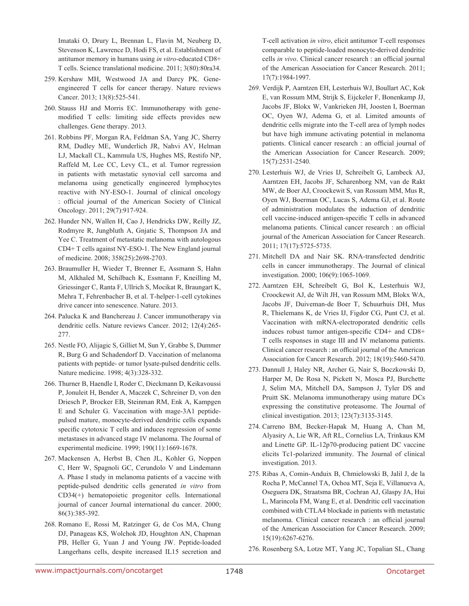Imataki O, Drury L, Brennan L, Flavin M, Neuberg D, Stevenson K, Lawrence D, Hodi FS, et al. Establishment of antitumor memory in humans using *in vitro*-educated CD8+ T cells. Science translational medicine. 2011; 3(80):80ra34.

- 259. Kershaw MH, Westwood JA and Darcy PK. Geneengineered T cells for cancer therapy. Nature reviews Cancer. 2013; 13(8):525-541.
- 260. Stauss HJ and Morris EC. Immunotherapy with genemodified T cells: limiting side effects provides new challenges. Gene therapy. 2013.
- 261. Robbins PF, Morgan RA, Feldman SA, Yang JC, Sherry RM, Dudley ME, Wunderlich JR, Nahvi AV, Helman LJ, Mackall CL, Kammula US, Hughes MS, Restifo NP, Raffeld M, Lee CC, Levy CL, et al. Tumor regression in patients with metastatic synovial cell sarcoma and melanoma using genetically engineered lymphocytes reactive with NY-ESO-1. Journal of clinical oncology : official journal of the American Society of Clinical Oncology. 2011; 29(7):917-924.
- 262. Hunder NN, Wallen H, Cao J, Hendricks DW, Reilly JZ, Rodmyre R, Jungbluth A, Gnjatic S, Thompson JA and Yee C. Treatment of metastatic melanoma with autologous CD4+ T cells against NY-ESO-1. The New England journal of medicine. 2008; 358(25):2698-2703.
- 263. Braumuller H, Wieder T, Brenner E, Assmann S, Hahn M, Alkhaled M, Schilbach K, Essmann F, Kneilling M, Griessinger C, Ranta F, Ullrich S, Mocikat R, Braungart K, Mehra T, Fehrenbacher B, et al. T-helper-1-cell cytokines drive cancer into senescence. Nature. 2013.
- 264. Palucka K and Banchereau J. Cancer immunotherapy via dendritic cells. Nature reviews Cancer. 2012; 12(4):265- 277.
- 265. Nestle FO, Alijagic S, Gilliet M, Sun Y, Grabbe S, Dummer R, Burg G and Schadendorf D. Vaccination of melanoma patients with peptide- or tumor lysate-pulsed dendritic cells. Nature medicine. 1998; 4(3):328-332.
- 266. Thurner B, Haendle I, Roder C, Dieckmann D, Keikavoussi P, Jonuleit H, Bender A, Maczek C, Schreiner D, von den Driesch P, Brocker EB, Steinman RM, Enk A, Kampgen E and Schuler G. Vaccination with mage-3A1 peptidepulsed mature, monocyte-derived dendritic cells expands specific cytotoxic T cells and induces regression of some metastases in advanced stage IV melanoma. The Journal of experimental medicine. 1999; 190(11):1669-1678.
- 267. Mackensen A, Herbst B, Chen JL, Kohler G, Noppen C, Herr W, Spagnoli GC, Cerundolo V and Lindemann A. Phase I study in melanoma patients of a vaccine with peptide-pulsed dendritic cells generated *in vitro* from CD34(+) hematopoietic progenitor cells. International journal of cancer Journal international du cancer. 2000; 86(3):385-392.
- 268. Romano E, Rossi M, Ratzinger G, de Cos MA, Chung DJ, Panageas KS, Wolchok JD, Houghton AN, Chapman PB, Heller G, Yuan J and Young JW. Peptide-loaded Langerhans cells, despite increased IL15 secretion and

T-cell activation *in vitro*, elicit antitumor T-cell responses comparable to peptide-loaded monocyte-derived dendritic cells *in vivo*. Clinical cancer research : an official journal of the American Association for Cancer Research. 2011; 17(7):1984-1997.

- 269. Verdijk P, Aarntzen EH, Lesterhuis WJ, Boullart AC, Kok E, van Rossum MM, Strijk S, Eijckeler F, Bonenkamp JJ, Jacobs JF, Blokx W, Vankrieken JH, Joosten I, Boerman OC, Oyen WJ, Adema G, et al. Limited amounts of dendritic cells migrate into the T-cell area of lymph nodes but have high immune activating potential in melanoma patients. Clinical cancer research : an official journal of the American Association for Cancer Research. 2009; 15(7):2531-2540.
- 270. Lesterhuis WJ, de Vries IJ, Schreibelt G, Lambeck AJ, Aarntzen EH, Jacobs JF, Scharenborg NM, van de Rakt MW, de Boer AJ, Croockewit S, van Rossum MM, Mus R, Oyen WJ, Boerman OC, Lucas S, Adema GJ, et al. Route of administration modulates the induction of dendritic cell vaccine-induced antigen-specific T cells in advanced melanoma patients. Clinical cancer research : an official journal of the American Association for Cancer Research. 2011; 17(17):5725-5735.
- 271. Mitchell DA and Nair SK. RNA-transfected dendritic cells in cancer immunotherapy. The Journal of clinical investigation. 2000; 106(9):1065-1069.
- 272. Aarntzen EH, Schreibelt G, Bol K, Lesterhuis WJ, Croockewit AJ, de Wilt JH, van Rossum MM, Blokx WA, Jacobs JF, Duiveman-de Boer T, Schuurhuis DH, Mus R, Thielemans K, de Vries IJ, Figdor CG, Punt CJ, et al. Vaccination with mRNA-electroporated dendritic cells induces robust tumor antigen-specific CD4+ and CD8+ T cells responses in stage III and IV melanoma patients. Clinical cancer research : an official journal of the American Association for Cancer Research. 2012; 18(19):5460-5470.
- 273. Dannull J, Haley NR, Archer G, Nair S, Boczkowski D, Harper M, De Rosa N, Pickett N, Mosca PJ, Burchette J, Selim MA, Mitchell DA, Sampson J, Tyler DS and Pruitt SK. Melanoma immunotherapy using mature DCs expressing the constitutive proteasome. The Journal of clinical investigation. 2013; 123(7):3135-3145.
- 274. Carreno BM, Becker-Hapak M, Huang A, Chan M, Alyasiry A, Lie WR, Aft RL, Cornelius LA, Trinkaus KM and Linette GP. IL-12p70-producing patient DC vaccine elicits Tc1-polarized immunity. The Journal of clinical investigation. 2013.
- 275. Ribas A, Comin-Anduix B, Chmielowski B, Jalil J, de la Rocha P, McCannel TA, Ochoa MT, Seja E, Villanueva A, Oseguera DK, Straatsma BR, Cochran AJ, Glaspy JA, Hui L, Marincola FM, Wang E, et al. Dendritic cell vaccination combined with CTLA4 blockade in patients with metastatic melanoma. Clinical cancer research : an official journal of the American Association for Cancer Research. 2009; 15(19):6267-6276.
- 276. Rosenberg SA, Lotze MT, Yang JC, Topalian SL, Chang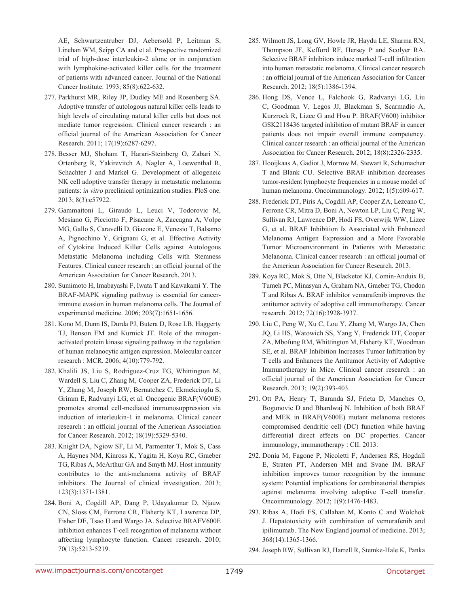AE, Schwartzentruber DJ, Aebersold P, Leitman S, Linehan WM, Seipp CA and et al. Prospective randomized trial of high-dose interleukin-2 alone or in conjunction with lymphokine-activated killer cells for the treatment of patients with advanced cancer. Journal of the National Cancer Institute. 1993; 85(8):622-632.

- 277. Parkhurst MR, Riley JP, Dudley ME and Rosenberg SA. Adoptive transfer of autologous natural killer cells leads to high levels of circulating natural killer cells but does not mediate tumor regression. Clinical cancer research : an official journal of the American Association for Cancer Research. 2011; 17(19):6287-6297.
- 278. Besser MJ, Shoham T, Harari-Steinberg O, Zabari N, Ortenberg R, Yakirevitch A, Nagler A, Loewenthal R, Schachter J and Markel G. Development of allogeneic NK cell adoptive transfer therapy in metastatic melanoma patients: *in vitro* preclinical optimization studies. PloS one. 2013; 8(3):e57922.
- 279. Gammaitoni L, Giraudo L, Leuci V, Todorovic M, Mesiano G, Picciotto F, Pisacane A, Zaccagna A, Volpe MG, Gallo S, Caravelli D, Giacone E, Venesio T, Balsamo A, Pignochino Y, Grignani G, et al. Effective Activity of Cytokine Induced Killer Cells against Autologous Metastatic Melanoma including Cells with Stemness Features. Clinical cancer research : an official journal of the American Association for Cancer Research. 2013.
- 280. Sumimoto H, Imabayashi F, Iwata T and Kawakami Y. The BRAF-MAPK signaling pathway is essential for cancerimmune evasion in human melanoma cells. The Journal of experimental medicine. 2006; 203(7):1651-1656.
- 281. Kono M, Dunn IS, Durda PJ, Butera D, Rose LB, Haggerty TJ, Benson EM and Kurnick JT. Role of the mitogenactivated protein kinase signaling pathway in the regulation of human melanocytic antigen expression. Molecular cancer research : MCR. 2006; 4(10):779-792.
- 282. Khalili JS, Liu S, Rodriguez-Cruz TG, Whittington M, Wardell S, Liu C, Zhang M, Cooper ZA, Frederick DT, Li Y, Zhang M, Joseph RW, Bernatchez C, Ekmekcioglu S, Grimm E, Radvanyi LG, et al. Oncogenic BRAF(V600E) promotes stromal cell-mediated immunosuppression via induction of interleukin-1 in melanoma. Clinical cancer research : an official journal of the American Association for Cancer Research. 2012; 18(19):5329-5340.
- 283. Knight DA, Ngiow SF, Li M, Parmenter T, Mok S, Cass A, Haynes NM, Kinross K, Yagita H, Koya RC, Graeber TG, Ribas A, McArthur GA and Smyth MJ. Host immunity contributes to the anti-melanoma activity of BRAF inhibitors. The Journal of clinical investigation. 2013; 123(3):1371-1381.
- 284. Boni A, Cogdill AP, Dang P, Udayakumar D, Njauw CN, Sloss CM, Ferrone CR, Flaherty KT, Lawrence DP, Fisher DE, Tsao H and Wargo JA. Selective BRAFV600E inhibition enhances T-cell recognition of melanoma without affecting lymphocyte function. Cancer research. 2010; 70(13):5213-5219.
- 285. Wilmott JS, Long GV, Howle JR, Haydu LE, Sharma RN, Thompson JF, Kefford RF, Hersey P and Scolyer RA. Selective BRAF inhibitors induce marked T-cell infiltration into human metastatic melanoma. Clinical cancer research : an official journal of the American Association for Cancer Research. 2012; 18(5):1386-1394.
- 286. Hong DS, Vence L, Falchook G, Radvanyi LG, Liu C, Goodman V, Legos JJ, Blackman S, Scarmadio A, Kurzrock R, Lizee G and Hwu P. BRAF(V600) inhibitor GSK2118436 targeted inhibition of mutant BRAF in cancer patients does not impair overall immune competency. Clinical cancer research : an official journal of the American Association for Cancer Research. 2012; 18(8):2326-2335.
- 287. Hooijkaas A, Gadiot J, Morrow M, Stewart R, Schumacher T and Blank CU. Selective BRAF inhibition decreases tumor-resident lymphocyte frequencies in a mouse model of human melanoma. Oncoimmunology. 2012; 1(5):609-617.
- 288. Frederick DT, Piris A, Cogdill AP, Cooper ZA, Lezcano C, Ferrone CR, Mitra D, Boni A, Newton LP, Liu C, Peng W, Sullivan RJ, Lawrence DP, Hodi FS, Overwijk WW, Lizee G, et al. BRAF Inhibition Is Associated with Enhanced Melanoma Antigen Expression and a More Favorable Tumor Microenvironment in Patients with Metastatic Melanoma. Clinical cancer research : an official journal of the American Association for Cancer Research. 2013.
- 289. Koya RC, Mok S, Otte N, Blacketor KJ, Comin-Anduix B, Tumeh PC, Minasyan A, Graham NA, Graeber TG, Chodon T and Ribas A. BRAF inhibitor vemurafenib improves the antitumor activity of adoptive cell immunotherapy. Cancer research. 2012; 72(16):3928-3937.
- 290. Liu C, Peng W, Xu C, Lou Y, Zhang M, Wargo JA, Chen JQ, Li HS, Watowich SS, Yang Y, Frederick DT, Cooper ZA, Mbofung RM, Whittington M, Flaherty KT, Woodman SE, et al. BRAF Inhibition Increases Tumor Infiltration by T cells and Enhances the Antitumor Activity of Adoptive Immunotherapy in Mice. Clinical cancer research : an official journal of the American Association for Cancer Research. 2013; 19(2):393-403.
- 291. Ott PA, Henry T, Baranda SJ, Frleta D, Manches O, Bogunovic D and Bhardwaj N. Inhibition of both BRAF and MEK in BRAF(V600E) mutant melanoma restores compromised dendritic cell (DC) function while having differential direct effects on DC properties. Cancer immunology, immunotherapy : CII. 2013.
- 292. Donia M, Fagone P, Nicoletti F, Andersen RS, Hogdall E, Straten PT, Andersen MH and Svane IM. BRAF inhibition improves tumor recognition by the immune system: Potential implications for combinatorial therapies against melanoma involving adoptive T-cell transfer. Oncoimmunology. 2012; 1(9):1476-1483.
- 293. Ribas A, Hodi FS, Callahan M, Konto C and Wolchok J. Hepatotoxicity with combination of vemurafenib and ipilimumab. The New England journal of medicine. 2013; 368(14):1365-1366.
- 294. Joseph RW, Sullivan RJ, Harrell R, Stemke-Hale K, Panka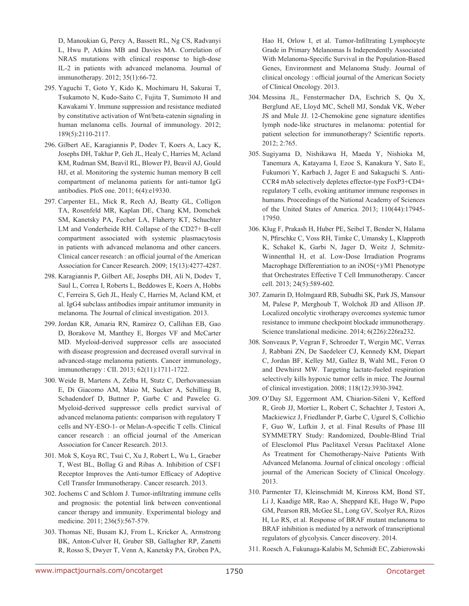D, Manoukian G, Percy A, Bassett RL, Ng CS, Radvanyi L, Hwu P, Atkins MB and Davies MA. Correlation of NRAS mutations with clinical response to high-dose IL-2 in patients with advanced melanoma. Journal of immunotherapy. 2012; 35(1):66-72.

- 295. Yaguchi T, Goto Y, Kido K, Mochimaru H, Sakurai T, Tsukamoto N, Kudo-Saito C, Fujita T, Sumimoto H and Kawakami Y. Immune suppression and resistance mediated by constitutive activation of Wnt/beta-catenin signaling in human melanoma cells. Journal of immunology. 2012; 189(5):2110-2117.
- 296. Gilbert AE, Karagiannis P, Dodev T, Koers A, Lacy K, Josephs DH, Takhar P, Geh JL, Healy C, Harries M, Acland KM, Rudman SM, Beavil RL, Blower PJ, Beavil AJ, Gould HJ, et al. Monitoring the systemic human memory B cell compartment of melanoma patients for anti-tumor IgG antibodies. PloS one. 2011; 6(4):e19330.
- 297. Carpenter EL, Mick R, Rech AJ, Beatty GL, Colligon TA, Rosenfeld MR, Kaplan DE, Chang KM, Domchek SM, Kanetsky PA, Fecher LA, Flaherty KT, Schuchter LM and Vonderheide RH. Collapse of the CD27+ B-cell compartment associated with systemic plasmacytosis in patients with advanced melanoma and other cancers. Clinical cancer research : an official journal of the American Association for Cancer Research. 2009; 15(13):4277-4287.
- 298. Karagiannis P, Gilbert AE, Josephs DH, Ali N, Dodev T, Saul L, Correa I, Roberts L, Beddowes E, Koers A, Hobbs C, Ferreira S, Geh JL, Healy C, Harries M, Acland KM, et al. IgG4 subclass antibodies impair antitumor immunity in melanoma. The Journal of clinical investigation. 2013.
- 299. Jordan KR, Amaria RN, Ramirez O, Callihan EB, Gao D, Borakove M, Manthey E, Borges VF and McCarter MD. Myeloid-derived suppressor cells are associated with disease progression and decreased overall survival in advanced-stage melanoma patients. Cancer immunology, immunotherapy : CII. 2013; 62(11):1711-1722.
- 300. Weide B, Martens A, Zelba H, Stutz C, Derhovanessian E, Di Giacomo AM, Maio M, Sucker A, Schilling B, Schadendorf D, Buttner P, Garbe C and Pawelec G. Myeloid-derived suppressor cells predict survival of advanced melanoma patients: comparison with regulatory T cells and NY-ESO-1- or Melan-A-specific T cells. Clinical cancer research : an official journal of the American Association for Cancer Research. 2013.
- 301. Mok S, Koya RC, Tsui C, Xu J, Robert L, Wu L, Graeber T, West BL, Bollag G and Ribas A. Inhibition of CSF1 Receptor Improves the Anti-tumor Efficacy of Adoptive Cell Transfer Immunotherapy. Cancer research. 2013.
- 302. Jochems C and Schlom J. Tumor-infiltrating immune cells and prognosis: the potential link between conventional cancer therapy and immunity. Experimental biology and medicine. 2011; 236(5):567-579.
- 303. Thomas NE, Busam KJ, From L, Kricker A, Armstrong BK, Anton-Culver H, Gruber SB, Gallagher RP, Zanetti R, Rosso S, Dwyer T, Venn A, Kanetsky PA, Groben PA,

Hao H, Orlow I, et al. Tumor-Infiltrating Lymphocyte Grade in Primary Melanomas Is Independently Associated With Melanoma-Specific Survival in the Population-Based Genes, Environment and Melanoma Study. Journal of clinical oncology : official journal of the American Society of Clinical Oncology. 2013.

- 304. Messina JL, Fenstermacher DA, Eschrich S, Qu X, Berglund AE, Lloyd MC, Schell MJ, Sondak VK, Weber JS and Mule JJ. 12-Chemokine gene signature identifies lymph node-like structures in melanoma: potential for patient selection for immunotherapy? Scientific reports. 2012; 2:765.
- 305. Sugiyama D, Nishikawa H, Maeda Y, Nishioka M, Tanemura A, Katayama I, Ezoe S, Kanakura Y, Sato E, Fukumori Y, Karbach J, Jager E and Sakaguchi S. Anti-CCR4 mAb selectively depletes effector-type FoxP3+CD4+ regulatory T cells, evoking antitumor immune responses in humans. Proceedings of the National Academy of Sciences of the United States of America. 2013; 110(44):17945- 17950.
- 306. Klug F, Prakash H, Huber PE, Seibel T, Bender N, Halama N, Pfirschke C, Voss RH, Timke C, Umansky L, Klapproth K, Schakel K, Garbi N, Jager D, Weitz J, Schmitz-Winnenthal H, et al. Low-Dose Irradiation Programs Macrophage Differentiation to an iNOS(+)/M1 Phenotype that Orchestrates Effective T Cell Immunotherapy. Cancer cell. 2013; 24(5):589-602.
- 307. Zamarin D, Holmgaard RB, Subudhi SK, Park JS, Mansour M, Palese P, Merghoub T, Wolchok JD and Allison JP. Localized oncolytic virotherapy overcomes systemic tumor resistance to immune checkpoint blockade immunotherapy. Science translational medicine. 2014; 6(226):226ra232.
- 308. Sonveaux P, Vegran F, Schroeder T, Wergin MC, Verrax J, Rabbani ZN, De Saedeleer CJ, Kennedy KM, Diepart C, Jordan BF, Kelley MJ, Gallez B, Wahl ML, Feron O and Dewhirst MW. Targeting lactate-fueled respiration selectively kills hypoxic tumor cells in mice. The Journal of clinical investigation. 2008; 118(12):3930-3942.
- 309. O'Day SJ, Eggermont AM, Chiarion-Sileni V, Kefford R, Grob JJ, Mortier L, Robert C, Schachter J, Testori A, Mackiewicz J, Friedlander P, Garbe C, Ugurel S, Collichio F, Guo W, Lufkin J, et al. Final Results of Phase III SYMMETRY Study: Randomized, Double-Blind Trial of Elesclomol Plus Paclitaxel Versus Paclitaxel Alone As Treatment for Chemotherapy-Naive Patients With Advanced Melanoma. Journal of clinical oncology : official journal of the American Society of Clinical Oncology. 2013.
- 310. Parmenter TJ, Kleinschmidt M, Kinross KM, Bond ST, Li J, Kaadige MR, Rao A, Sheppard KE, Hugo W, Pupo GM, Pearson RB, McGee SL, Long GV, Scolyer RA, Rizos H, Lo RS, et al. Response of BRAF mutant melanoma to BRAF inhibition is mediated by a network of transcriptional regulators of glycolysis. Cancer discovery. 2014.
- 311. Roesch A, Fukunaga-Kalabis M, Schmidt EC, Zabierowski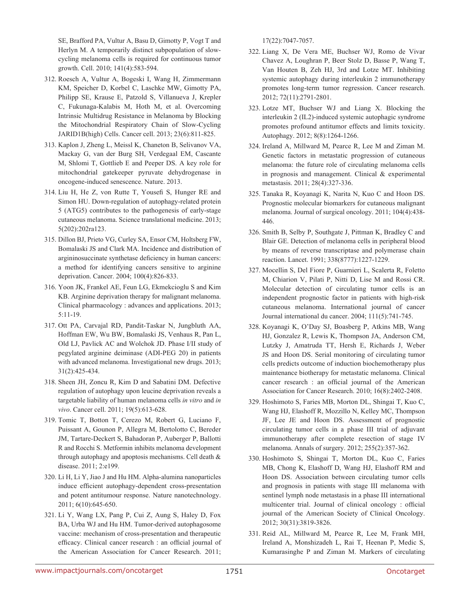SE, Brafford PA, Vultur A, Basu D, Gimotty P, Vogt T and Herlyn M. A temporarily distinct subpopulation of slowcycling melanoma cells is required for continuous tumor growth. Cell. 2010; 141(4):583-594.

- 312. Roesch A, Vultur A, Bogeski I, Wang H, Zimmermann KM, Speicher D, Korbel C, Laschke MW, Gimotty PA, Philipp SE, Krause E, Patzold S, Villanueva J, Krepler C, Fukunaga-Kalabis M, Hoth M, et al. Overcoming Intrinsic Multidrug Resistance in Melanoma by Blocking the Mitochondrial Respiratory Chain of Slow-Cycling JARID1B(high) Cells. Cancer cell. 2013; 23(6):811-825.
- 313. Kaplon J, Zheng L, Meissl K, Chaneton B, Selivanov VA, Mackay G, van der Burg SH, Verdegaal EM, Cascante M, Shlomi T, Gottlieb E and Peeper DS. A key role for mitochondrial gatekeeper pyruvate dehydrogenase in oncogene-induced senescence. Nature. 2013.
- 314. Liu H, He Z, von Rutte T, Yousefi S, Hunger RE and Simon HU. Down-regulation of autophagy-related protein 5 (ATG5) contributes to the pathogenesis of early-stage cutaneous melanoma. Science translational medicine. 2013; 5(202):202ra123.
- 315. Dillon BJ, Prieto VG, Curley SA, Ensor CM, Holtsberg FW, Bomalaski JS and Clark MA. Incidence and distribution of argininosuccinate synthetase deficiency in human cancers: a method for identifying cancers sensitive to arginine deprivation. Cancer. 2004; 100(4):826-833.
- 316. Yoon JK, Frankel AE, Feun LG, Ekmekcioglu S and Kim KB. Arginine deprivation therapy for malignant melanoma. Clinical pharmacology : advances and applications. 2013; 5:11-19.
- 317. Ott PA, Carvajal RD, Pandit-Taskar N, Jungbluth AA, Hoffman EW, Wu BW, Bomalaski JS, Venhaus R, Pan L, Old LJ, Pavlick AC and Wolchok JD. Phase I/II study of pegylated arginine deiminase (ADI-PEG 20) in patients with advanced melanoma. Investigational new drugs. 2013; 31(2):425-434.
- 318. Sheen JH, Zoncu R, Kim D and Sabatini DM. Defective regulation of autophagy upon leucine deprivation reveals a targetable liability of human melanoma cells *in vitro* and *in vivo*. Cancer cell. 2011; 19(5):613-628.
- 319. Tomic T, Botton T, Cerezo M, Robert G, Luciano F, Puissant A, Gounon P, Allegra M, Bertolotto C, Bereder JM, Tartare-Deckert S, Bahadoran P, Auberger P, Ballotti R and Rocchi S. Metformin inhibits melanoma development through autophagy and apoptosis mechanisms. Cell death & disease. 2011; 2:e199.
- 320. Li H, Li Y, Jiao J and Hu HM. Alpha-alumina nanoparticles induce efficient autophagy-dependent cross-presentation and potent antitumour response. Nature nanotechnology. 2011; 6(10):645-650.
- 321. Li Y, Wang LX, Pang P, Cui Z, Aung S, Haley D, Fox BA, Urba WJ and Hu HM. Tumor-derived autophagosome vaccine: mechanism of cross-presentation and therapeutic efficacy. Clinical cancer research : an official journal of the American Association for Cancer Research. 2011;

17(22):7047-7057.

- 322. Liang X, De Vera ME, Buchser WJ, Romo de Vivar Chavez A, Loughran P, Beer Stolz D, Basse P, Wang T, Van Houten B, Zeh HJ, 3rd and Lotze MT. Inhibiting systemic autophagy during interleukin 2 immunotherapy promotes long-term tumor regression. Cancer research. 2012; 72(11):2791-2801.
- 323. Lotze MT, Buchser WJ and Liang X. Blocking the interleukin 2 (IL2)-induced systemic autophagic syndrome promotes profound antitumor effects and limits toxicity. Autophagy. 2012; 8(8):1264-1266.
- 324. Ireland A, Millward M, Pearce R, Lee M and Ziman M. Genetic factors in metastatic progression of cutaneous melanoma: the future role of circulating melanoma cells in prognosis and management. Clinical & experimental metastasis. 2011; 28(4):327-336.
- 325. Tanaka R, Koyanagi K, Narita N, Kuo C and Hoon DS. Prognostic molecular biomarkers for cutaneous malignant melanoma. Journal of surgical oncology. 2011; 104(4):438- 446.
- 326. Smith B, Selby P, Southgate J, Pittman K, Bradley C and Blair GE. Detection of melanoma cells in peripheral blood by means of reverse transcriptase and polymerase chain reaction. Lancet. 1991; 338(8777):1227-1229.
- 327. Mocellin S, Del Fiore P, Guarnieri L, Scalerta R, Foletto M, Chiarion V, Pilati P, Nitti D, Lise M and Rossi CR. Molecular detection of circulating tumor cells is an independent prognostic factor in patients with high-risk cutaneous melanoma. International journal of cancer Journal international du cancer. 2004; 111(5):741-745.
- 328. Koyanagi K, O'Day SJ, Boasberg P, Atkins MB, Wang HJ, Gonzalez R, Lewis K, Thompson JA, Anderson CM, Lutzky J, Amatruda TT, Hersh E, Richards J, Weber JS and Hoon DS. Serial monitoring of circulating tumor cells predicts outcome of induction biochemotherapy plus maintenance biotherapy for metastatic melanoma. Clinical cancer research : an official journal of the American Association for Cancer Research. 2010; 16(8):2402-2408.
- 329. Hoshimoto S, Faries MB, Morton DL, Shingai T, Kuo C, Wang HJ, Elashoff R, Mozzillo N, Kelley MC, Thompson JF, Lee JE and Hoon DS. Assessment of prognostic circulating tumor cells in a phase III trial of adjuvant immunotherapy after complete resection of stage IV melanoma. Annals of surgery. 2012; 255(2):357-362.
- 330. Hoshimoto S, Shingai T, Morton DL, Kuo C, Faries MB, Chong K, Elashoff D, Wang HJ, Elashoff RM and Hoon DS. Association between circulating tumor cells and prognosis in patients with stage III melanoma with sentinel lymph node metastasis in a phase III international multicenter trial. Journal of clinical oncology : official journal of the American Society of Clinical Oncology. 2012; 30(31):3819-3826.
- 331. Reid AL, Millward M, Pearce R, Lee M, Frank MH, Ireland A, Monshizadeh L, Rai T, Heenan P, Medic S, Kumarasinghe P and Ziman M. Markers of circulating